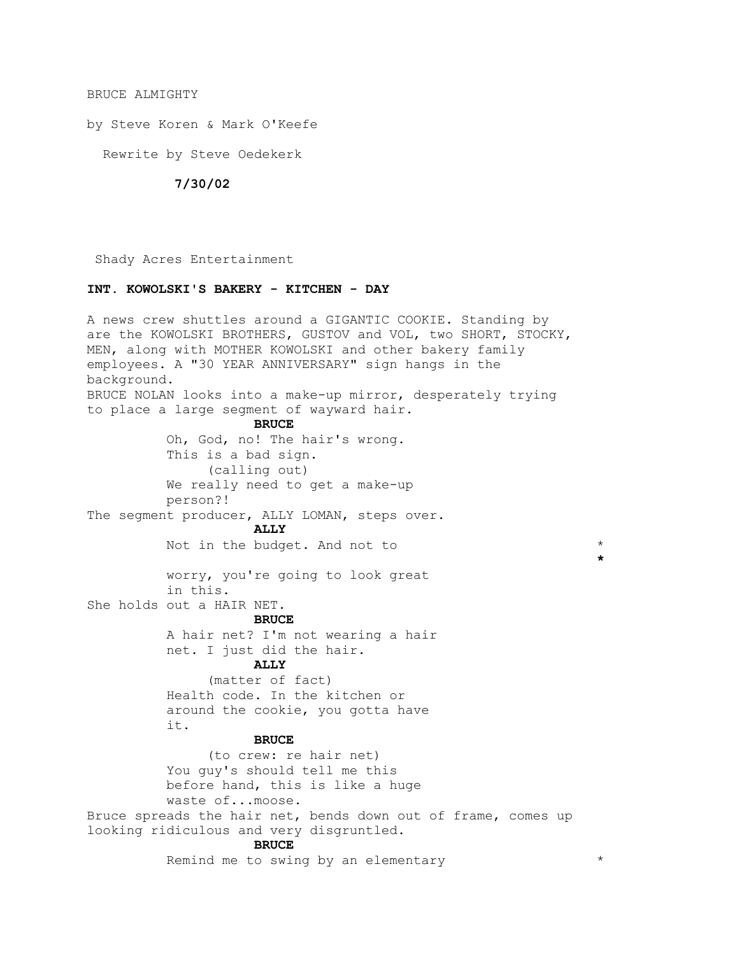BRUCE ALMIGHTY

by Steve Koren & Mark O'Keefe

Rewrite by Steve Oedekerk

 **7/30/02**

Shady Acres Entertainment

#### **INT. KOWOLSKI'S BAKERY - KITCHEN - DAY**

A news crew shuttles around a GIGANTIC COOKIE. Standing by are the KOWOLSKI BROTHERS, GUSTOV and VOL, two SHORT, STOCKY, MEN, along with MOTHER KOWOLSKI and other bakery family employees. A "30 YEAR ANNIVERSARY" sign hangs in the background. BRUCE NOLAN looks into a make-up mirror, desperately trying to place a large segment of wayward hair.  **BRUCE** Oh, God, no! The hair's wrong. This is a bad sign. (calling out) We really need to get a make-up person?! The segment producer, ALLY LOMAN, steps over.  **ALLY** Not in the budget. And not to \*  **\*** worry, you're going to look great in this. She holds out a HAIR NET.  **BRUCE** A hair net? I'm not wearing a hair net. I just did the hair.  **ALLY** (matter of fact) Health code. In the kitchen or around the cookie, you gotta have it.  **BRUCE** (to crew: re hair net) You guy's should tell me this before hand, this is like a huge waste of...moose. Bruce spreads the hair net, bends down out of frame, comes up looking ridiculous and very disgruntled.  **BRUCE** Remind me to swing by an elementary  $*$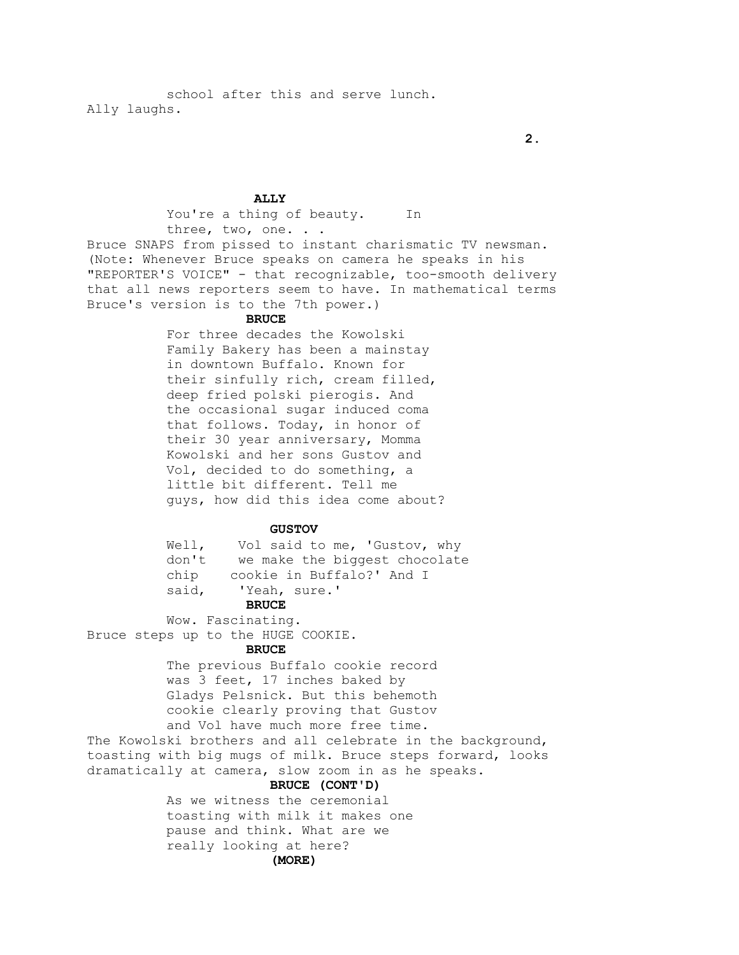school after this and serve lunch. Ally laughs.

 **2.**

## **ALLY**

You're a thing of beauty. In three, two, one. . . Bruce SNAPS from pissed to instant charismatic TV newsman. (Note: Whenever Bruce speaks on camera he speaks in his "REPORTER'S VOICE" - that recognizable, too-smooth delivery that all news reporters seem to have. In mathematical terms Bruce's version is to the 7th power.)

#### **BRUCE**

 For three decades the Kowolski Family Bakery has been a mainstay in downtown Buffalo. Known for their sinfully rich, cream filled, deep fried polski pierogis. And the occasional sugar induced coma that follows. Today, in honor of their 30 year anniversary, Momma Kowolski and her sons Gustov and Vol, decided to do something, a little bit different. Tell me guys, how did this idea come about?

## **GUSTOV**

 Well, Vol said to me, 'Gustov, why don't we make the biggest chocolate chip cookie in Buffalo?' And I said, 'Yeah, sure.'

## **BRUCE**

Wow. Fascinating.

Bruce steps up to the HUGE COOKIE.

## **BRUCE**

 The previous Buffalo cookie record was 3 feet, 17 inches baked by Gladys Pelsnick. But this behemoth cookie clearly proving that Gustov and Vol have much more free time.

The Kowolski brothers and all celebrate in the background, toasting with big mugs of milk. Bruce steps forward, looks dramatically at camera, slow zoom in as he speaks.

## **BRUCE (CONT'D)**

 As we witness the ceremonial toasting with milk it makes one pause and think. What are we really looking at here?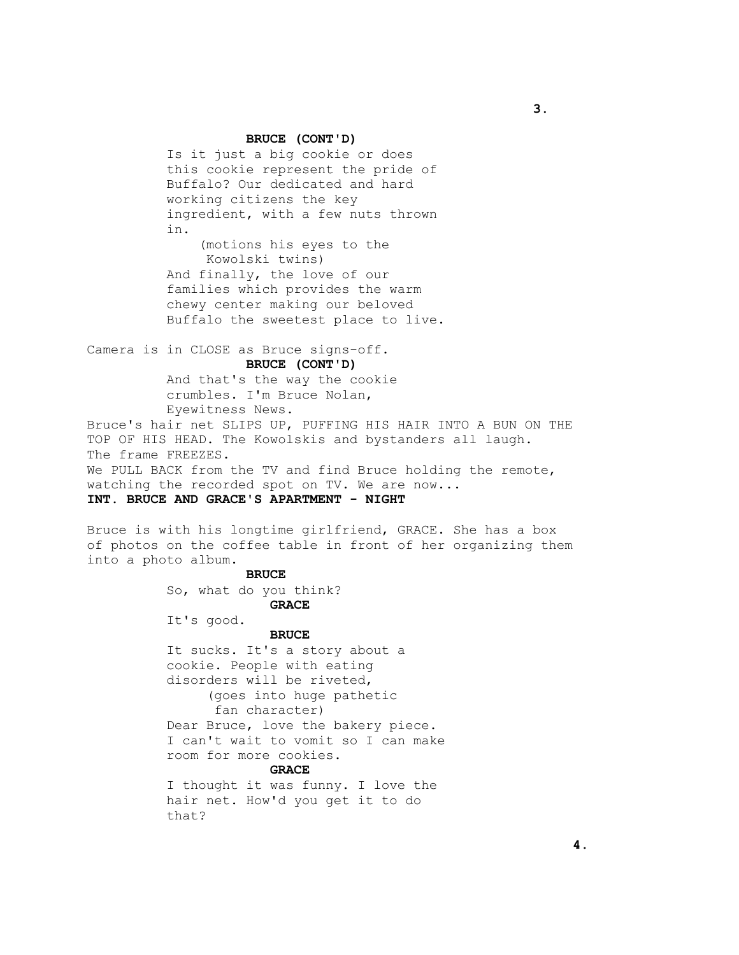## **BRUCE (CONT'D)**

 Is it just a big cookie or does this cookie represent the pride of Buffalo? Our dedicated and hard working citizens the key ingredient, with a few nuts thrown in.

 (motions his eyes to the Kowolski twins) And finally, the love of our families which provides the warm chewy center making our beloved Buffalo the sweetest place to live.

Camera is in CLOSE as Bruce signs-off.  **BRUCE (CONT'D)**

> And that's the way the cookie crumbles. I'm Bruce Nolan, Eyewitness News.

Bruce's hair net SLIPS UP, PUFFING HIS HAIR INTO A BUN ON THE TOP OF HIS HEAD. The Kowolskis and bystanders all laugh. The frame FREEZES. We PULL BACK from the TV and find Bruce holding the remote,

watching the recorded spot on TV. We are now...

## **INT. BRUCE AND GRACE'S APARTMENT - NIGHT**

Bruce is with his longtime girlfriend, GRACE. She has a box of photos on the coffee table in front of her organizing them into a photo album.

## **BRUCE**

 So, what do you think?  **GRACE**

## It's good.

 **BRUCE** It sucks. It's a story about a cookie. People with eating disorders will be riveted, (goes into huge pathetic fan character)

 Dear Bruce, love the bakery piece. I can't wait to vomit so I can make room for more cookies.

 **GRACE**

 I thought it was funny. I love the hair net. How'd you get it to do that?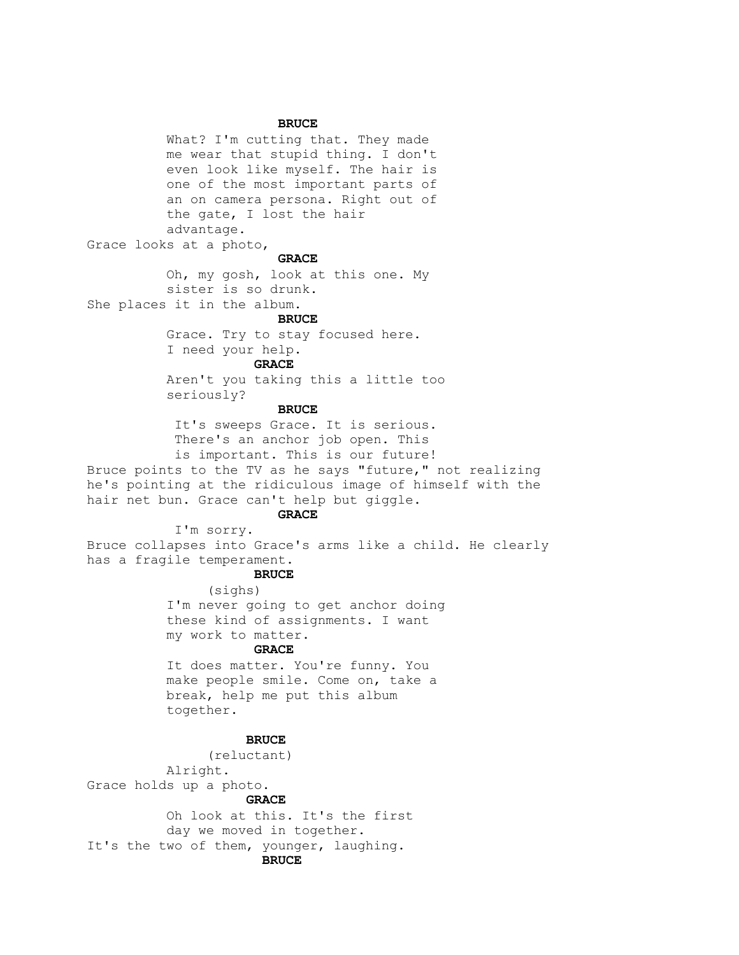## **BRUCE** What? I'm cutting that. They made

 me wear that stupid thing. I don't even look like myself. The hair is one of the most important parts of an on camera persona. Right out of the gate, I lost the hair advantage. Grace looks at a photo,  **GRACE** Oh, my gosh, look at this one. My sister is so drunk. She places it in the album.  **BRUCE** Grace. Try to stay focused here. I need your help.  **GRACE** Aren't you taking this a little too seriously?  **BRUCE** It's sweeps Grace. It is serious. There's an anchor job open. This is important. This is our future! Bruce points to the TV as he says "future," not realizing he's pointing at the ridiculous image of himself with the hair net bun. Grace can't help but giggle.  **GRACE** I'm sorry. Bruce collapses into Grace's arms like a child. He clearly has a fragile temperament.  **BRUCE** (sighs) I'm never going to get anchor doing these kind of assignments. I want my work to matter.  **GRACE** It does matter. You're funny. You make people smile. Come on, take a break, help me put this album together.  **BRUCE** (reluctant) Alright. Grace holds up a photo.  **GRACE** Oh look at this. It's the first day we moved in together. It's the two of them, younger, laughing.  **BRUCE**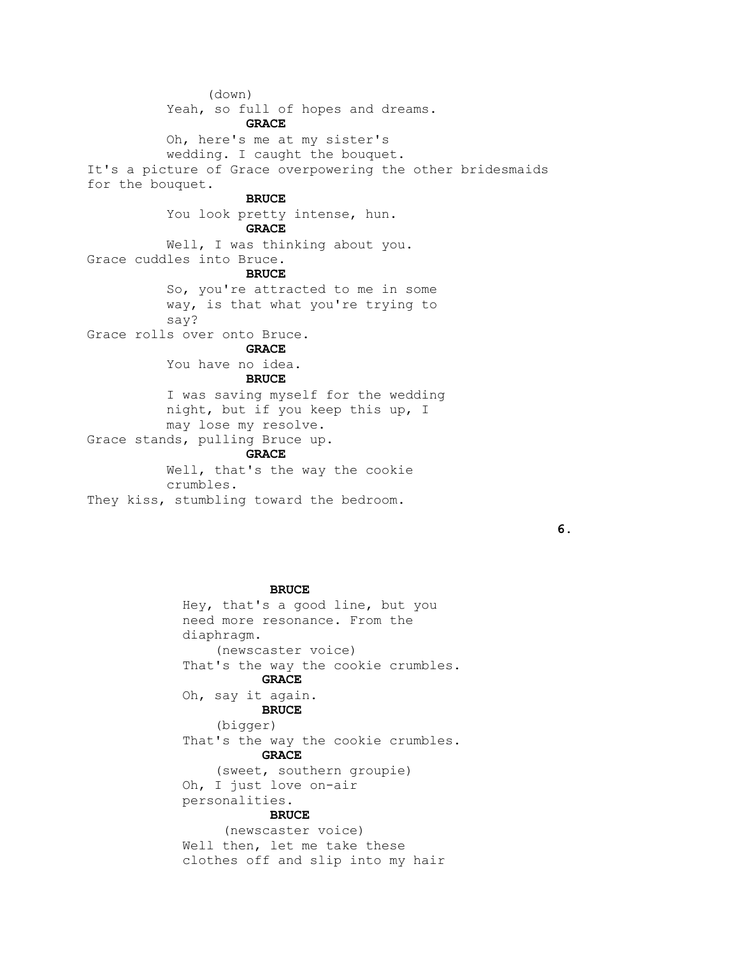(down) Yeah, so full of hopes and dreams.  **GRACE** Oh, here's me at my sister's wedding. I caught the bouquet. It's a picture of Grace overpowering the other bridesmaids for the bouquet.  **BRUCE** You look pretty intense, hun.  **GRACE** Well, I was thinking about you. Grace cuddles into Bruce.  **BRUCE** So, you're attracted to me in some way, is that what you're trying to say? Grace rolls over onto Bruce.  **GRACE** You have no idea.  **BRUCE** I was saving myself for the wedding night, but if you keep this up, I may lose my resolve. Grace stands, pulling Bruce up.  **GRACE** Well, that's the way the cookie crumbles. They kiss, stumbling toward the bedroom.  **6.**

## **BRUCE**

 Hey, that's a good line, but you need more resonance. From the diaphragm. (newscaster voice) That's the way the cookie crumbles.  **GRACE** Oh, say it again.  **BRUCE** (bigger) That's the way the cookie crumbles.  **GRACE** (sweet, southern groupie) Oh, I just love on-air personalities.  **BRUCE** (newscaster voice) Well then, let me take these

clothes off and slip into my hair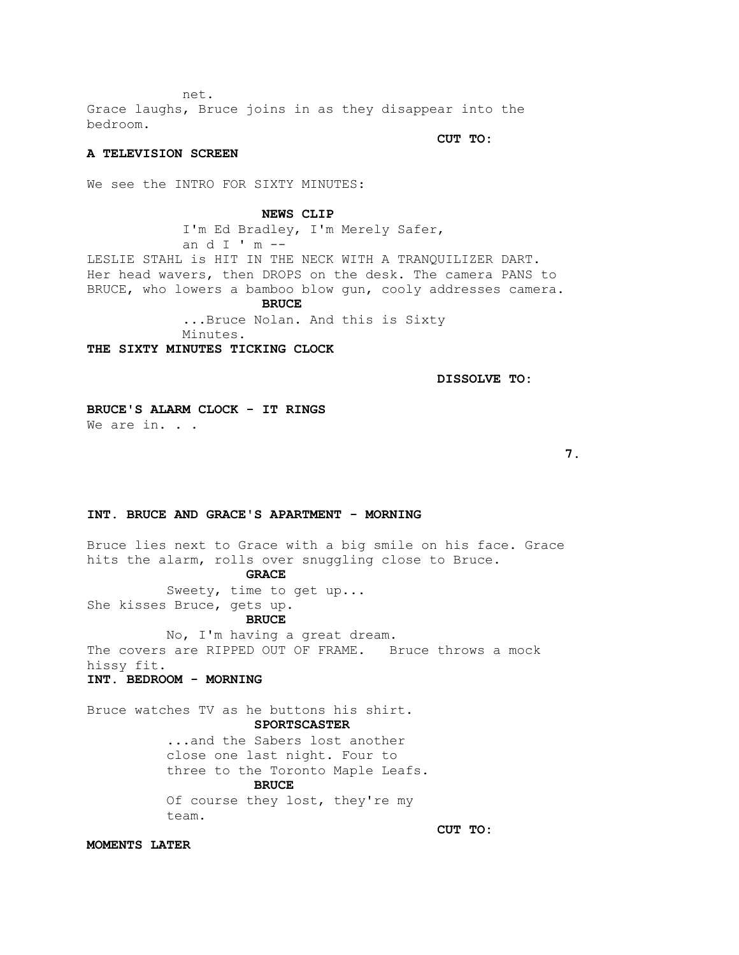net.

Grace laughs, Bruce joins in as they disappear into the bedroom.

 **CUT TO:**

## **A TELEVISION SCREEN**

We see the INTRO FOR SIXTY MINUTES:

## **NEWS CLIP**

 I'm Ed Bradley, I'm Merely Safer, an d I ' m -- LESLIE STAHL is HIT IN THE NECK WITH A TRANQUILIZER DART. Her head wavers, then DROPS on the desk. The camera PANS to BRUCE, who lowers a bamboo blow gun, cooly addresses camera.  **BRUCE**

...Bruce Nolan. And this is Sixty

Minutes.

**THE SIXTY MINUTES TICKING CLOCK**

 **DISSOLVE TO:**

**BRUCE'S ALARM CLOCK - IT RINGS** We are in. . .

 **7.**

## **INT. BRUCE AND GRACE'S APARTMENT - MORNING**

Bruce lies next to Grace with a big smile on his face. Grace hits the alarm, rolls over snuggling close to Bruce.  **GRACE**

 Sweety, time to get up... She kisses Bruce, gets up.

## **BRUCE**

 No, I'm having a great dream. The covers are RIPPED OUT OF FRAME. Bruce throws a mock hissy fit.

## **INT. BEDROOM - MORNING**

Bruce watches TV as he buttons his shirt.  **SPORTSCASTER** ...and the Sabers lost another close one last night. Four to three to the Toronto Maple Leafs.  **BRUCE** Of course they lost, they're my team.  **CUT TO:**

**MOMENTS LATER**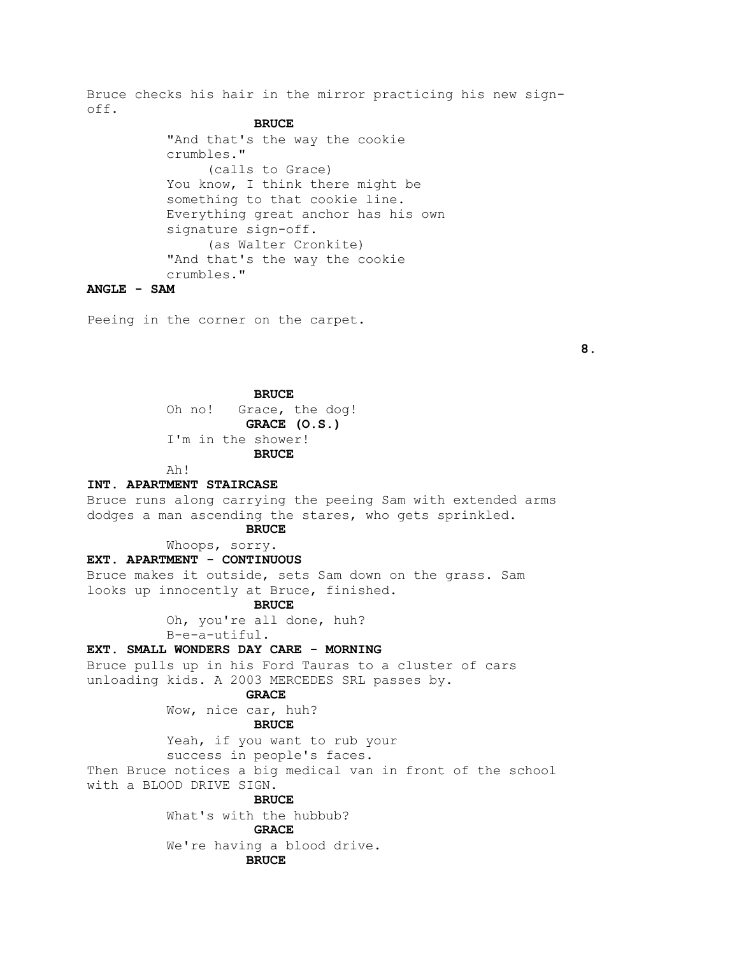Bruce checks his hair in the mirror practicing his new signoff.

## **BRUCE**

"And that's the way the cookie crumbles." (calls to Grace) You know, I think there might be something to that cookie line. Everything great anchor has his own signature sign-off. (as Walter Cronkite) "And that's the way the cookie crumbles."

## **ANGLE - SAM**

Peeing in the corner on the carpet.

 **8.**

 **BRUCE** Oh no! Grace, the dog!  **GRACE (O.S.)** I'm in the shower!  **BRUCE**

Ah!

## **INT. APARTMENT STAIRCASE**

Bruce runs along carrying the peeing Sam with extended arms dodges a man ascending the stares, who gets sprinkled.

 **BRUCE**

## Whoops, sorry.

**EXT. APARTMENT - CONTINUOUS**

Bruce makes it outside, sets Sam down on the grass. Sam looks up innocently at Bruce, finished.

### **BRUCE**

Oh, you're all done, huh?

B-e-a-utiful.

## **EXT. SMALL WONDERS DAY CARE - MORNING**

Bruce pulls up in his Ford Tauras to a cluster of cars unloading kids. A 2003 MERCEDES SRL passes by.

## **GRACE**

Wow, nice car, huh?

### **BRUCE**

Yeah, if you want to rub your

success in people's faces.

Then Bruce notices a big medical van in front of the school

with a BLOOD DRIVE SIGN.

## **BRUCE**

What's with the hubbub?

## **GRACE**

We're having a blood drive.

 **BRUCE**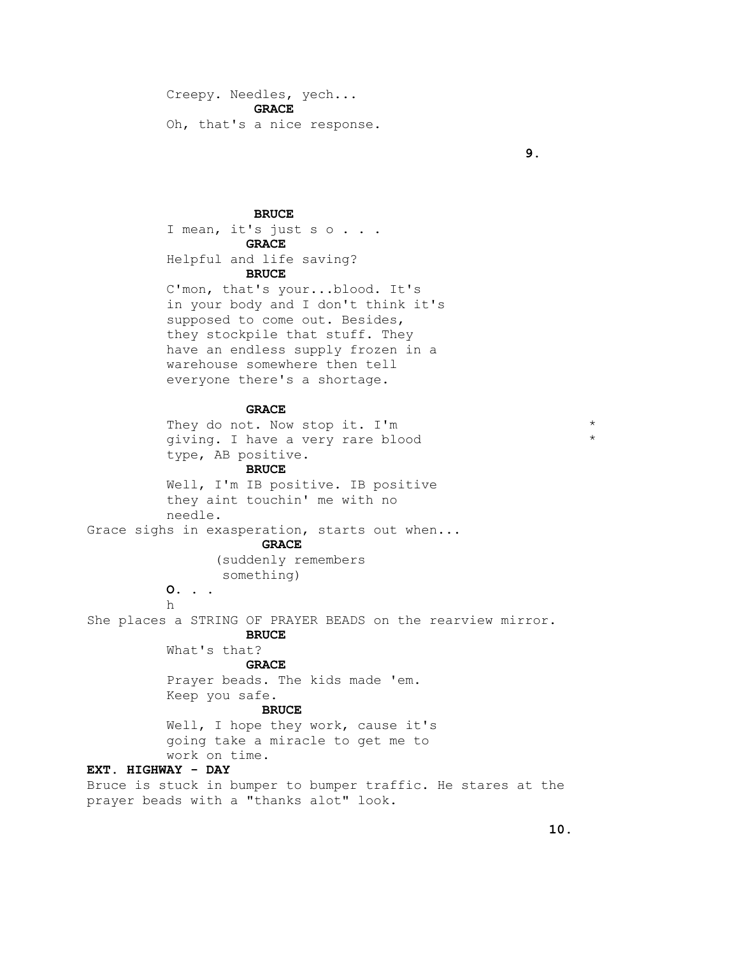Creepy. Needles, yech...  **GRACE** Oh, that's a nice response.

 **9.**

 **BRUCE** I mean, it's just s o . . .  **GRACE** Helpful and life saving?  **BRUCE** C'mon, that's your...blood. It's in your body and I don't think it's supposed to come out. Besides, they stockpile that stuff. They have an endless supply frozen in a warehouse somewhere then tell everyone there's a shortage.  **GRACE** They do not. Now stop it. I'm  $*$ giving. I have a very rare blood  $*$  type, AB positive.  **BRUCE** Well, I'm IB positive. IB positive they aint touchin' me with no needle. Grace sighs in exasperation, starts out when...  **GRACE** (suddenly remembers something)  **O. . .** h She places a STRING OF PRAYER BEADS on the rearview mirror.  **BRUCE** What's that?  **GRACE** Prayer beads. The kids made 'em. Keep you safe.  **BRUCE** Well, I hope they work, cause it's going take a miracle to get me to work on time. **EXT. HIGHWAY - DAY** Bruce is stuck in bumper to bumper traffic. He stares at the prayer beads with a "thanks alot" look.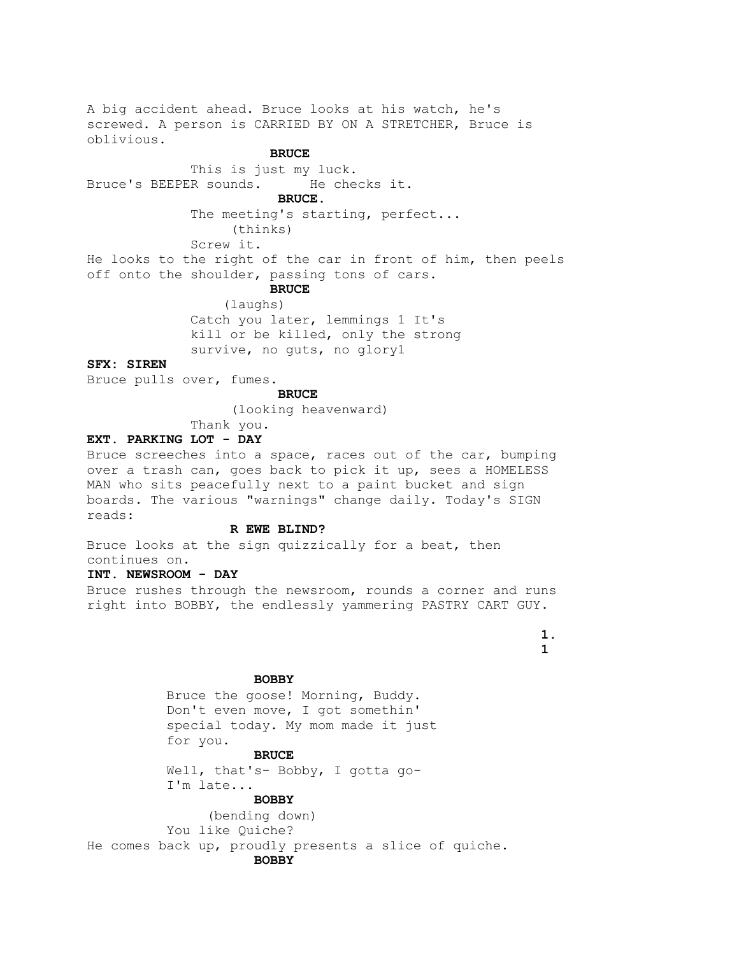A big accident ahead. Bruce looks at his watch, he's screwed. A person is CARRIED BY ON A STRETCHER, Bruce is oblivious.  **BRUCE** This is just my luck. Bruce's BEEPER sounds. He checks it.  **BRUCE.** The meeting's starting, perfect... (thinks) Screw it. He looks to the right of the car in front of him, then peels off onto the shoulder, passing tons of cars.  **BRUCE** (laughs) Catch you later, lemmings 1 It's kill or be killed, only the strong survive, no guts, no glory1 **SFX: SIREN** Bruce pulls over, fumes.  **BRUCE** (looking heavenward) Thank you. **EXT. PARKING LOT - DAY** Bruce screeches into a space, races out of the car, bumping

over a trash can, goes back to pick it up, sees a HOMELESS MAN who sits peacefully next to a paint bucket and sign boards. The various "warnings" change daily. Today's SIGN reads:

### **R EWE BLIND?**

Bruce looks at the sign quizzically for a beat, then continues on.

## **INT. NEWSROOM - DAY**

Bruce rushes through the newsroom, rounds a corner and runs right into BOBBY, the endlessly yammering PASTRY CART GUY.

 $\mathbf{1}$ . **1**

#### **BOBBY**

 Bruce the goose! Morning, Buddy. Don't even move, I got somethin' special today. My mom made it just for you.

## **BRUCE**

 Well, that's- Bobby, I gotta go- I'm late...

#### **BOBBY**

 (bending down) You like Quiche? He comes back up, proudly presents a slice of quiche.  **BOBBY**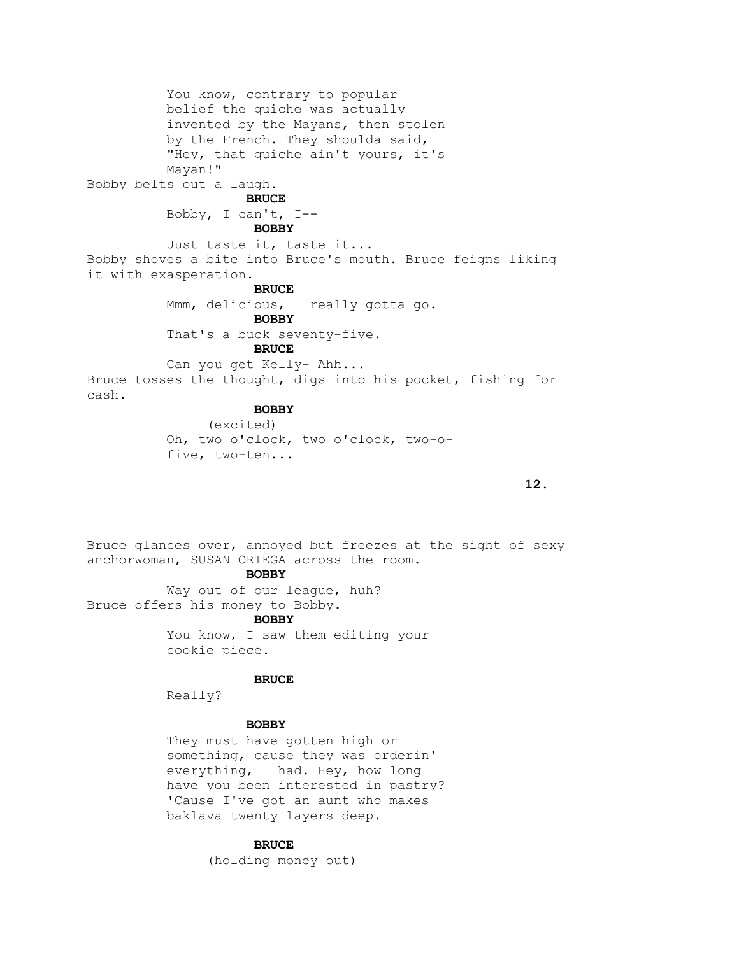You know, contrary to popular belief the quiche was actually invented by the Mayans, then stolen by the French. They shoulda said, "Hey, that quiche ain't yours, it's Mayan!" Bobby belts out a laugh.  **BRUCE** Bobby, I can't, I--  **BOBBY** Just taste it, taste it... Bobby shoves a bite into Bruce's mouth. Bruce feigns liking it with exasperation.  **BRUCE** Mmm, delicious, I really gotta go.  **BOBBY** That's a buck seventy-five.  **BRUCE** Can you get Kelly- Ahh... Bruce tosses the thought, digs into his pocket, fishing for cash.  **BOBBY** (excited) Oh, two o'clock, two o'clock, two-o five, two-ten...  $\mathbf{12.}$ Bruce glances over, annoyed but freezes at the sight of sexy anchorwoman, SUSAN ORTEGA across the room.  **BOBBY** Way out of our league, huh? Bruce offers his money to Bobby.  **BOBBY** You know, I saw them editing your cookie piece.  **BRUCE** Really?  **BOBBY**

 They must have gotten high or something, cause they was orderin' everything, I had. Hey, how long have you been interested in pastry? 'Cause I've got an aunt who makes baklava twenty layers deep.

## **BRUCE**

(holding money out)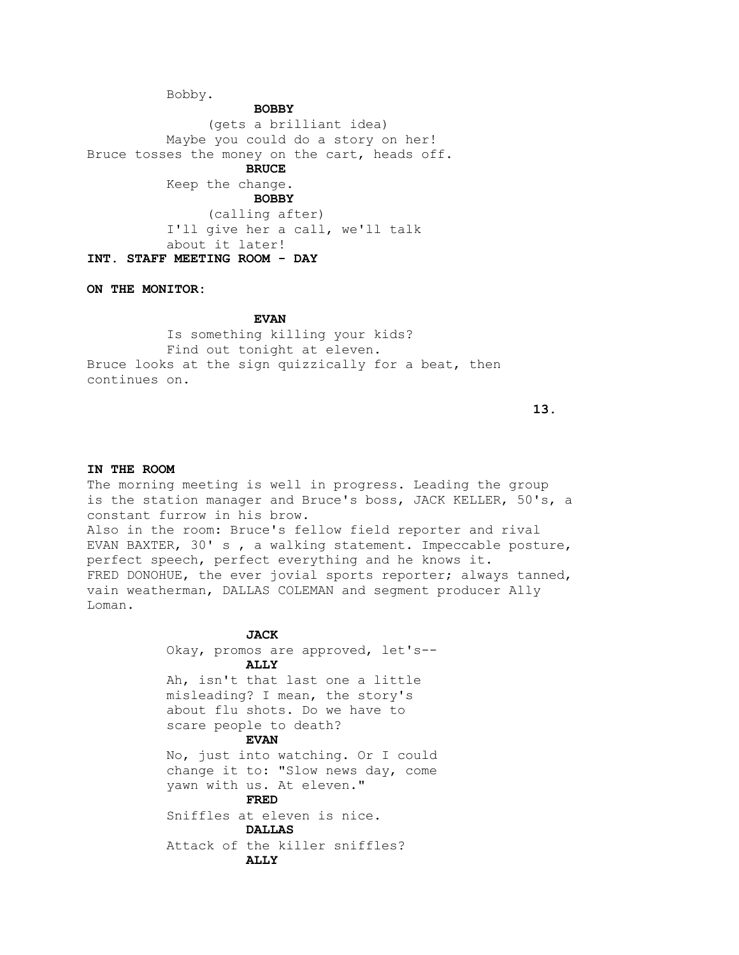Bobby.  **BOBBY** (gets a brilliant idea) Maybe you could do a story on her! Bruce tosses the money on the cart, heads off.  **BRUCE** Keep the change.  **BOBBY** (calling after) I'll give her a call, we'll talk about it later! **INT. STAFF MEETING ROOM - DAY**

### **ON THE MONITOR:**

 **EVAN**

 Is something killing your kids? Find out tonight at eleven. Bruce looks at the sign quizzically for a beat, then continues on.

 **13.**

### **IN THE ROOM**

The morning meeting is well in progress. Leading the group is the station manager and Bruce's boss, JACK KELLER, 50's, a constant furrow in his brow. Also in the room: Bruce's fellow field reporter and rival EVAN BAXTER, 30' s , a walking statement. Impeccable posture, perfect speech, perfect everything and he knows it. FRED DONOHUE, the ever jovial sports reporter; always tanned, vain weatherman, DALLAS COLEMAN and segment producer Ally Loman.

> **JACK** Okay, promos are approved, let's--  **ALLY** Ah, isn't that last one a little misleading? I mean, the story's about flu shots. Do we have to scare people to death?  **EVAN** No, just into watching. Or I could change it to: "Slow news day, come yawn with us. At eleven."  **FRED** Sniffles at eleven is nice.  **DALLAS** Attack of the killer sniffles?  **ALLY**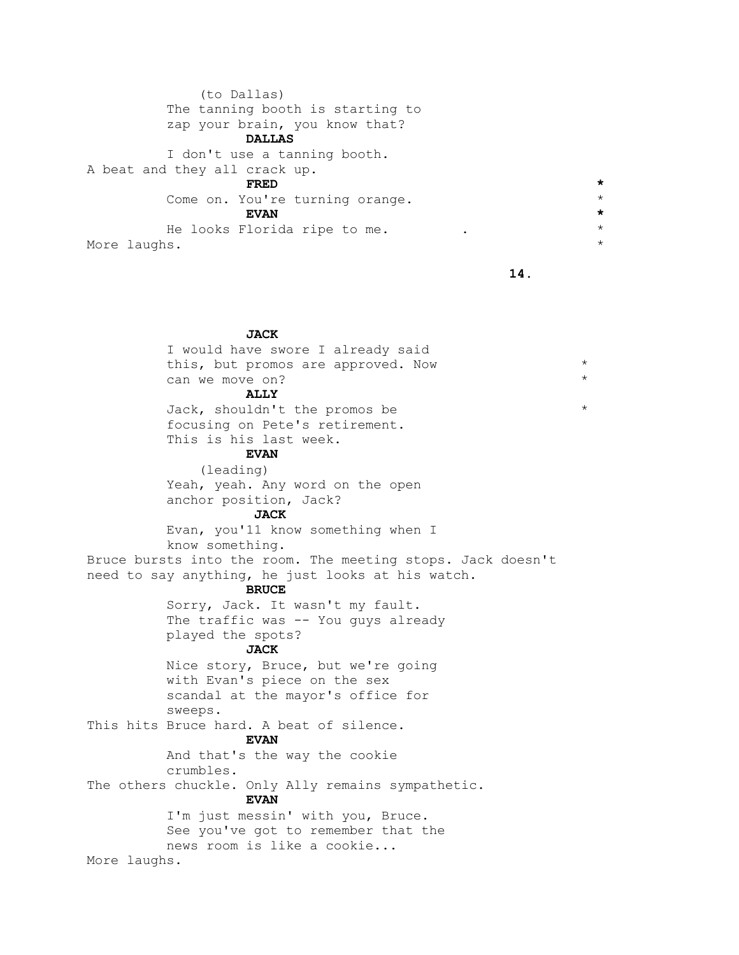| (to Dallas)                      |         |
|----------------------------------|---------|
| The tanning booth is starting to |         |
| zap your brain, you know that?   |         |
| <b>DALLAS</b>                    |         |
| I don't use a tanning booth.     |         |
| A beat and they all crack up.    |         |
| <b>FRED</b>                      | $\star$ |
| Come on. You're turning orange.  | $\star$ |
| <b>EVAN</b>                      | $\star$ |
| He looks Florida ripe to me.     | $\star$ |
| More laughs.                     | $\star$ |
|                                  |         |

 **14.**

## **JACK**

|              | I would have swore I already said                                 |         |
|--------------|-------------------------------------------------------------------|---------|
|              | this, but promos are approved. Now                                | $\star$ |
|              | can we move on?                                                   | $\star$ |
|              | <b>ALLY</b>                                                       |         |
|              | Jack, shouldn't the promos be                                     | $\star$ |
|              | focusing on Pete's retirement.                                    |         |
|              | This is his last week.                                            |         |
|              | <b>EVAN</b>                                                       |         |
|              | (leading)                                                         |         |
|              | Yeah, yeah. Any word on the open                                  |         |
|              | anchor position, Jack?                                            |         |
|              | <b>JACK</b>                                                       |         |
|              | Evan, you'll know something when I                                |         |
|              | know something.                                                   |         |
|              | Bruce bursts into the room. The meeting stops. Jack doesn't       |         |
|              | need to say anything, he just looks at his watch.<br><b>BRUCE</b> |         |
|              | Sorry, Jack. It wasn't my fault.                                  |         |
|              | The traffic was -- You guys already                               |         |
|              | played the spots?                                                 |         |
|              | <b>JACK</b>                                                       |         |
|              | Nice story, Bruce, but we're going                                |         |
|              | with Evan's piece on the sex                                      |         |
|              | scandal at the mayor's office for                                 |         |
|              | sweeps.                                                           |         |
|              | This hits Bruce hard. A beat of silence.                          |         |
|              | <b>EVAN</b>                                                       |         |
|              | And that's the way the cookie                                     |         |
|              | crumbles.                                                         |         |
|              | The others chuckle. Only Ally remains sympathetic.<br><b>EVAN</b> |         |
|              | I'm just messin' with you, Bruce.                                 |         |
|              | See you've got to remember that the                               |         |
|              | news room is like a cookie                                        |         |
| More laughs. |                                                                   |         |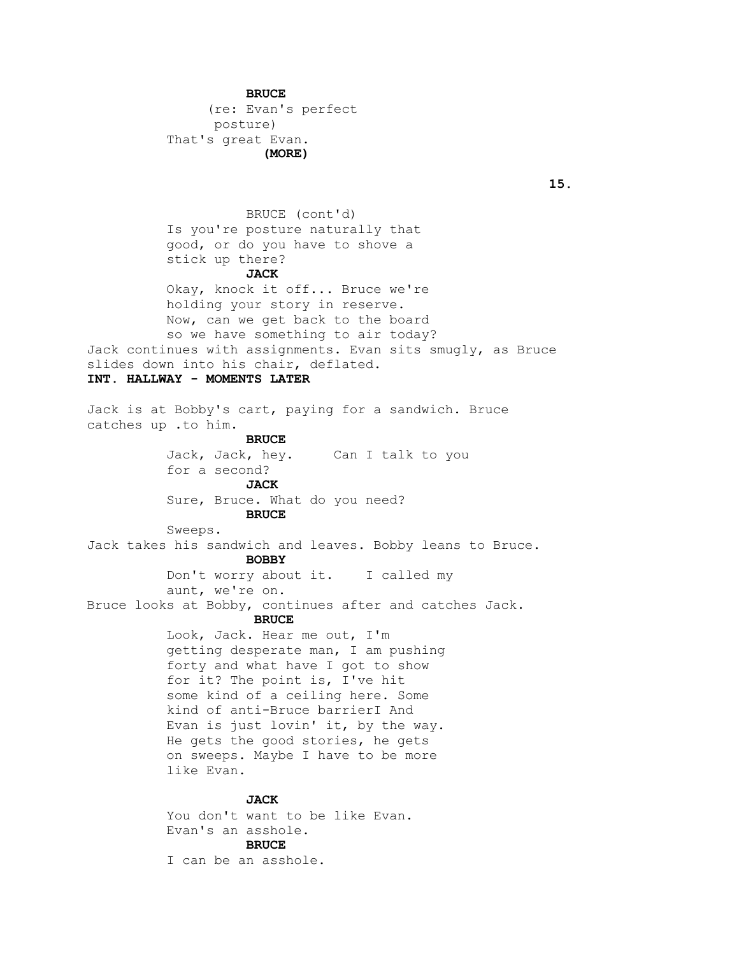(re: Evan's perfect posture) That's great Evan.  **(MORE) 15.** BRUCE (cont'd) Is you're posture naturally that good, or do you have to shove a stick up there?  **JACK** Okay, knock it off... Bruce we're holding your story in reserve. Now, can we get back to the board so we have something to air today? Jack continues with assignments. Evan sits smugly, as Bruce slides down into his chair, deflated. **INT. HALLWAY - MOMENTS LATER** Jack is at Bobby's cart, paying for a sandwich. Bruce catches up .to him.  **BRUCE** Jack, Jack, hey. Can I talk to you for a second?  **JACK** Sure, Bruce. What do you need?  **BRUCE** Sweeps. Jack takes his sandwich and leaves. Bobby leans to Bruce.  **BOBBY** Don't worry about it. I called my aunt, we're on. Bruce looks at Bobby, continues after and catches Jack.  **BRUCE** Look, Jack. Hear me out, I'm getting desperate man, I am pushing forty and what have I got to show for it? The point is, I've hit some kind of a ceiling here. Some kind of anti-Bruce barrierI And Evan is just lovin' it, by the way. He gets the good stories, he gets on sweeps. Maybe I have to be more like Evan.  **JACK** You don't want to be like Evan. Evan's an asshole.  **BRUCE** I can be an asshole.

 **BRUCE**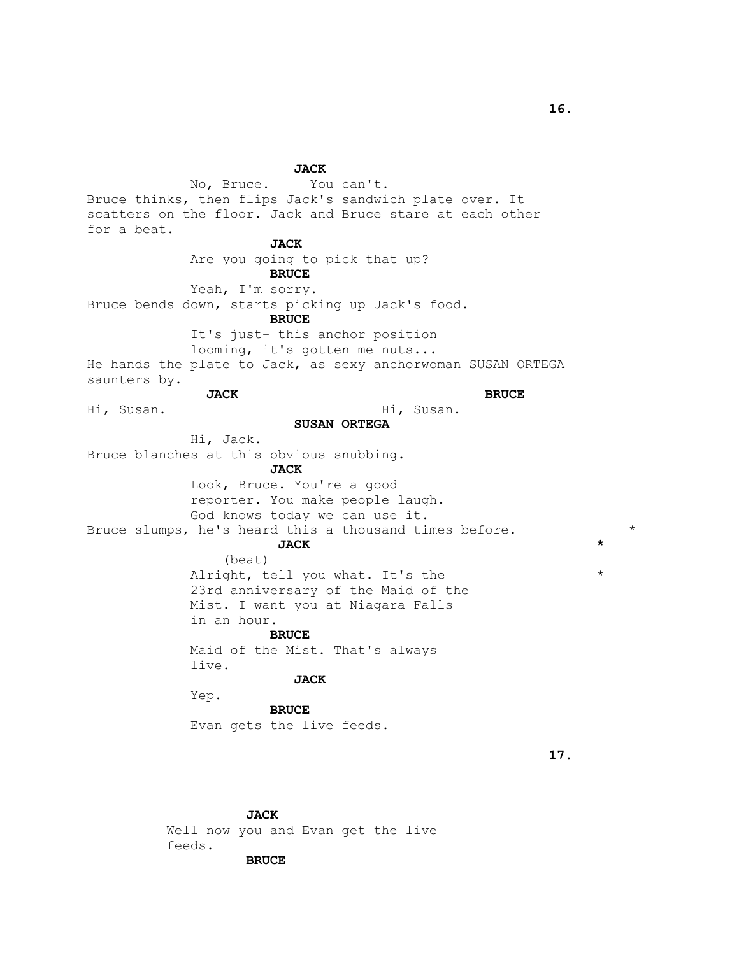*<u> JACK</u>*  No, Bruce. You can't. Bruce thinks, then flips Jack's sandwich plate over. It scatters on the floor. Jack and Bruce stare at each other for a beat.  **JACK** Are you going to pick that up?  **BRUCE** Yeah, I'm sorry. Bruce bends down, starts picking up Jack's food.  **BRUCE** It's just- this anchor position looming, it's gotten me nuts... He hands the plate to Jack, as sexy anchorwoman SUSAN ORTEGA saunters by. *JACK* BRUCE Hi, Susan. The Manneson Mi, Susan.  **SUSAN ORTEGA** Hi, Jack. Bruce blanches at this obvious snubbing.  **JACK** Look, Bruce. You're a good reporter. You make people laugh. God knows today we can use it. Bruce slumps, he's heard this a thousand times before.  **JACK \*** (beat) Alright, tell you what. It's the  $*$  23rd anniversary of the Maid of the Mist. I want you at Niagara Falls in an hour.  **BRUCE** Maid of the Mist. That's always live.  **JACK** Yep.  **BRUCE** Evan gets the live feeds.  **17.**

### **JACK**

 Well now you and Evan get the live feeds.

#### **BRUCE**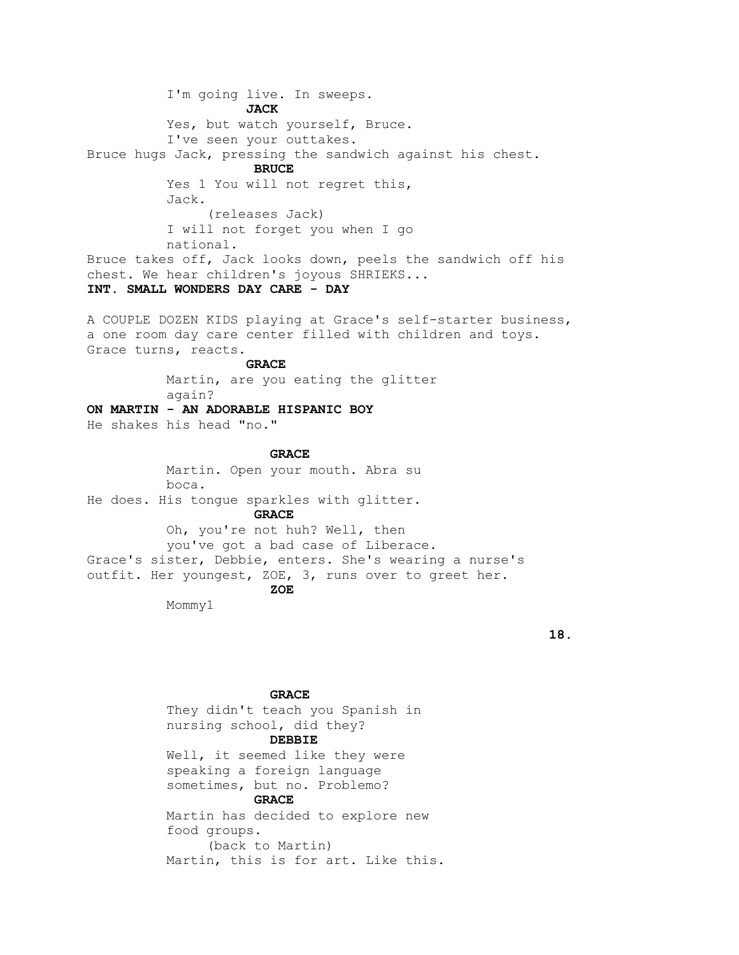I'm going live. In sweeps.  **JACK** Yes, but watch yourself, Bruce. I've seen your outtakes. Bruce hugs Jack, pressing the sandwich against his chest.  **BRUCE** Yes 1 You will not regret this, Jack. (releases Jack) I will not forget you when I go national. Bruce takes off, Jack looks down, peels the sandwich off his chest. We hear children's joyous SHRIEKS... **INT. SMALL WONDERS DAY CARE - DAY** A COUPLE DOZEN KIDS playing at Grace's self-starter business, a one room day care center filled with children and toys. Grace turns, reacts.  **GRACE** Martin, are you eating the glitter again? **ON MARTIN - AN ADORABLE HISPANIC BOY** He shakes his head "no."  **GRACE** Martin. Open your mouth. Abra su boca. He does. His tongue sparkles with glitter.  **GRACE** Oh, you're not huh? Well, then you've got a bad case of Liberace. Grace's sister, Debbie, enters. She's wearing a nurse's outfit. Her youngest, ZOE, 3, runs over to greet her. *ZOE*  Mommy1  **18.**

### **GRACE**

 They didn't teach you Spanish in nursing school, did they?  **DEBBIE** Well, it seemed like they were speaking a foreign language sometimes, but no. Problemo?  **GRACE** Martin has decided to explore new food groups. (back to Martin) Martin, this is for art. Like this.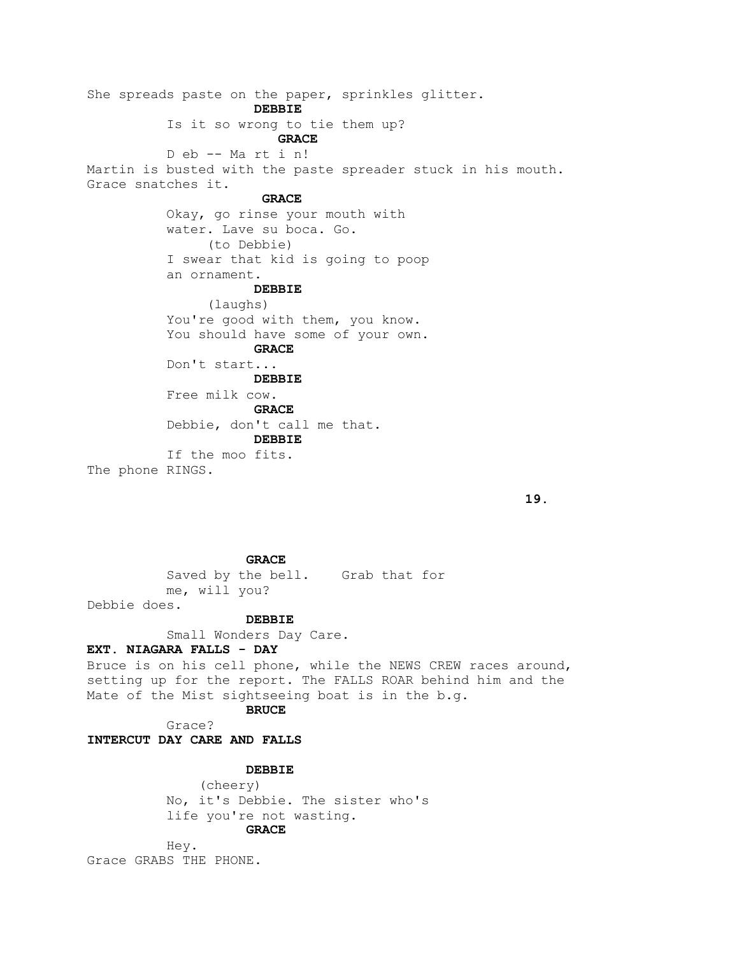She spreads paste on the paper, sprinkles glitter.  **DEBBIE** Is it so wrong to tie them up?  **GRACE** D eb -- Ma rt i n! Martin is busted with the paste spreader stuck in his mouth. Grace snatches it.  **GRACE** Okay, go rinse your mouth with water. Lave su boca. Go. (to Debbie) I swear that kid is going to poop an ornament.  **DEBBIE** (laughs) You're good with them, you know. You should have some of your own.  **GRACE** Don't start...  **DEBBIE** Free milk cow.  **GRACE** Debbie, don't call me that.  **DEBBIE** If the moo fits. The phone RINGS.

 **19.**

 **GRACE**

Saved by the bell. Grab that for me, will you? Debbie does.

 **DEBBIE**

Small Wonders Day Care.

## **EXT. NIAGARA FALLS - DAY**

Bruce is on his cell phone, while the NEWS CREW races around, setting up for the report. The FALLS ROAR behind him and the Mate of the Mist sightseeing boat is in the b.g.

 **BRUCE**

Grace?

**INTERCUT DAY CARE AND FALLS**

### **DEBBIE**

 (cheery) No, it's Debbie. The sister who's life you're not wasting.  **GRACE**

Hey.

Grace GRABS THE PHONE.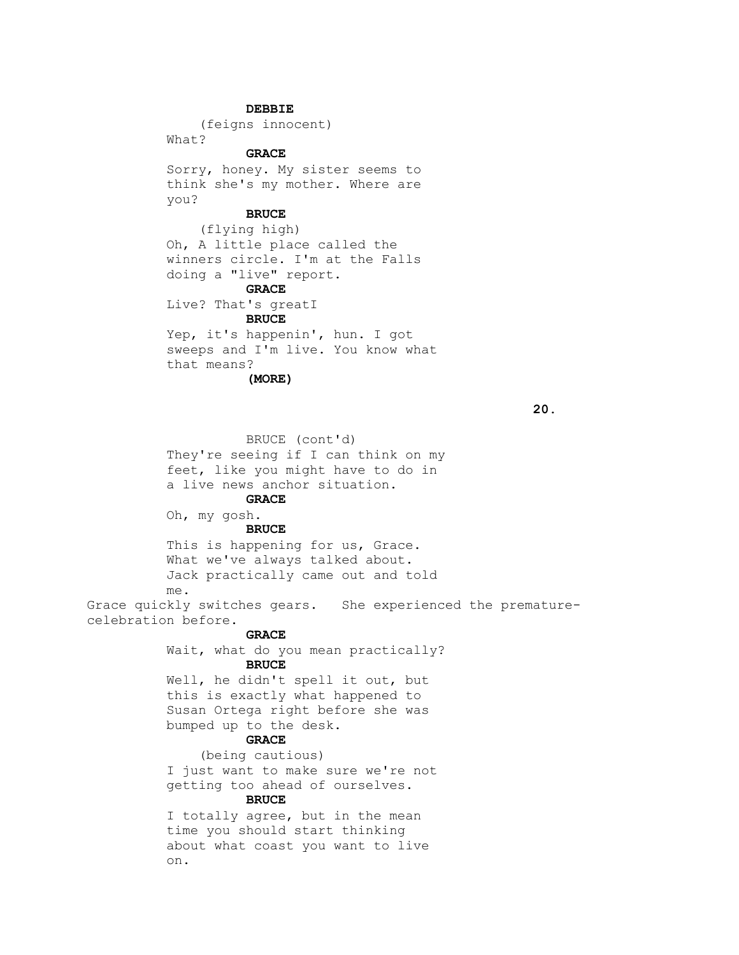## **DEBBIE**

 (feigns innocent) What?

 **GRACE**

 Sorry, honey. My sister seems to think she's my mother. Where are you?

## **BRUCE**

 (flying high) Oh, A little place called the winners circle. I'm at the Falls doing a "live" report.  **GRACE** Live? That's greatI  **BRUCE** Yep, it's happenin', hun. I got sweeps and I'm live. You know what

 **(MORE)**

that means?

```
\sim 20.
```
 BRUCE (cont'd) They're seeing if I can think on my feet, like you might have to do in a live news anchor situation.  **GRACE** Oh, my gosh.  **BRUCE** This is happening for us, Grace. What we've always talked about. Jack practically came out and told me. Grace quickly switches gears. She experienced the prematurecelebration before.  **GRACE** Wait, what do you mean practically?  **BRUCE** Well, he didn't spell it out, but this is exactly what happened to Susan Ortega right before she was bumped up to the desk.  **GRACE** (being cautious) I just want to make sure we're not getting too ahead of ourselves.  **BRUCE** I totally agree, but in the mean time you should start thinking about what coast you want to live on.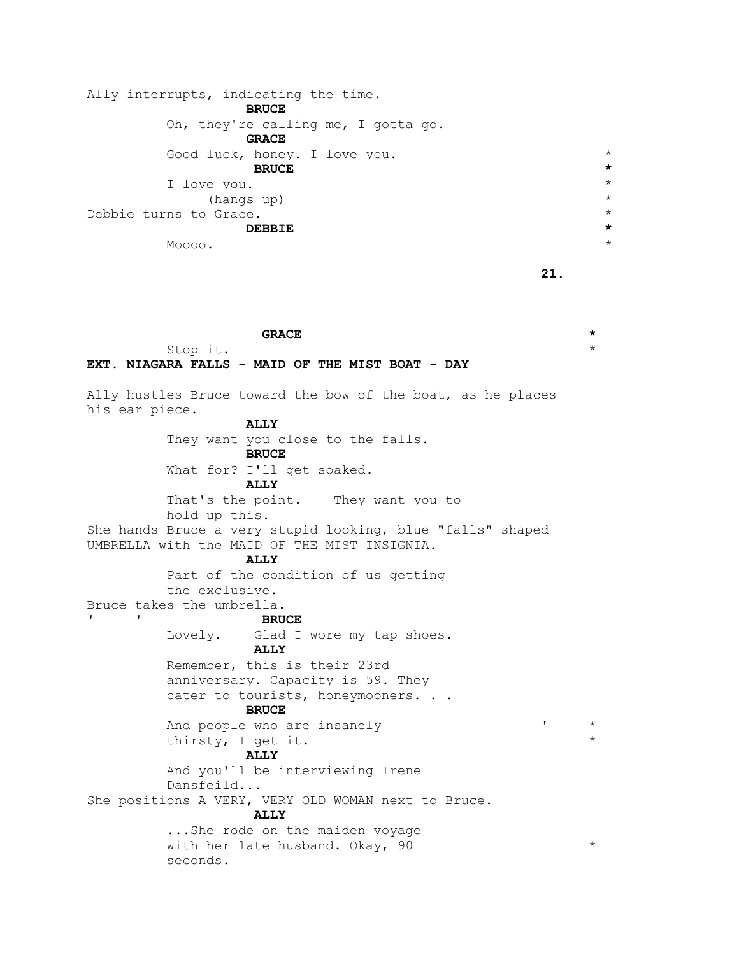Ally interrupts, indicating the time.  **BRUCE** Oh, they're calling me, I gotta go.  **GRACE** Good luck, honey. I love you. **BRUCE**  $\star$ I love you.  ${\hbox{(hangs up)}}$  \* Debbie turns to Grace.  **DEBBIE \***  $MOOOO$ .

 $21.$ 

**GRACE**  $\star$ Stop it. **EXT. NIAGARA FALLS - MAID OF THE MIST BOAT - DAY** Ally hustles Bruce toward the bow of the boat, as he places his ear piece.  **ALLY** They want you close to the falls.  **BRUCE** What for? I'll get soaked.  **ALLY** That's the point. They want you to hold up this. She hands Bruce a very stupid looking, blue "falls" shaped UMBRELLA with the MAID OF THE MIST INSIGNIA.  **ALLY** Part of the condition of us getting the exclusive. Bruce takes the umbrella. **' ' BRUCE** Lovely. Glad I wore my tap shoes.  **ALLY** Remember, this is their 23rd anniversary. Capacity is 59. They cater to tourists, honeymooners. . .  **BRUCE** And people who are insanely  $\cdot$   $\cdot$  thirsty, I get it. \*  **ALLY** And you'll be interviewing Irene Dansfeild... She positions A VERY, VERY OLD WOMAN next to Bruce.  **ALLY** ...She rode on the maiden voyage with her late husband. Okay, 90 \* seconds.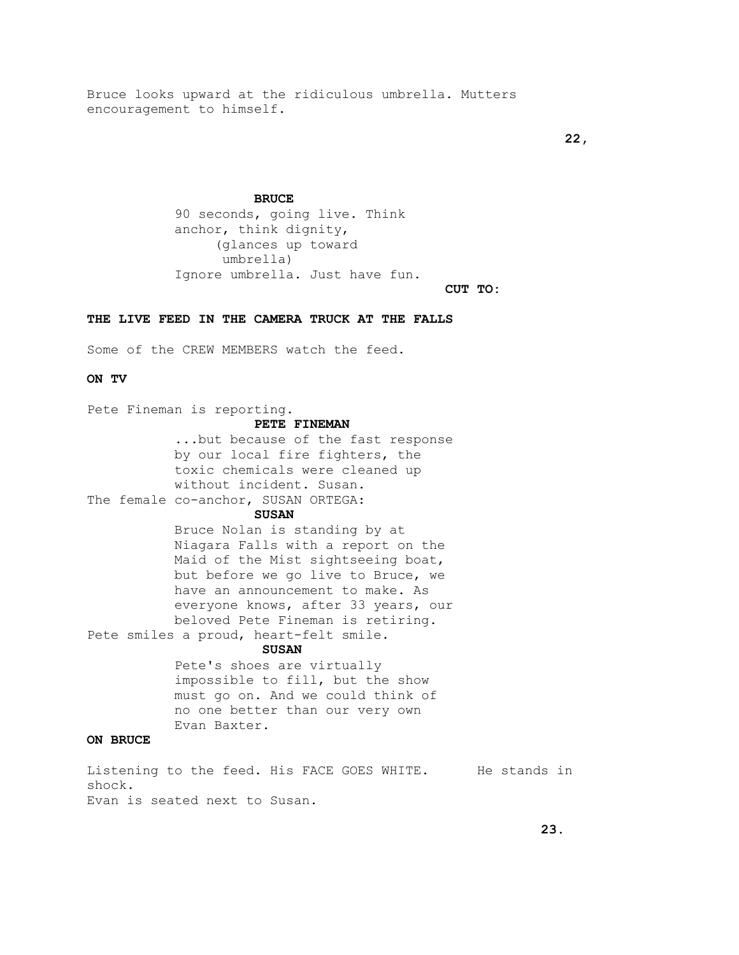Bruce looks upward at the ridiculous umbrella. Mutters encouragement to himself.

 **BRUCE**

 90 seconds, going live. Think anchor, think dignity, (glances up toward umbrella) Ignore umbrella. Just have fun.

 **CUT TO:**

## **THE LIVE FEED IN THE CAMERA TRUCK AT THE FALLS**

Some of the CREW MEMBERS watch the feed.

## **ON TV**

Pete Fineman is reporting.  **PETE FINEMAN**

 ...but because of the fast response by our local fire fighters, the toxic chemicals were cleaned up without incident. Susan. The female co-anchor, SUSAN ORTEGA:

## **SUSAN**

 Bruce Nolan is standing by at Niagara Falls with a report on the Maid of the Mist sightseeing boat, but before we go live to Bruce, we have an announcement to make. As everyone knows, after 33 years, our beloved Pete Fineman is retiring.

Pete smiles a proud, heart-felt smile.

## **SUSAN**

 Pete's shoes are virtually impossible to fill, but the show must go on. And we could think of no one better than our very own Evan Baxter.

## **ON BRUCE**

Listening to the feed. His FACE GOES WHITE. He stands in shock. Evan is seated next to Susan.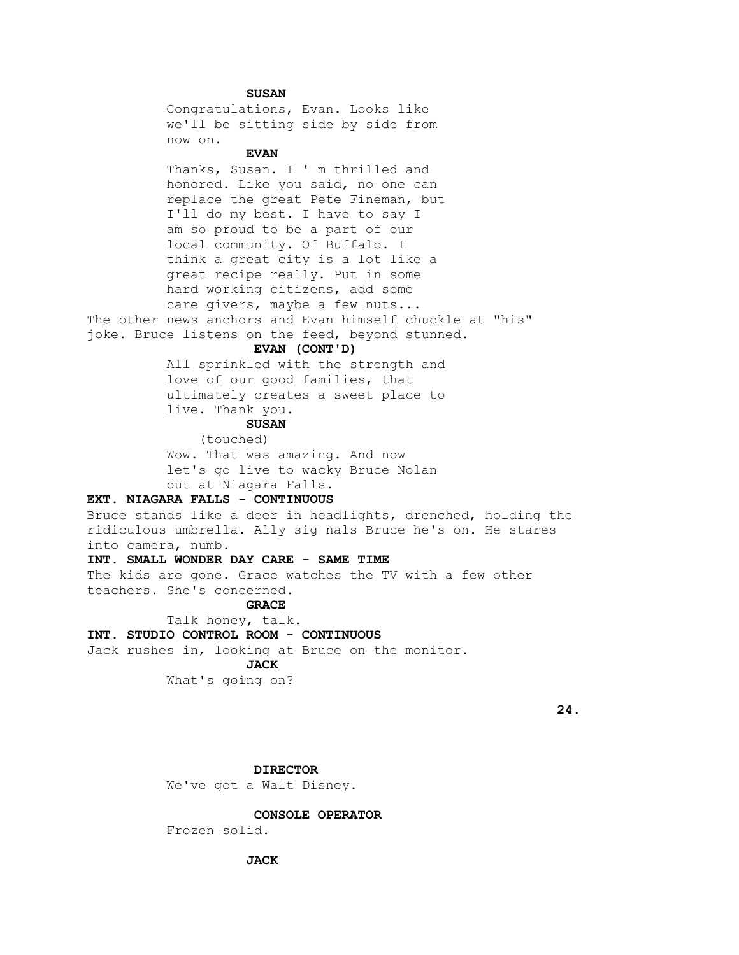## **SUSAN**

 Congratulations, Evan. Looks like we'll be sitting side by side from now on.

#### **EVAN**

 Thanks, Susan. I ' m thrilled and honored. Like you said, no one can replace the great Pete Fineman, but I'll do my best. I have to say I am so proud to be a part of our local community. Of Buffalo. I think a great city is a lot like a great recipe really. Put in some hard working citizens, add some care givers, maybe a few nuts...

The other news anchors and Evan himself chuckle at "his" joke. Bruce listens on the feed, beyond stunned.

## **EVAN (CONT'D)**

 All sprinkled with the strength and love of our good families, that ultimately creates a sweet place to live. Thank you.

## **SUSAN**

 (touched) Wow. That was amazing. And now let's go live to wacky Bruce Nolan out at Niagara Falls.

### **EXT. NIAGARA FALLS - CONTINUOUS**

Bruce stands like a deer in headlights, drenched, holding the ridiculous umbrella. Ally sig nals Bruce he's on. He stares into camera, numb.

## **INT. SMALL WONDER DAY CARE - SAME TIME**

The kids are gone. Grace watches the TV with a few other teachers. She's concerned.

## **GRACE**

Talk honey, talk.

#### **INT. STUDIO CONTROL ROOM - CONTINUOUS**

Jack rushes in, looking at Bruce on the monitor.

 **JACK**

What's going on?

 **24.**

#### **DIRECTOR**

We've got a Walt Disney.

## **CONSOLE OPERATOR**

Frozen solid.

### **JACK**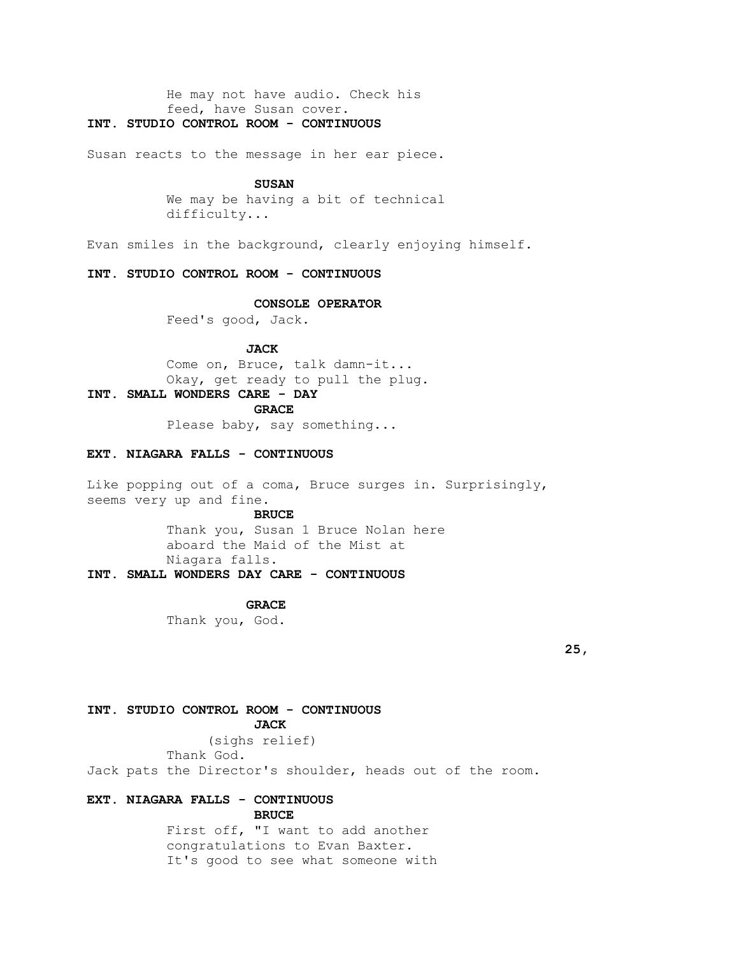He may not have audio. Check his feed, have Susan cover.

## **INT. STUDIO CONTROL ROOM - CONTINUOUS**

Susan reacts to the message in her ear piece.

 **SUSAN** We may be having a bit of technical difficulty...

Evan smiles in the background, clearly enjoying himself.

**INT. STUDIO CONTROL ROOM - CONTINUOUS**

 **CONSOLE OPERATOR**

Feed's good, Jack.

 **JACK**

 Come on, Bruce, talk damn-it... Okay, get ready to pull the plug. **INT. SMALL WONDERS CARE - DAY GRACE**

Please baby, say something...

## **EXT. NIAGARA FALLS - CONTINUOUS**

Like popping out of a coma, Bruce surges in. Surprisingly, seems very up and fine.

 **BRUCE**

 Thank you, Susan 1 Bruce Nolan here aboard the Maid of the Mist at Niagara falls. **INT. SMALL WONDERS DAY CARE - CONTINUOUS**

 **GRACE**

Thank you, God.

 **25,**

**INT. STUDIO CONTROL ROOM - CONTINUOUS JACK** (sighs relief) Thank God. Jack pats the Director's shoulder, heads out of the room.

**EXT. NIAGARA FALLS - CONTINUOUS BRUCE**

> First off, "I want to add another congratulations to Evan Baxter. It's good to see what someone with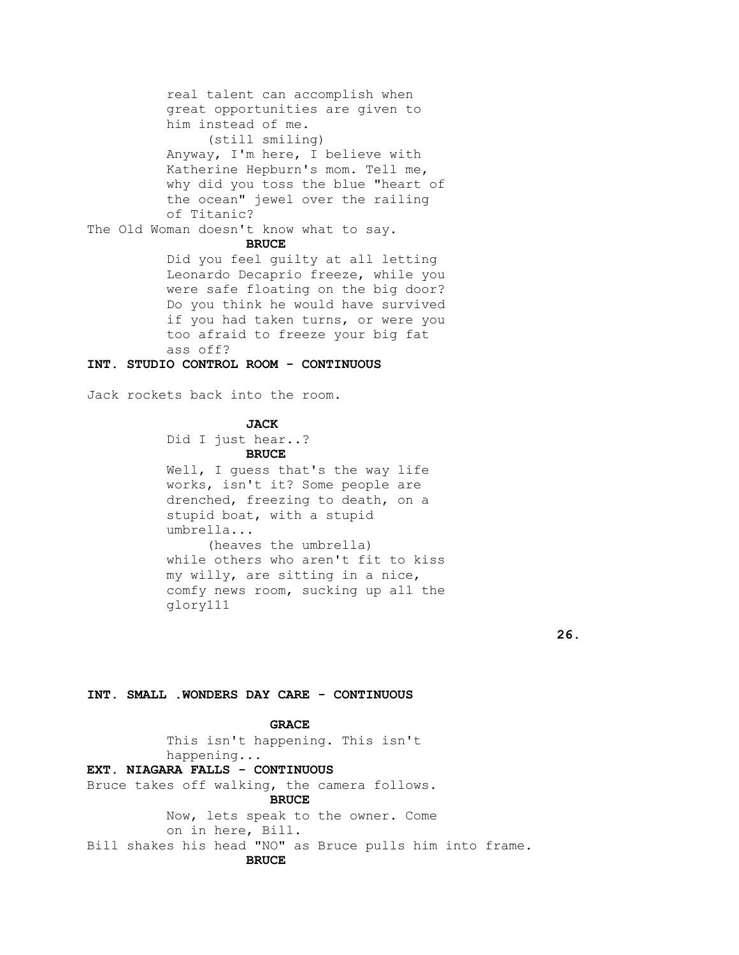real talent can accomplish when great opportunities are given to him instead of me. (still smiling) Anyway, I'm here, I believe with Katherine Hepburn's mom. Tell me, why did you toss the blue "heart of the ocean" jewel over the railing of Titanic? The Old Woman doesn't know what to say.  **BRUCE** Did you feel guilty at all letting Leonardo Decaprio freeze, while you were safe floating on the big door? Do you think he would have survived if you had taken turns, or were you too afraid to freeze your big fat ass off? **INT. STUDIO CONTROL ROOM - CONTINUOUS** Jack rockets back into the room.  **JACK** Did I just hear..?  **BRUCE** Well, I guess that's the way life works, isn't it? Some people are drenched, freezing to death, on a stupid boat, with a stupid umbrella... (heaves the umbrella)

 while others who aren't fit to kiss my willy, are sitting in a nice, comfy news room, sucking up all the glory111

 **26.**

## **INT. SMALL .WONDERS DAY CARE - CONTINUOUS**

## **GRACE**

 This isn't happening. This isn't happening... **EXT. NIAGARA FALLS - CONTINUOUS** Bruce takes off walking, the camera follows.  **BRUCE** Now, lets speak to the owner. Come on in here, Bill. Bill shakes his head "NO" as Bruce pulls him into frame.  **BRUCE**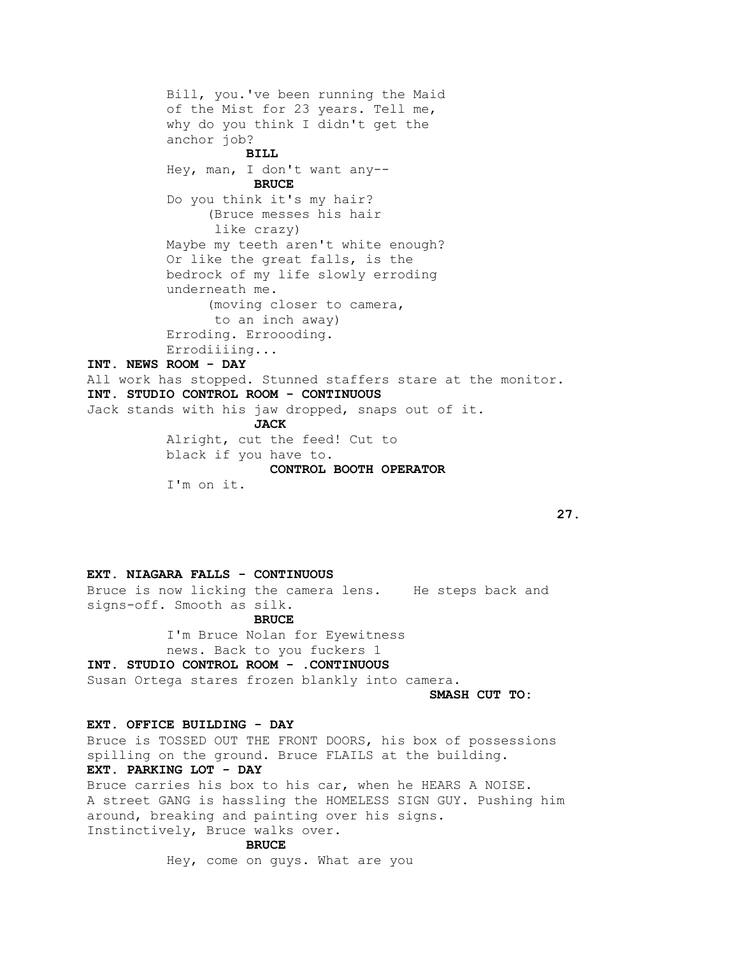Bill, you.'ve been running the Maid of the Mist for 23 years. Tell me, why do you think I didn't get the anchor job?  **BILL** Hey, man, I don't want any--  **BRUCE** Do you think it's my hair? (Bruce messes his hair like crazy) Maybe my teeth aren't white enough? Or like the great falls, is the bedrock of my life slowly erroding underneath me. (moving closer to camera, to an inch away) Erroding. Erroooding. Errodiiiing... **INT. NEWS ROOM - DAY** All work has stopped. Stunned staffers stare at the monitor. **INT. STUDIO CONTROL ROOM - CONTINUOUS** Jack stands with his jaw dropped, snaps out of it.  **JACK** Alright, cut the feed! Cut to black if you have to.  **CONTROL BOOTH OPERATOR** I'm on it.  **27. EXT. NIAGARA FALLS - CONTINUOUS** Bruce is now licking the camera lens. He steps back and signs-off. Smooth as silk.  **BRUCE**

 I'm Bruce Nolan for Eyewitness news. Back to you fuckers 1

## **INT. STUDIO CONTROL ROOM - .CONTINUOUS**

Susan Ortega stares frozen blankly into camera.

 **SMASH CUT TO:**

## **EXT. OFFICE BUILDING - DAY**

Bruce is TOSSED OUT THE FRONT DOORS, his box of possessions spilling on the ground. Bruce FLAILS at the building. **EXT. PARKING LOT - DAY**

Bruce carries his box to his car, when he HEARS A NOISE. A street GANG is hassling the HOMELESS SIGN GUY. Pushing him around, breaking and painting over his signs. Instinctively, Bruce walks over.

#### **BRUCE**

Hey, come on guys. What are you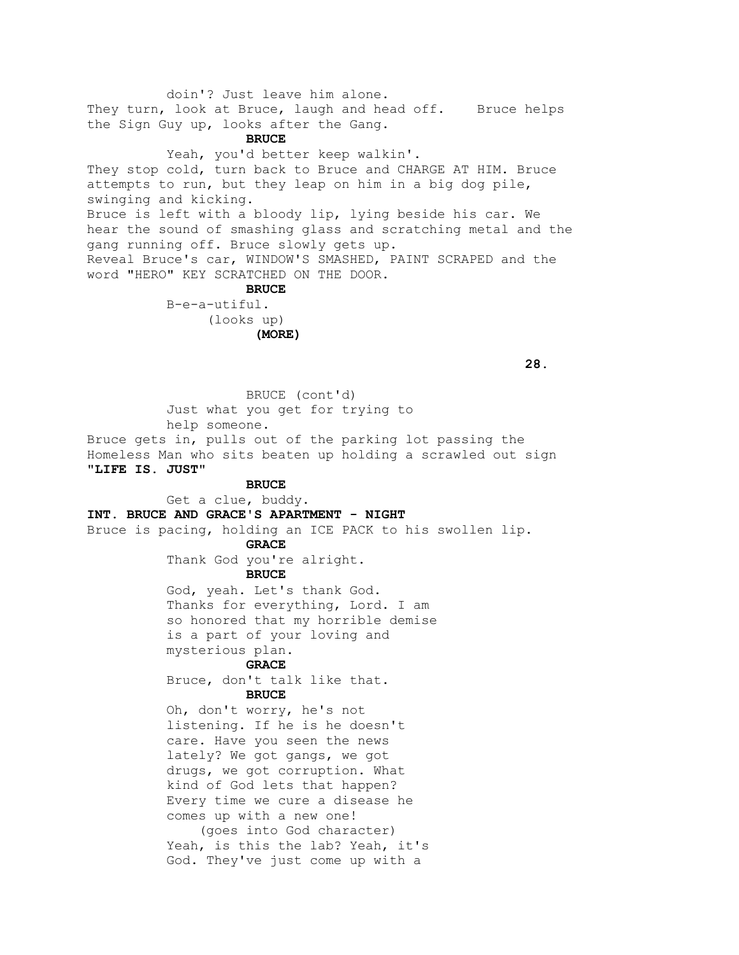doin'? Just leave him alone. They turn, look at Bruce, laugh and head off. Bruce helps the Sign Guy up, looks after the Gang.  **BRUCE** Yeah, you'd better keep walkin'. They stop cold, turn back to Bruce and CHARGE AT HIM. Bruce attempts to run, but they leap on him in a big dog pile, swinging and kicking. Bruce is left with a bloody lip, lying beside his car. We hear the sound of smashing glass and scratching metal and the gang running off. Bruce slowly gets up. Reveal Bruce's car, WINDOW'S SMASHED, PAINT SCRAPED and the word "HERO" KEY SCRATCHED ON THE DOOR.  **BRUCE** B-e-a-utiful. (looks up)  **(MORE) 28.** BRUCE (cont'd) Just what you get for trying to help someone. Bruce gets in, pulls out of the parking lot passing the Homeless Man who sits beaten up holding a scrawled out sign **"LIFE IS. JUST" BRUCE** Get a clue, buddy. **INT. BRUCE AND GRACE'S APARTMENT - NIGHT** Bruce is pacing, holding an ICE PACK to his swollen lip.  **GRACE** Thank God you're alright.  **BRUCE** God, yeah. Let's thank God. Thanks for everything, Lord. I am so honored that my horrible demise is a part of your loving and mysterious plan.  **GRACE** Bruce, don't talk like that.  **BRUCE** Oh, don't worry, he's not listening. If he is he doesn't care. Have you seen the news lately? We got gangs, we got drugs, we got corruption. What kind of God lets that happen? Every time we cure a disease he comes up with a new one! (goes into God character) Yeah, is this the lab? Yeah, it's God. They've just come up with a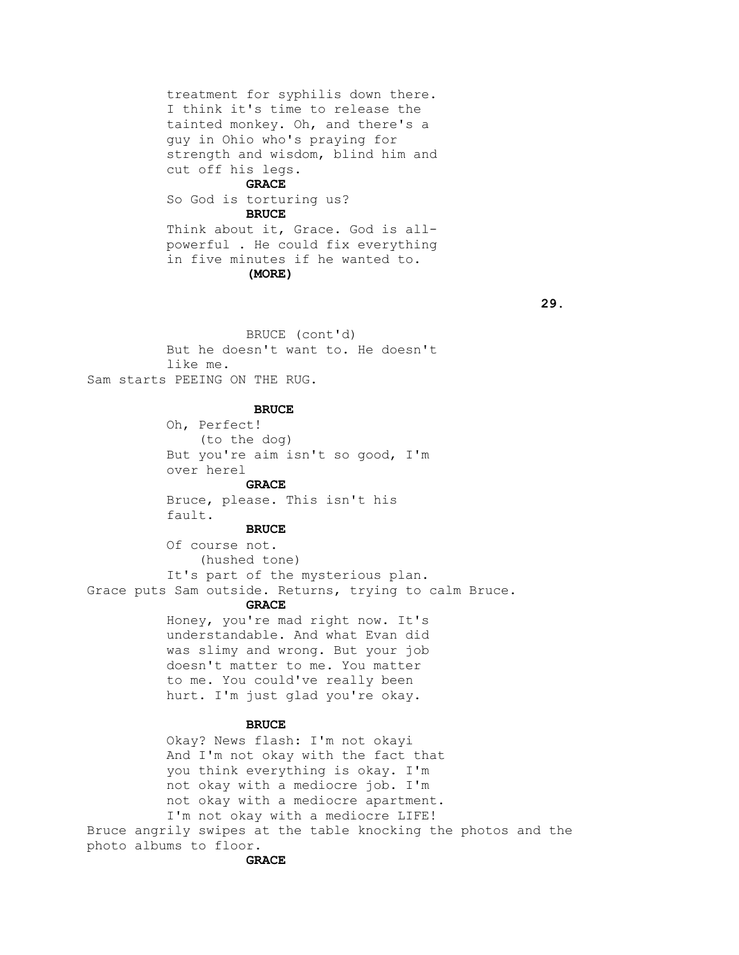treatment for syphilis down there. I think it's time to release the tainted monkey. Oh, and there's a guy in Ohio who's praying for strength and wisdom, blind him and cut off his legs.  **GRACE** So God is torturing us?  **BRUCE** Think about it, Grace. God is all powerful . He could fix everything in five minutes if he wanted to.  **(MORE)**

 **29.**

 BRUCE (cont'd) But he doesn't want to. He doesn't like me. Sam starts PEEING ON THE RUG.

#### **BRUCE**

 Oh, Perfect! (to the dog) But you're aim isn't so good, I'm over herel  **GRACE**

 Bruce, please. This isn't his fault.

#### **BRUCE**

 Of course not. (hushed tone) It's part of the mysterious plan. Grace puts Sam outside. Returns, trying to calm Bruce.

## **GRACE**

 Honey, you're mad right now. It's understandable. And what Evan did was slimy and wrong. But your job doesn't matter to me. You matter to me. You could've really been hurt. I'm just glad you're okay.

## **BRUCE**

 Okay? News flash: I'm not okayi And I'm not okay with the fact that you think everything is okay. I'm not okay with a mediocre job. I'm not okay with a mediocre apartment. I'm not okay with a mediocre LIFE! Bruce angrily swipes at the table knocking the photos and the photo albums to floor.

 **GRACE**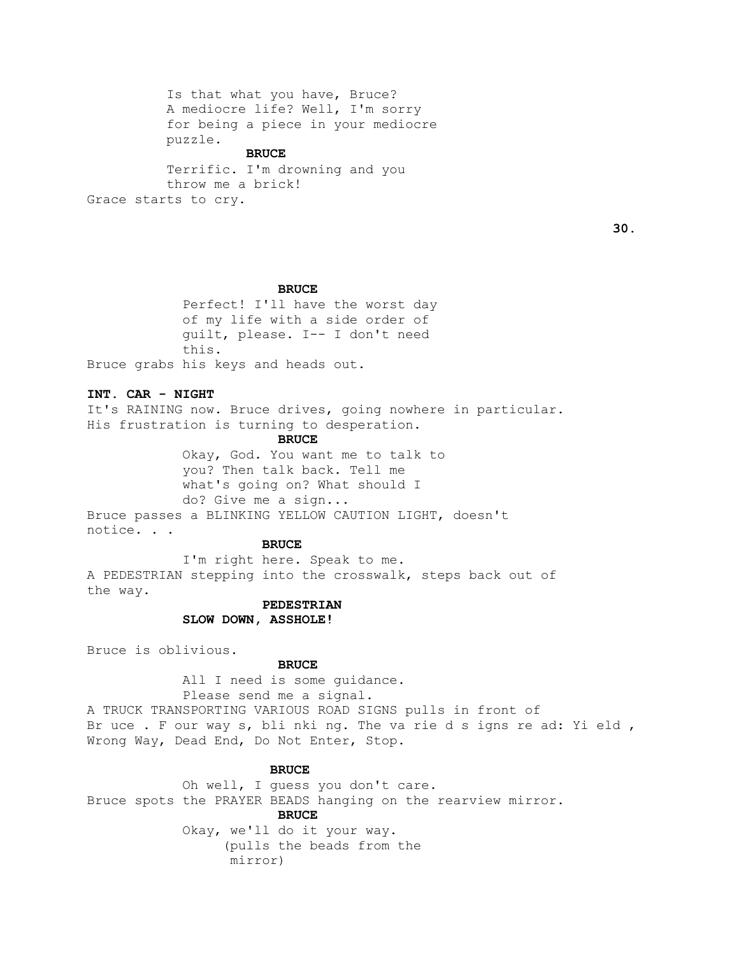Is that what you have, Bruce? A mediocre life? Well, I'm sorry for being a piece in your mediocre puzzle.

#### **BRUCE**

 Terrific. I'm drowning and you throw me a brick! Grace starts to cry.

 **30.**

### **BRUCE**

 Perfect! I'll have the worst day of my life with a side order of guilt, please. I-- I don't need this.

Bruce grabs his keys and heads out.

## **INT. CAR - NIGHT**

It's RAINING now. Bruce drives, going nowhere in particular. His frustration is turning to desperation.

 **BRUCE**

 Okay, God. You want me to talk to you? Then talk back. Tell me what's going on? What should I do? Give me a sign... Bruce passes a BLINKING YELLOW CAUTION LIGHT, doesn't notice. . .

### **BRUCE**

 I'm right here. Speak to me. A PEDESTRIAN stepping into the crosswalk, steps back out of the way.

## **PEDESTRIAN**

#### **SLOW DOWN, ASSHOLE!**

Bruce is oblivious.

#### **BRUCE**

All I need is some guidance.

 Please send me a signal. A TRUCK TRANSPORTING VARIOUS ROAD SIGNS pulls in front of Br uce . F our way s, bli nki ng. The va rie d s igns re ad: Yi eld,

Wrong Way, Dead End, Do Not Enter, Stop.

## **BRUCE**

 Oh well, I guess you don't care. Bruce spots the PRAYER BEADS hanging on the rearview mirror.  **BRUCE**

 Okay, we'll do it your way. (pulls the beads from the mirror)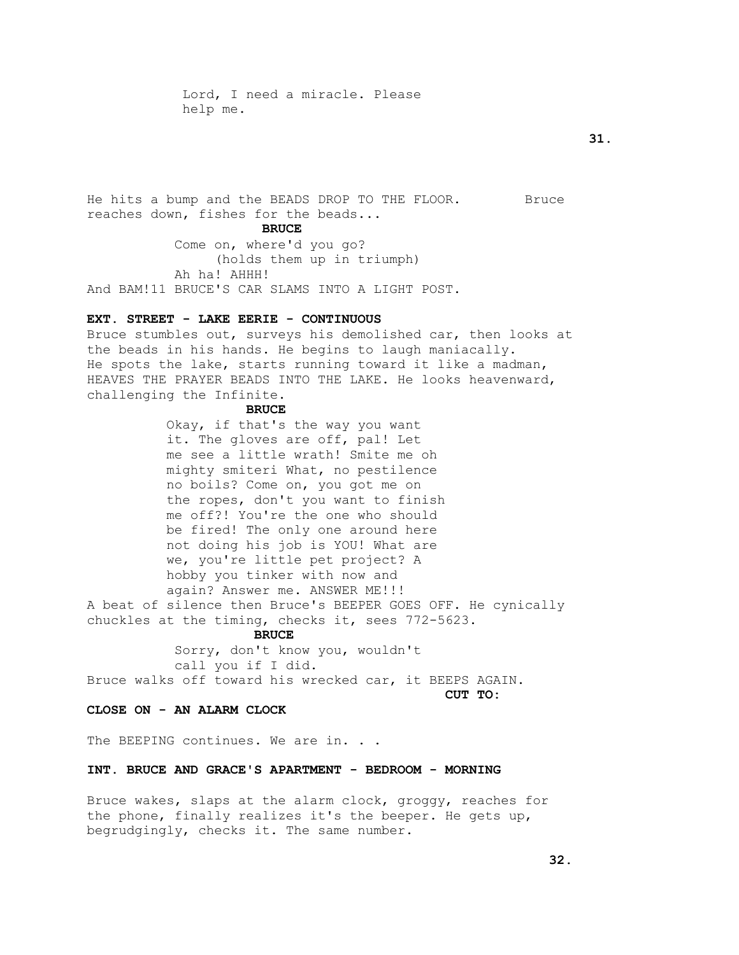Lord, I need a miracle. Please help me.

 **31.**

He hits a bump and the BEADS DROP TO THE FLOOR. Bruce reaches down, fishes for the beads...

### **BRUCE**

 Come on, where'd you go? (holds them up in triumph) Ah ha! AHHH! And BAM!11 BRUCE'S CAR SLAMS INTO A LIGHT POST.

# **EXT. STREET - LAKE EERIE - CONTINUOUS**

Bruce stumbles out, surveys his demolished car, then looks at the beads in his hands. He begins to laugh maniacally. He spots the lake, starts running toward it like a madman, HEAVES THE PRAYER BEADS INTO THE LAKE. He looks heavenward, challenging the Infinite.

#### **BRUCE**

 Okay, if that's the way you want it. The gloves are off, pal! Let me see a little wrath! Smite me oh mighty smiteri What, no pestilence no boils? Come on, you got me on the ropes, don't you want to finish me off?! You're the one who should be fired! The only one around here not doing his job is YOU! What are we, you're little pet project? A hobby you tinker with now and again? Answer me. ANSWER ME!!!

A beat of silence then Bruce's BEEPER GOES OFF. He cynically chuckles at the timing, checks it, sees 772-5623.

 **BRUCE**

 Sorry, don't know you, wouldn't call you if I did. Bruce walks off toward his wrecked car, it BEEPS AGAIN.

#### **CUT TO:**

## **CLOSE ON - AN ALARM CLOCK**

The BEEPING continues. We are in. . .

## **INT. BRUCE AND GRACE'S APARTMENT - BEDROOM - MORNING**

Bruce wakes, slaps at the alarm clock, groggy, reaches for the phone, finally realizes it's the beeper. He gets up, begrudgingly, checks it. The same number.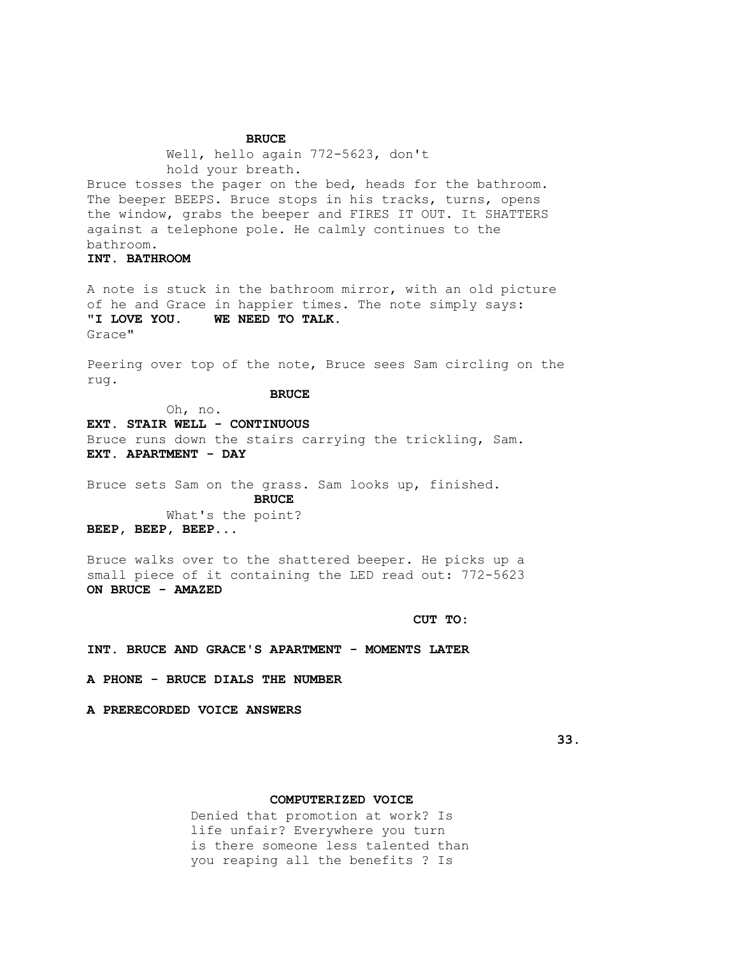## **BRUCE**

 Well, hello again 772-5623, don't hold your breath. Bruce tosses the pager on the bed, heads for the bathroom. The beeper BEEPS. Bruce stops in his tracks, turns, opens the window, grabs the beeper and FIRES IT OUT. It SHATTERS against a telephone pole. He calmly continues to the bathroom. **INT. BATHROOM**

A note is stuck in the bathroom mirror, with an old picture of he and Grace in happier times. The note simply says: **"I LOVE YOU. WE NEED TO TALK.** Grace"

Peering over top of the note, Bruce sees Sam circling on the rug.

 **BRUCE**

 Oh, no. **EXT. STAIR WELL - CONTINUOUS** Bruce runs down the stairs carrying the trickling, Sam. **EXT. APARTMENT - DAY**

Bruce sets Sam on the grass. Sam looks up, finished.  **BRUCE** What's the point? **BEEP, BEEP, BEEP...**

Bruce walks over to the shattered beeper. He picks up a small piece of it containing the LED read out: 772-5623 **ON BRUCE - AMAZED**

 **CUT TO:**

**INT. BRUCE AND GRACE'S APARTMENT - MOMENTS LATER**

**A PHONE - BRUCE DIALS THE NUMBER**

**A PRERECORDED VOICE ANSWERS**

 $\sim$  33.

## **COMPUTERIZED VOICE**

 Denied that promotion at work? Is life unfair? Everywhere you turn is there someone less talented than you reaping all the benefits ? Is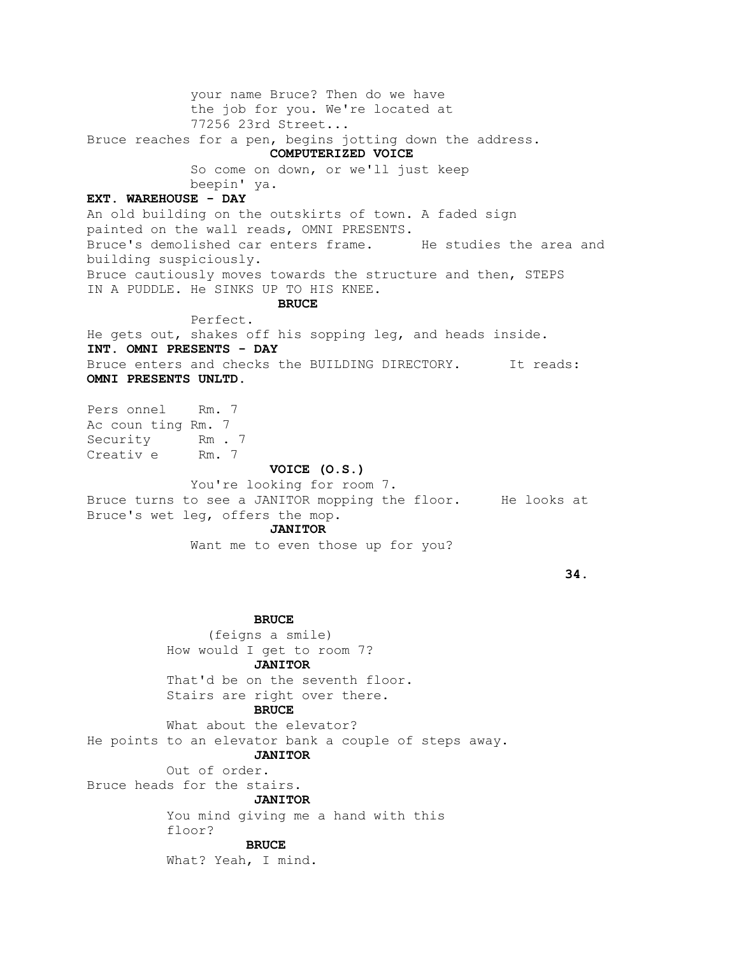your name Bruce? Then do we have the job for you. We're located at 77256 23rd Street... Bruce reaches for a pen, begins jotting down the address.  **COMPUTERIZED VOICE** So come on down, or we'll just keep beepin' ya. **EXT. WAREHOUSE - DAY** An old building on the outskirts of town. A faded sign painted on the wall reads, OMNI PRESENTS. Bruce's demolished car enters frame. He studies the area and building suspiciously. Bruce cautiously moves towards the structure and then, STEPS IN A PUDDLE. He SINKS UP TO HIS KNEE.  **BRUCE** Perfect. He gets out, shakes off his sopping leg, and heads inside. **INT. OMNI PRESENTS - DAY** Bruce enters and checks the BUILDING DIRECTORY. It reads: **OMNI PRESENTS UNLTD.** Pers onnel Rm. 7 Ac coun ting Rm. 7 Security Rm . 7 Creativ e Rm. 7  **VOICE (O.S.)** You're looking for room 7. Bruce turns to see a JANITOR mopping the floor. He looks at Bruce's wet leg, offers the mop.  **JANITOR** Want me to even those up for you?  **34. BRUCE** (feigns a smile) How would I get to room 7?  **JANITOR** That'd be on the seventh floor. Stairs are right over there.  **BRUCE** What about the elevator? He points to an elevator bank a couple of steps away.  **JANITOR** Out of order. Bruce heads for the stairs.  **JANITOR** You mind giving me a hand with this floor?  **BRUCE** What? Yeah, I mind.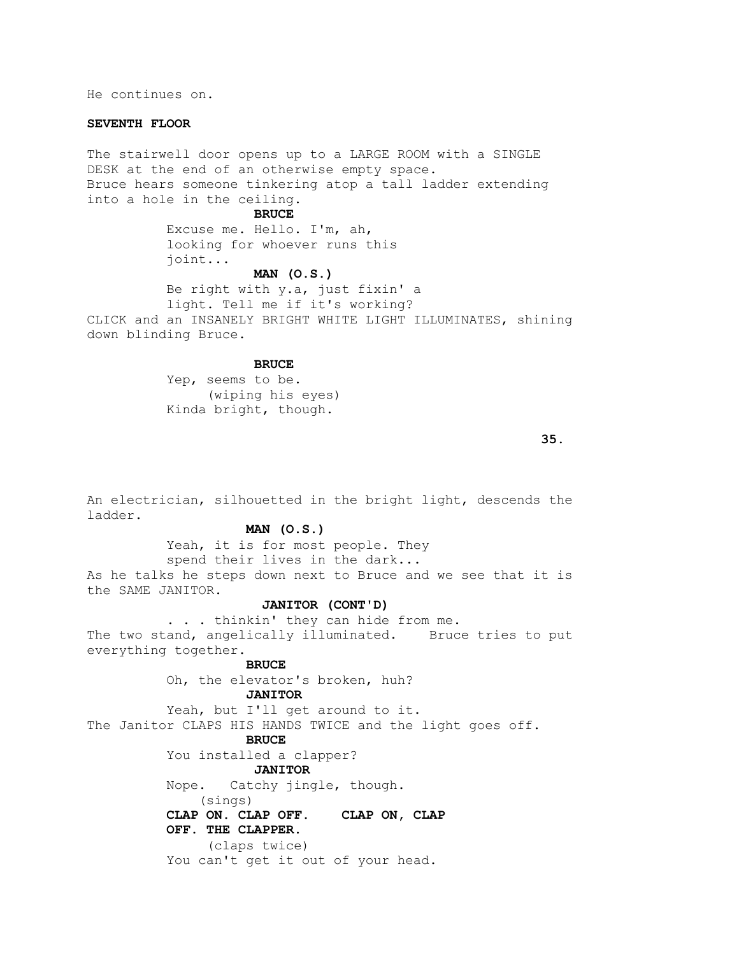He continues on.

## **SEVENTH FLOOR**

The stairwell door opens up to a LARGE ROOM with a SINGLE DESK at the end of an otherwise empty space. Bruce hears someone tinkering atop a tall ladder extending into a hole in the ceiling.  **BRUCE**

> Excuse me. Hello. I'm, ah, looking for whoever runs this joint...

 **MAN (O.S.)**

 Be right with y.a, just fixin' a light. Tell me if it's working? CLICK and an INSANELY BRIGHT WHITE LIGHT ILLUMINATES, shining down blinding Bruce.

### **BRUCE**

 Yep, seems to be. (wiping his eyes) Kinda bright, though.

 $\sim$  35.

An electrician, silhouetted in the bright light, descends the ladder.

## **MAN (O.S.)**

 Yeah, it is for most people. They spend their lives in the dark... As he talks he steps down next to Bruce and we see that it is the SAME JANITOR.

### **JANITOR (CONT'D)**

 . . . thinkin' they can hide from me. The two stand, angelically illuminated. Bruce tries to put everything together.

## **BRUCE**

Oh, the elevator's broken, huh?

## **JANITOR**

 Yeah, but I'll get around to it. The Janitor CLAPS HIS HANDS TWICE and the light goes off.  **BRUCE** You installed a clapper?  **JANITOR** Nope. Catchy jingle, though. (sings)  **CLAP ON. CLAP OFF. CLAP ON, CLAP OFF. THE CLAPPER.** (claps twice) You can't get it out of your head.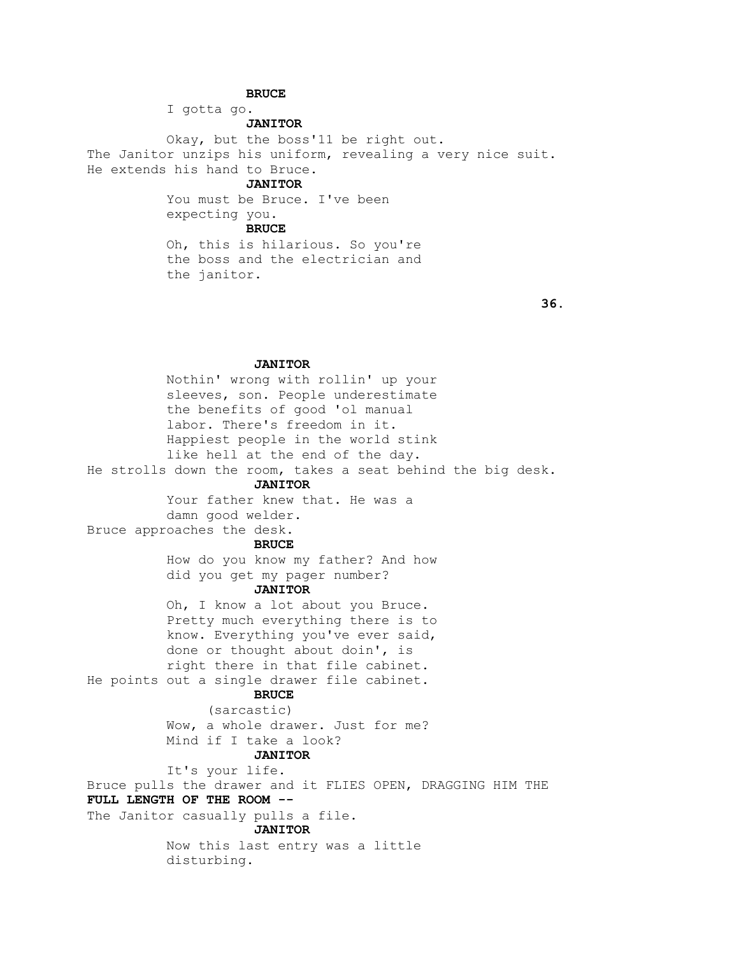### **BRUCE**

I gotta go.

 **JANITOR**

 Okay, but the boss'11 be right out. The Janitor unzips his uniform, revealing a very nice suit. He extends his hand to Bruce.  **JANITOR** You must be Bruce. I've been expecting you.  **BRUCE**

 Oh, this is hilarious. So you're the boss and the electrician and the janitor.

**36. 36.** 

## **JANITOR**

 Nothin' wrong with rollin' up your sleeves, son. People underestimate the benefits of good 'ol manual labor. There's freedom in it. Happiest people in the world stink like hell at the end of the day. He strolls down the room, takes a seat behind the big desk.  **JANITOR** Your father knew that. He was a damn good welder. Bruce approaches the desk.  **BRUCE** How do you know my father? And how did you get my pager number?  **JANITOR** Oh, I know a lot about you Bruce. Pretty much everything there is to know. Everything you've ever said, done or thought about doin', is right there in that file cabinet. He points out a single drawer file cabinet.  **BRUCE** (sarcastic) Wow, a whole drawer. Just for me? Mind if I take a look?  **JANITOR** It's your life. Bruce pulls the drawer and it FLIES OPEN, DRAGGING HIM THE **FULL LENGTH OF THE ROOM --** The Janitor casually pulls a file.  **JANITOR** Now this last entry was a little disturbing.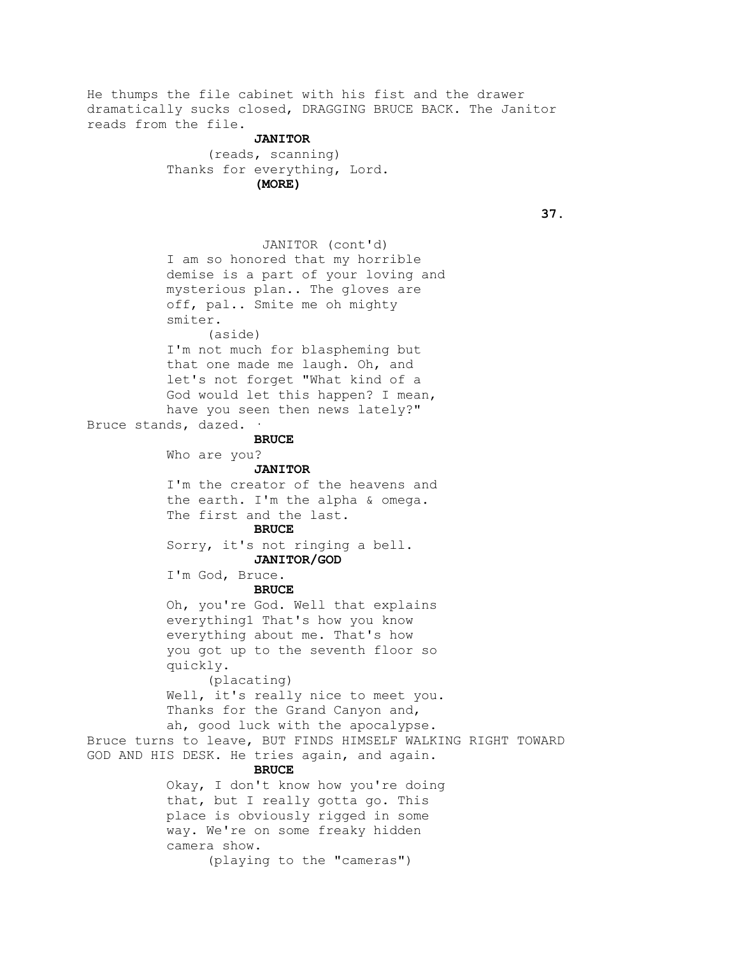He thumps the file cabinet with his fist and the drawer dramatically sucks closed, DRAGGING BRUCE BACK. The Janitor reads from the file.  **JANITOR** (reads, scanning) Thanks for everything, Lord.  **(MORE) 37.** JANITOR (cont'd) I am so honored that my horrible demise is a part of your loving and mysterious plan.. The gloves are off, pal.. Smite me oh mighty smiter. (aside) I'm not much for blaspheming but that one made me laugh. Oh, and let's not forget "What kind of a God would let this happen? I mean, have you seen then news lately?" Bruce stands, dazed. ·  **BRUCE** Who are you?  **JANITOR** I'm the creator of the heavens and the earth. I'm the alpha & omega. The first and the last.  **BRUCE** Sorry, it's not ringing a bell.  **JANITOR/GOD** I'm God, Bruce.  **BRUCE** Oh, you're God. Well that explains everything1 That's how you know everything about me. That's how you got up to the seventh floor so quickly. (placating) Well, it's really nice to meet you. Thanks for the Grand Canyon and, ah, good luck with the apocalypse. Bruce turns to leave, BUT FINDS HIMSELF WALKING RIGHT TOWARD GOD AND HIS DESK. He tries again, and again.  **BRUCE** Okay, I don't know how you're doing that, but I really gotta go. This place is obviously rigged in some way. We're on some freaky hidden camera show. (playing to the "cameras")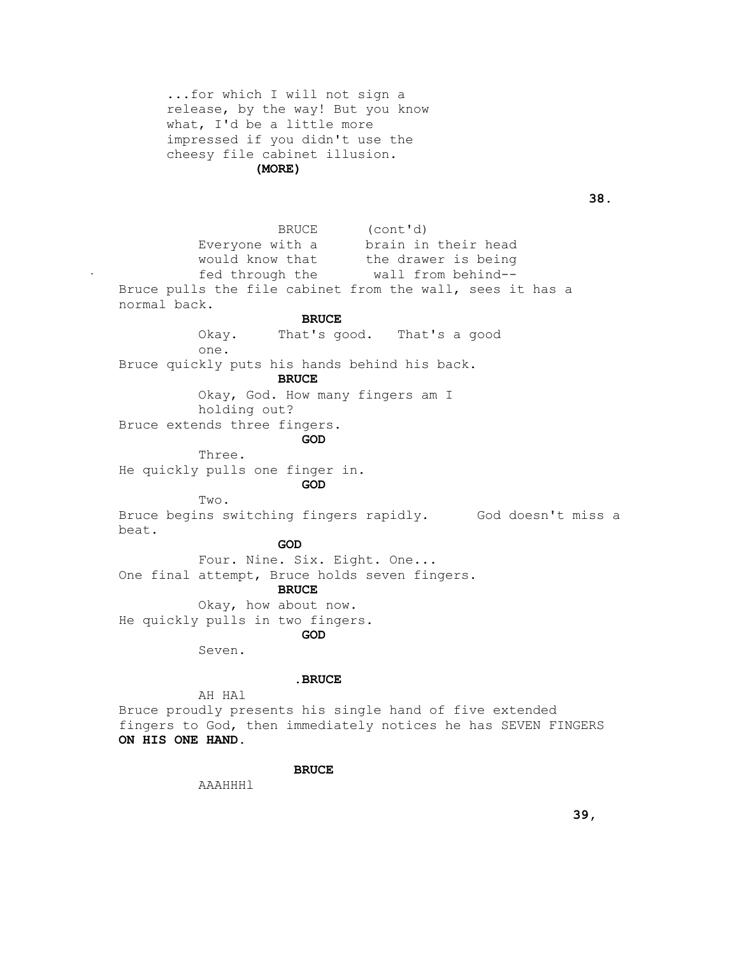...for which I will not sign a release, by the way! But you know what, I'd be a little more impressed if you didn't use the cheesy file cabinet illusion.  **(MORE) 38.** BRUCE (cont'd) Everyone with a brain in their head would know that the drawer is being fed through the wall from behind-- Bruce pulls the file cabinet from the wall, sees it has a normal back.  **BRUCE** Okay. That's good. That's a good one. Bruce quickly puts his hands behind his back.  **BRUCE** Okay, God. How many fingers am I holding out? Bruce extends three fingers.  **GOD**  Three. He quickly pulls one finger in.  **GOD**  Two. Bruce begins switching fingers rapidly. God doesn't miss a beat.  **GOD** Four. Nine. Six. Eight. One... One final attempt, Bruce holds seven fingers.  **BRUCE** Okay, how about now. He quickly pulls in two fingers.  **GOD**  Seven.  **.BRUCE** AH HAl

 Bruce proudly presents his single hand of five extended fingers to God, then immediately notices he has SEVEN FINGERS  **ON HIS ONE HAND.**

#### **BRUCE**

AAAHHHl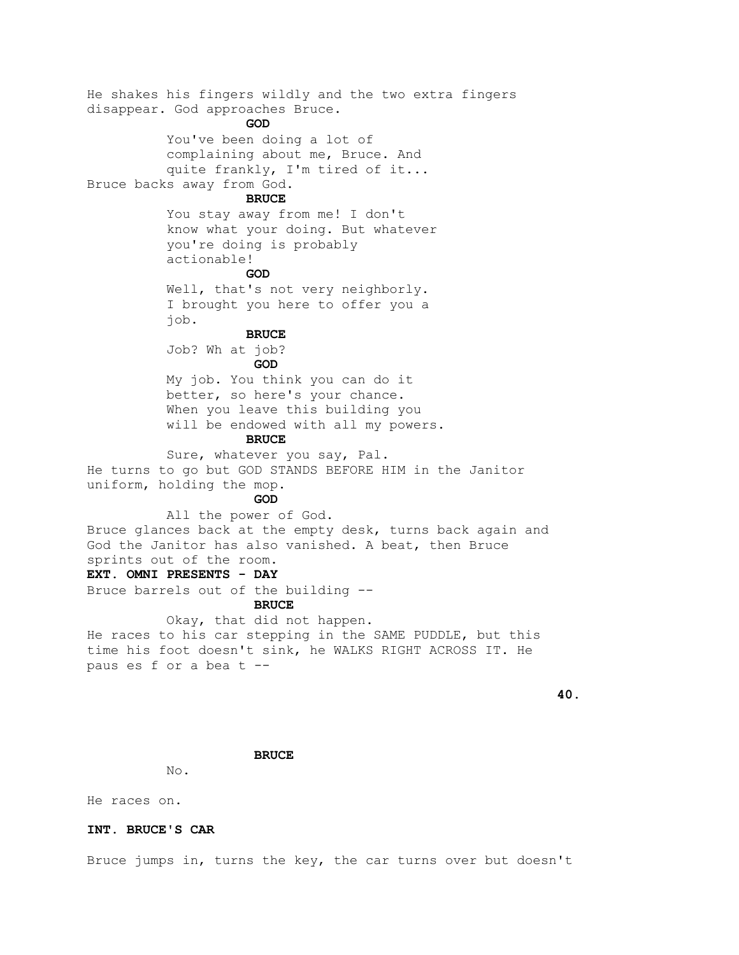He shakes his fingers wildly and the two extra fingers disappear. God approaches Bruce.  **GOD**  You've been doing a lot of complaining about me, Bruce. And quite frankly, I'm tired of it... Bruce backs away from God.  **BRUCE** You stay away from me! I don't know what your doing. But whatever you're doing is probably actionable!  **GOD**  Well, that's not very neighborly. I brought you here to offer you a job.  **BRUCE** Job? Wh at job?  **GOD** My job. You think you can do it better, so here's your chance. When you leave this building you will be endowed with all my powers.  **BRUCE** Sure, whatever you say, Pal. He turns to go but GOD STANDS BEFORE HIM in the Janitor uniform, holding the mop.  **GOD** All the power of God. Bruce glances back at the empty desk, turns back again and God the Janitor has also vanished. A beat, then Bruce sprints out of the room. **EXT. OMNI PRESENTS - DAY** Bruce barrels out of the building --  **BRUCE** Okay, that did not happen. He races to his car stepping in the SAME PUDDLE, but this time his foot doesn't sink, he WALKS RIGHT ACROSS IT. He paus es f or a bea t --  **40.**

### **BRUCE**

No.

He races on.

### **INT. BRUCE'S CAR**

Bruce jumps in, turns the key, the car turns over but doesn't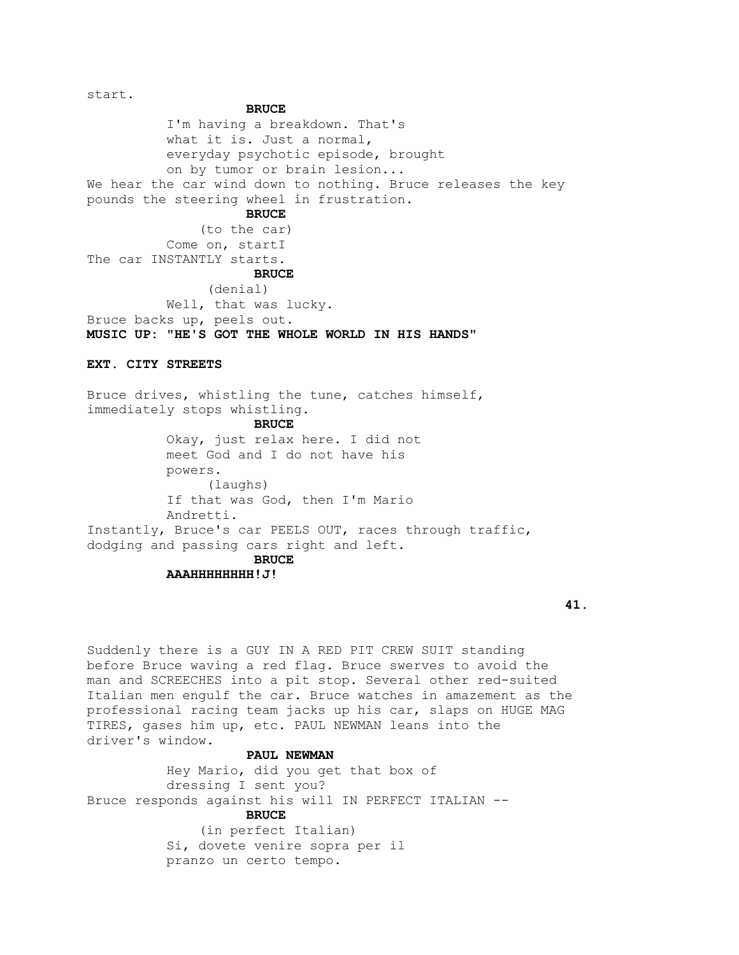start.

 **BRUCE** I'm having a breakdown. That's what it is. Just a normal, everyday psychotic episode, brought on by tumor or brain lesion... We hear the car wind down to nothing. Bruce releases the key pounds the steering wheel in frustration.  **BRUCE** (to the car) Come on, startI The car INSTANTLY starts.  **BRUCE** (denial) Well, that was lucky. Bruce backs up, peels out. **MUSIC UP: "HE'S GOT THE WHOLE WORLD IN HIS HANDS" EXT. CITY STREETS** Bruce drives, whistling the tune, catches himself, immediately stops whistling.  **BRUCE** Okay, just relax here. I did not meet God and I do not have his powers. (laughs) If that was God, then I'm Mario Andretti. Instantly, Bruce's car PEELS OUT, races through traffic, dodging and passing cars right and left.  **BRUCE AAAHHHHHHHH!J!**

 **41.**

Suddenly there is a GUY IN A RED PIT CREW SUIT standing before Bruce waving a red flag. Bruce swerves to avoid the man and SCREECHES into a pit stop. Several other red-suited Italian men engulf the car. Bruce watches in amazement as the professional racing team jacks up his car, slaps on HUGE MAG TIRES, gases him up, etc. PAUL NEWMAN leans into the driver's window.

## **PAUL NEWMAN**

 Hey Mario, did you get that box of dressing I sent you? Bruce responds against his will IN PERFECT ITALIAN --  **BRUCE** (in perfect Italian) Si, dovete venire sopra per il

pranzo un certo tempo.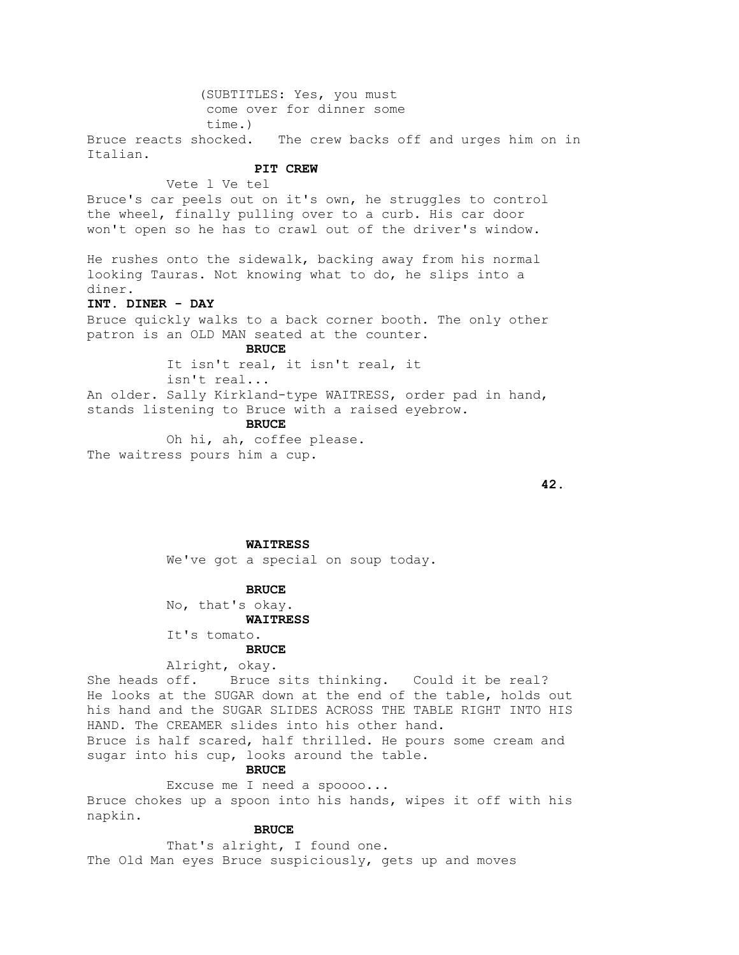(SUBTITLES: Yes, you must come over for dinner some time.) Bruce reacts shocked. The crew backs off and urges him on in Italian.  **PIT CREW** Vete l Ve tel Bruce's car peels out on it's own, he struggles to control the wheel, finally pulling over to a curb. His car door won't open so he has to crawl out of the driver's window. He rushes onto the sidewalk, backing away from his normal looking Tauras. Not knowing what to do, he slips into a diner. **INT. DINER - DAY** Bruce quickly walks to a back corner booth. The only other patron is an OLD MAN seated at the counter.  **BRUCE** It isn't real, it isn't real, it isn't real... An older. Sally Kirkland-type WAITRESS, order pad in hand, stands listening to Bruce with a raised eyebrow.  **BRUCE** Oh hi, ah, coffee please.

The waitress pours him a cup.

 $\overline{\phantom{a}}$  42.

## **WAITRESS**

We've got a special on soup today.

### **BRUCE**

No, that's okay.

## **WAITRESS**

It's tomato.

## **BRUCE**

Alright, okay.

She heads off. Bruce sits thinking. Could it be real? He looks at the SUGAR down at the end of the table, holds out his hand and the SUGAR SLIDES ACROSS THE TABLE RIGHT INTO HIS HAND. The CREAMER slides into his other hand. Bruce is half scared, half thrilled. He pours some cream and

sugar into his cup, looks around the table.

 **BRUCE**

 Excuse me I need a spoooo... Bruce chokes up a spoon into his hands, wipes it off with his napkin.

## **BRUCE**

That's alright, I found one. The Old Man eyes Bruce suspiciously, gets up and moves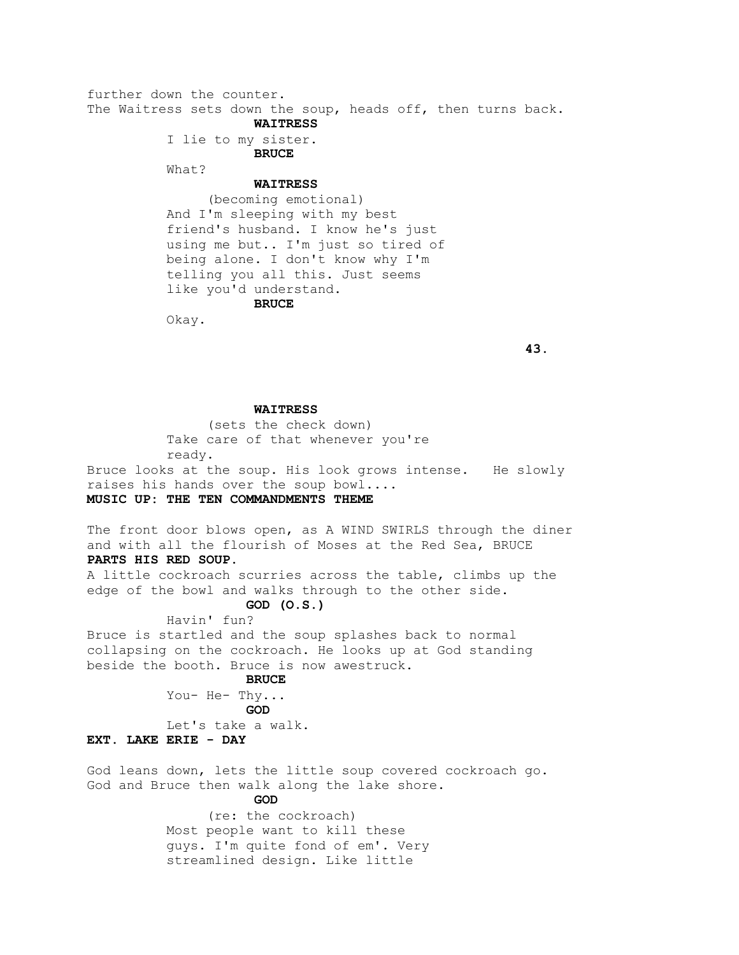further down the counter. The Waitress sets down the soup, heads off, then turns back.  **WAITRESS**

I lie to my sister.

 **BRUCE**

What?

# **WAITRESS**

 (becoming emotional) And I'm sleeping with my best friend's husband. I know he's just using me but.. I'm just so tired of being alone. I don't know why I'm telling you all this. Just seems like you'd understand.

 **BRUCE**

Okay.

 **43.**

#### **WAITRESS**

 (sets the check down) Take care of that whenever you're ready.

Bruce looks at the soup. His look grows intense. He slowly raises his hands over the soup bowl.... **MUSIC UP: THE TEN COMMANDMENTS THEME**

The front door blows open, as A WIND SWIRLS through the diner and with all the flourish of Moses at the Red Sea, BRUCE **PARTS HIS RED SOUP.**

A little cockroach scurries across the table, climbs up the edge of the bowl and walks through to the other side.

# **GOD (O.S.)**

 Havin' fun? Bruce is startled and the soup splashes back to normal collapsing on the cockroach. He looks up at God standing beside the booth. Bruce is now awestruck.

 **BRUCE**

 You- He- Thy...  **GOD**

Let's take a walk.

# **EXT. LAKE ERIE - DAY**

God leans down, lets the little soup covered cockroach go. God and Bruce then walk along the lake shore.

 **GOD** 

 (re: the cockroach) Most people want to kill these guys. I'm quite fond of em'. Very streamlined design. Like little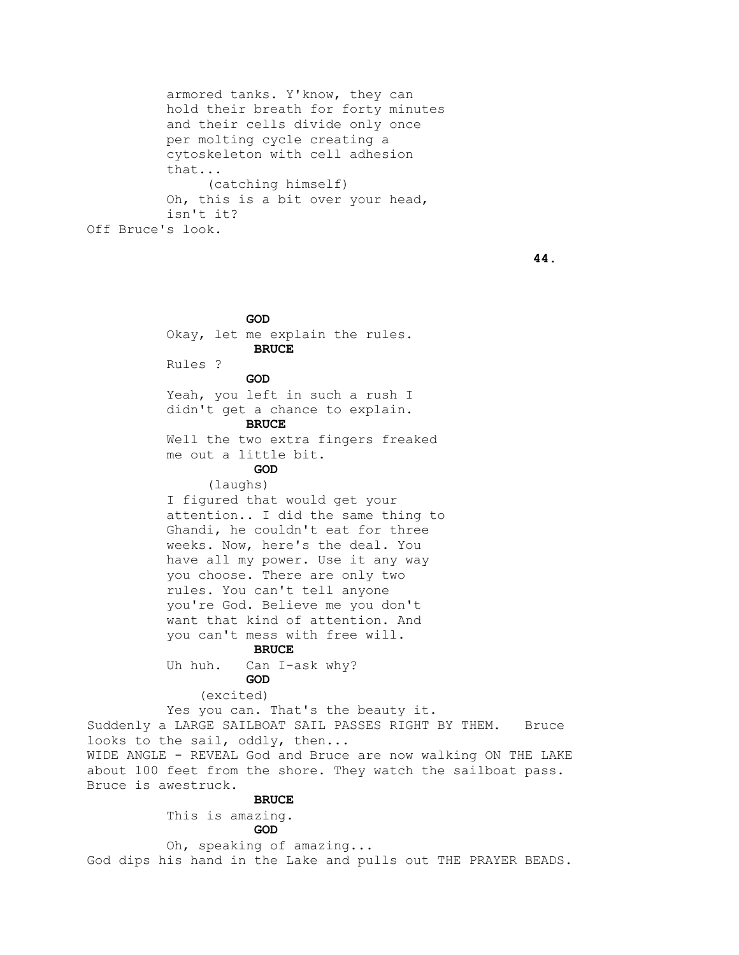armored tanks. Y'know, they can hold their breath for forty minutes and their cells divide only once per molting cycle creating a cytoskeleton with cell adhesion that... (catching himself) Oh, this is a bit over your head, isn't it? Off Bruce's look.

 **44.**

 **GOD** Okay, let me explain the rules.  **BRUCE** Rules ?  **GOD** Yeah, you left in such a rush I didn't get a chance to explain.  **BRUCE** Well the two extra fingers freaked me out a little bit.  **GOD**  (laughs) I figured that would get your attention.. I did the same thing to Ghandi, he couldn't eat for three weeks. Now, here's the deal. You have all my power. Use it any way you choose. There are only two rules. You can't tell anyone you're God. Believe me you don't want that kind of attention. And you can't mess with free will.  **BRUCE** Uh huh. Can I-ask why?  **GOD** (excited) Yes you can. That's the beauty it. Suddenly a LARGE SAILBOAT SAIL PASSES RIGHT BY THEM. Bruce looks to the sail, oddly, then... WIDE ANGLE - REVEAL God and Bruce are now walking ON THE LAKE about 100 feet from the shore. They watch the sailboat pass. Bruce is awestruck.  **BRUCE** This is amazing.

## **GOD**

 Oh, speaking of amazing... God dips his hand in the Lake and pulls out THE PRAYER BEADS.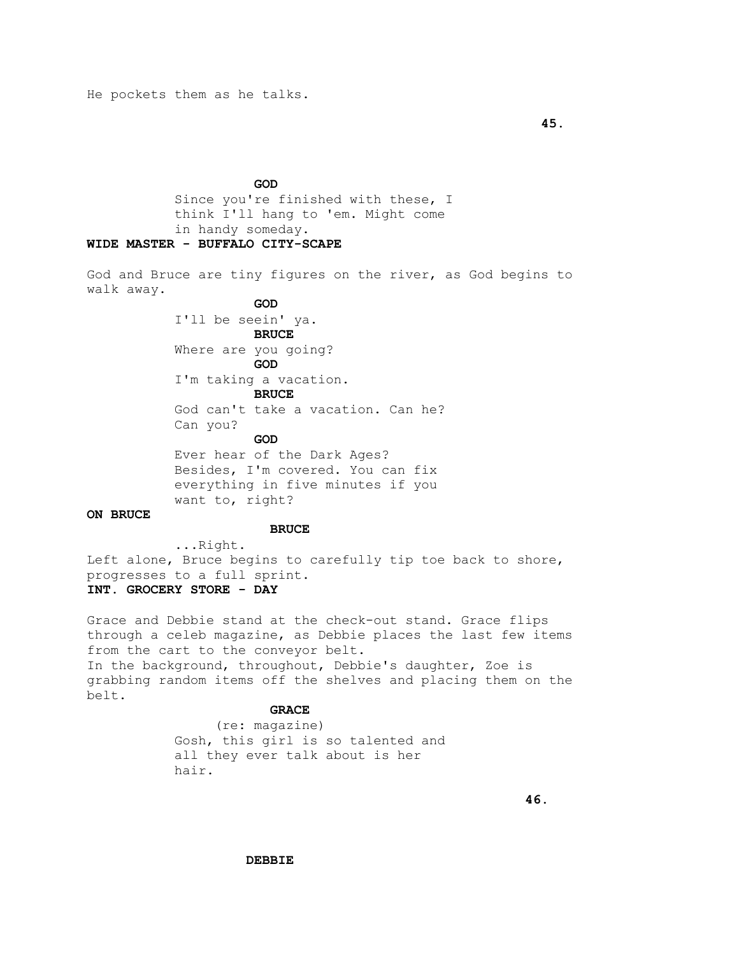**GOD** Since you're finished with these, I think I'll hang to 'em. Might come in handy someday. **WIDE MASTER - BUFFALO CITY-SCAPE**

God and Bruce are tiny figures on the river, as God begins to walk away.

 **GOD**

 I'll be seein' ya.  **BRUCE** Where are you going?  **GOD** I'm taking a vacation.  **BRUCE** God can't take a vacation. Can he? Can you?  **GOD** Ever hear of the Dark Ages? Besides, I'm covered. You can fix everything in five minutes if you want to, right?

#### **ON BRUCE**

# **BRUCE**

 ...Right. Left alone, Bruce begins to carefully tip toe back to shore, progresses to a full sprint. **INT. GROCERY STORE - DAY**

Grace and Debbie stand at the check-out stand. Grace flips through a celeb magazine, as Debbie places the last few items from the cart to the conveyor belt. In the background, throughout, Debbie's daughter, Zoe is grabbing random items off the shelves and placing them on the belt.

#### **GRACE**

 (re: magazine) Gosh, this girl is so talented and all they ever talk about is her hair.

 $\overline{\phantom{a}}$  45.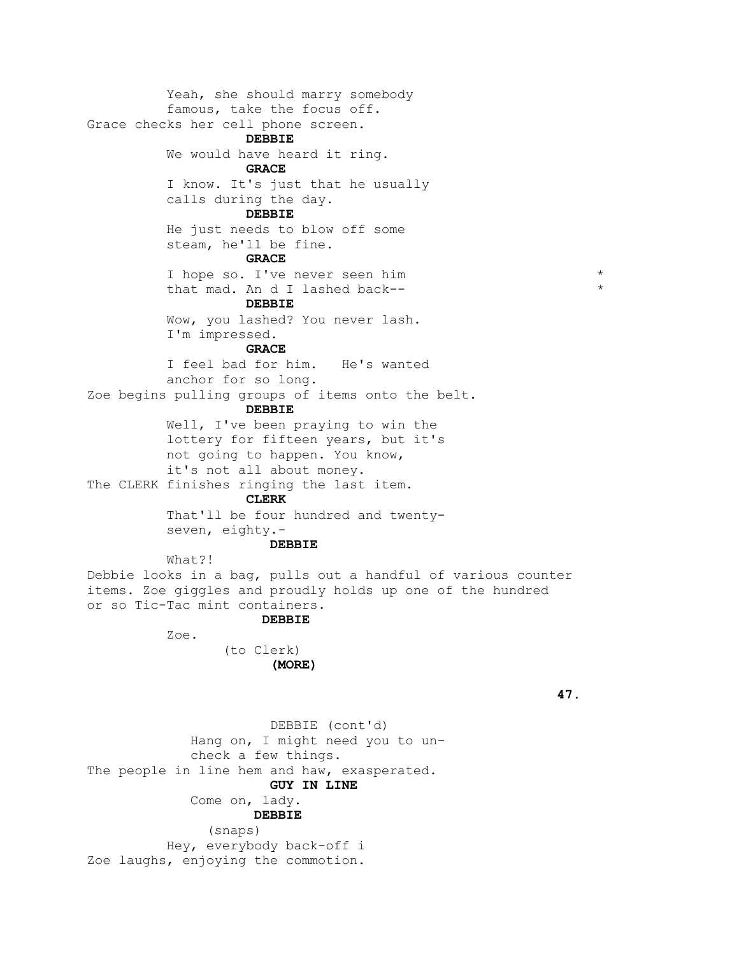```
 Yeah, she should marry somebody
           famous, take the focus off.
Grace checks her cell phone screen.
                    DEBBIE
          We would have heard it ring.
                     GRACE
           I know. It's just that he usually
           calls during the day.
                    DEBBIE
          He just needs to blow off some
           steam, he'll be fine.
                    GRACE
          I hope so. I've never seen him
           that mad. An d I lashed back-- *
                    DEBBIE
          Wow, you lashed? You never lash.
           I'm impressed.
                     GRACE
           I feel bad for him. He's wanted
          anchor for so long.
Zoe begins pulling groups of items onto the belt.
                    DEBBIE
          Well, I've been praying to win the
          lottery for fifteen years, but it's
          not going to happen. You know,
           it's not all about money.
The CLERK finishes ringing the last item.
                    CLERK
           That'll be four hundred and twenty-
           seven, eighty.-
                        DEBBIE
          What?!
Debbie looks in a bag, pulls out a handful of various counter
items. Zoe giggles and proudly holds up one of the hundred
or so Tic-Tac mint containers.
                       DEBBIE
           Zoe.
                  (to Clerk)
                        (MORE)
  47.
                        DEBBIE (cont'd)
              Hang on, I might need you to un-
              check a few things.
The people in line hem and haw, exasperated.
                        GUY IN LINE
              Come on, lady.
                      DEBBIE
                (snaps)
           Hey, everybody back-off i
Zoe laughs, enjoying the commotion.
```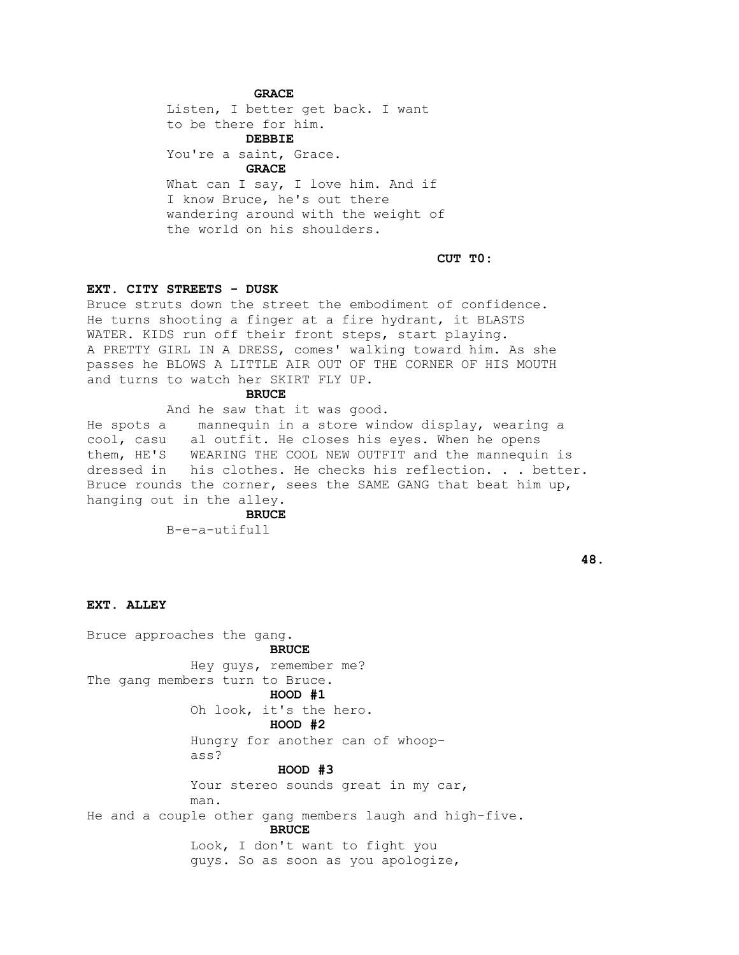# **GRACE**

 Listen, I better get back. I want to be there for him.  **DEBBIE** You're a saint, Grace.  **GRACE** What can I say, I love him. And if I know Bruce, he's out there wandering around with the weight of

the world on his shoulders.

## **CUT T0:**

#### **EXT. CITY STREETS - DUSK**

Bruce struts down the street the embodiment of confidence. He turns shooting a finger at a fire hydrant, it BLASTS WATER. KIDS run off their front steps, start playing. A PRETTY GIRL IN A DRESS, comes' walking toward him. As she passes he BLOWS A LITTLE AIR OUT OF THE CORNER OF HIS MOUTH and turns to watch her SKIRT FLY UP.

#### **BRUCE**

And he saw that it was good.

He spots a mannequin in a store window display, wearing a cool, casu al outfit. He closes his eyes. When he opens them, HE'S WEARING THE COOL NEW OUTFIT and the mannequin is dressed in his clothes. He checks his reflection. . . better. Bruce rounds the corner, sees the SAME GANG that beat him up, hanging out in the alley.

## **BRUCE**

B-e-a-utifull

 **48.**

# **EXT. ALLEY**

Bruce approaches the gang.  **BRUCE** Hey guys, remember me? The gang members turn to Bruce.  **HOOD #1** Oh look, it's the hero.  **HOOD #2** Hungry for another can of whoop ass?  **HOOD #3** Your stereo sounds great in my car, man. He and a couple other gang members laugh and high-five.  **BRUCE** Look, I don't want to fight you guys. So as soon as you apologize,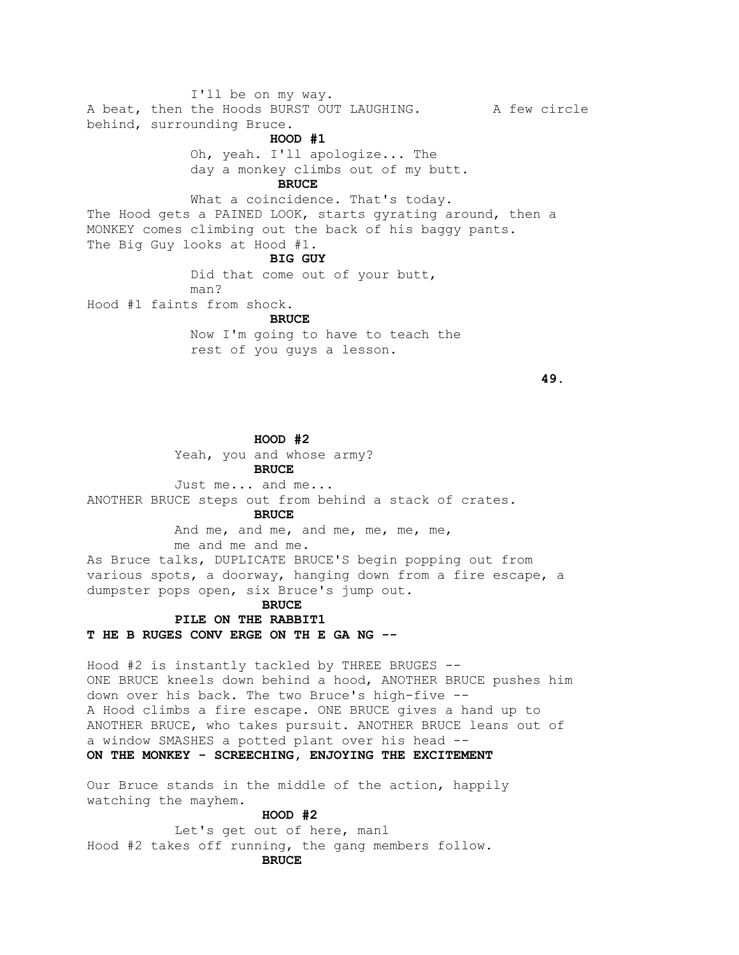I'll be on my way. A beat, then the Hoods BURST OUT LAUGHING. A few circle behind, surrounding Bruce.  **HOOD #1** Oh, yeah. I'll apologize... The day a monkey climbs out of my butt.  **BRUCE** What a coincidence. That's today. The Hood gets a PAINED LOOK, starts gyrating around, then a MONKEY comes climbing out the back of his baggy pants. The Big Guy looks at Hood #1.  **BIG GUY** Did that come out of your butt, man? Hood #1 faints from shock.  **BRUCE** Now I'm going to have to teach the

 **49.**

#### **HOOD #2**

rest of you guys a lesson.

Yeah, you and whose army?

# **BRUCE**

 Just me... and me... ANOTHER BRUCE steps out from behind a stack of crates.

 **BRUCE**

And me, and me, and me, me, me, me,

me and me and me.

As Bruce talks, DUPLICATE BRUCE'S begin popping out from various spots, a doorway, hanging down from a fire escape, a dumpster pops open, six Bruce's jump out.

# **BRUCE**

 **PILE ON THE RABBIT1 T HE B RUGES CONV ERGE ON TH E GA NG --**

Hood #2 is instantly tackled by THREE BRUGES -- ONE BRUCE kneels down behind a hood, ANOTHER BRUCE pushes him down over his back. The two Bruce's high-five -- A Hood climbs a fire escape. ONE BRUCE gives a hand up to ANOTHER BRUCE, who takes pursuit. ANOTHER BRUCE leans out of a window SMASHES a potted plant over his head -- **ON THE MONKEY - SCREECHING, ENJOYING THE EXCITEMENT**

Our Bruce stands in the middle of the action, happily watching the mayhem.

# **HOOD #2**

 Let's get out of here, manl Hood #2 takes off running, the gang members follow.  **BRUCE**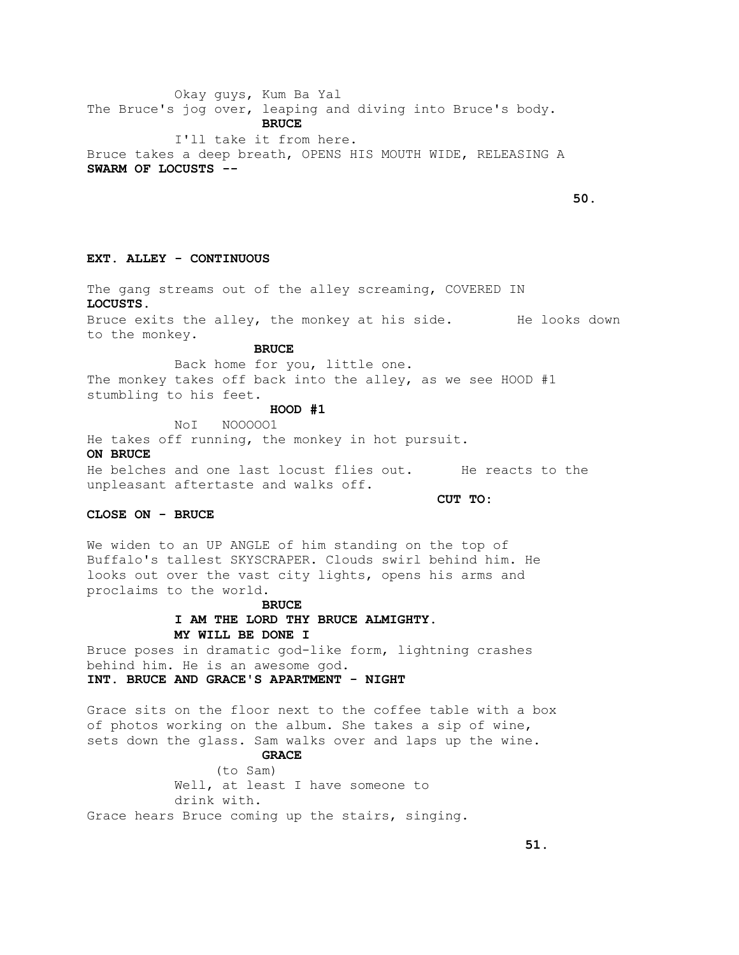Okay guys, Kum Ba Yal The Bruce's jog over, leaping and diving into Bruce's body.  **BRUCE** I'll take it from here. Bruce takes a deep breath, OPENS HIS MOUTH WIDE, RELEASING A **SWARM OF LOCUSTS --**

 $\sim$  50.

## **EXT. ALLEY - CONTINUOUS**

The gang streams out of the alley screaming, COVERED IN **LOCUSTS.** Bruce exits the alley, the monkey at his side. He looks down to the monkey.

#### **BRUCE**

 Back home for you, little one. The monkey takes off back into the alley, as we see HOOD  $#1$ stumbling to his feet.

# **HOOD #1**

 NoI NOOOOO1 He takes off running, the monkey in hot pursuit. **ON BRUCE** He belches and one last locust flies out. He reacts to the unpleasant aftertaste and walks off.

 **CUT TO:**

# **CLOSE ON - BRUCE**

We widen to an UP ANGLE of him standing on the top of Buffalo's tallest SKYSCRAPER. Clouds swirl behind him. He looks out over the vast city lights, opens his arms and proclaims to the world.

# **BRUCE**

# **I AM THE LORD THY BRUCE ALMIGHTY. MY WILL BE DONE I**

Bruce poses in dramatic god-like form, lightning crashes behind him. He is an awesome god.

**INT. BRUCE AND GRACE'S APARTMENT - NIGHT**

Grace sits on the floor next to the coffee table with a box of photos working on the album. She takes a sip of wine, sets down the glass. Sam walks over and laps up the wine.

 **GRACE** (to Sam)

 Well, at least I have someone to drink with. Grace hears Bruce coming up the stairs, singing.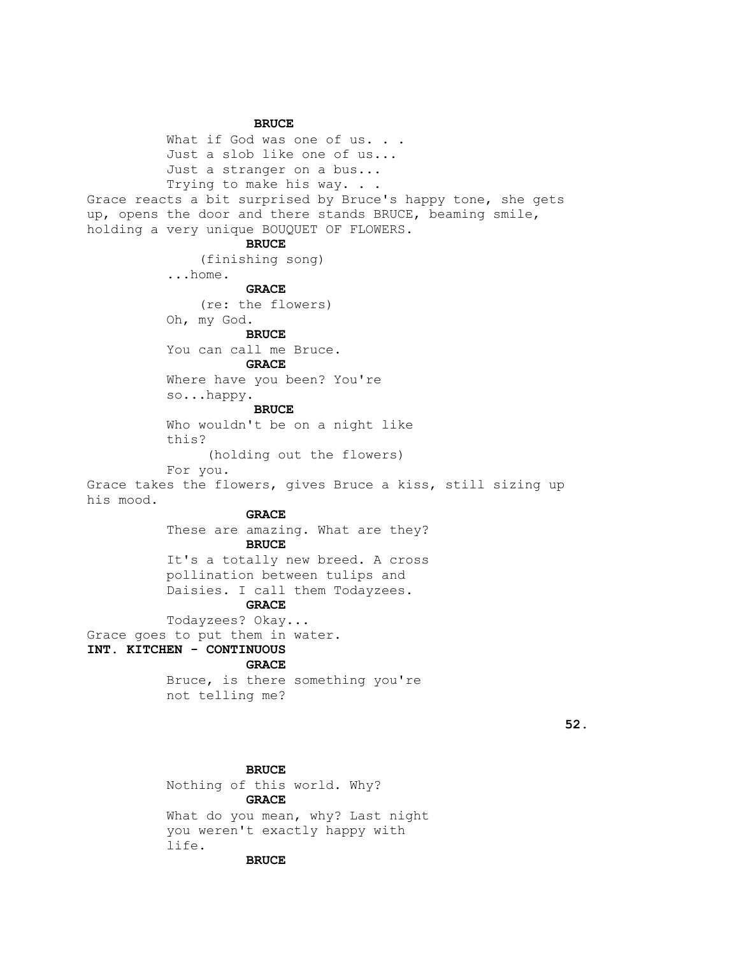## **BRUCE**

What if God was one of us. . . Just a slob like one of us... Just a stranger on a bus... Trying to make his way. . . Grace reacts a bit surprised by Bruce's happy tone, she gets up, opens the door and there stands BRUCE, beaming smile, holding a very unique BOUQUET OF FLOWERS.  **BRUCE** (finishing song) ...home.  **GRACE** (re: the flowers) Oh, my God.  **BRUCE** You can call me Bruce.  **GRACE** Where have you been? You're so...happy.  **BRUCE** Who wouldn't be on a night like this? (holding out the flowers) For you. Grace takes the flowers, gives Bruce a kiss, still sizing up his mood.  **GRACE** These are amazing. What are they?  **BRUCE** It's a totally new breed. A cross pollination between tulips and Daisies. I call them Todayzees.  **GRACE** Todayzees? Okay... Grace goes to put them in water. **INT. KITCHEN - CONTINUOUS GRACE** Bruce, is there something you're not telling me?  $\sim$  52.  **BRUCE**

> Nothing of this world. Why?  **GRACE** What do you mean, why? Last night you weren't exactly happy with life.  **BRUCE**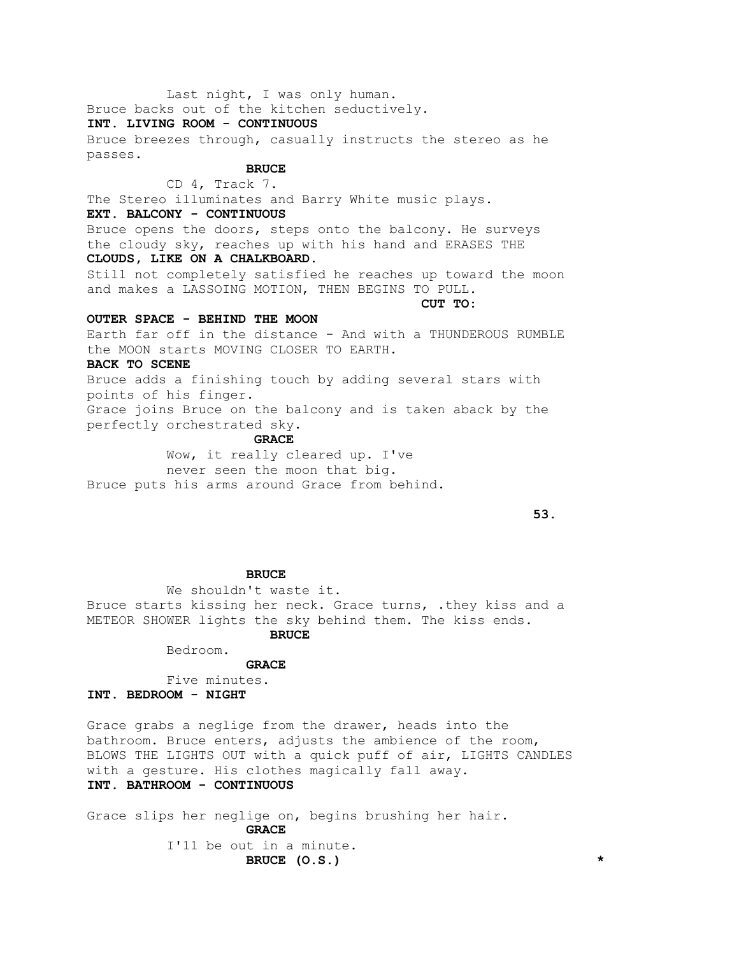Last night, I was only human. Bruce backs out of the kitchen seductively. **INT. LIVING ROOM - CONTINUOUS** Bruce breezes through, casually instructs the stereo as he passes.  **BRUCE** CD 4, Track 7. The Stereo illuminates and Barry White music plays. **EXT. BALCONY - CONTINUOUS** Bruce opens the doors, steps onto the balcony. He surveys the cloudy sky, reaches up with his hand and ERASES THE **CLOUDS, LIKE ON A CHALKBOARD.** Still not completely satisfied he reaches up toward the moon and makes a LASSOING MOTION, THEN BEGINS TO PULL.  **CUT TO: OUTER SPACE - BEHIND THE MOON** Earth far off in the distance - And with a THUNDEROUS RUMBLE the MOON starts MOVING CLOSER TO EARTH. **BACK TO SCENE** Bruce adds a finishing touch by adding several stars with points of his finger. Grace joins Bruce on the balcony and is taken aback by the perfectly orchestrated sky.  **GRACE** Wow, it really cleared up. I've

 never seen the moon that big. Bruce puts his arms around Grace from behind.

 $\sim$  53.

# **BRUCE**

 We shouldn't waste it. Bruce starts kissing her neck. Grace turns, .they kiss and a METEOR SHOWER lights the sky behind them. The kiss ends.  **BRUCE**

Bedroom.

# **GRACE**

 Five minutes. **INT. BEDROOM - NIGHT**

Grace grabs a neglige from the drawer, heads into the bathroom. Bruce enters, adjusts the ambience of the room, BLOWS THE LIGHTS OUT with a quick puff of air, LIGHTS CANDLES with a gesture. His clothes magically fall away.

# **INT. BATHROOM - CONTINUOUS**

Grace slips her neglige on, begins brushing her hair.  **GRACE** I'11 be out in a minute.  **BRUCE (O.S.) \***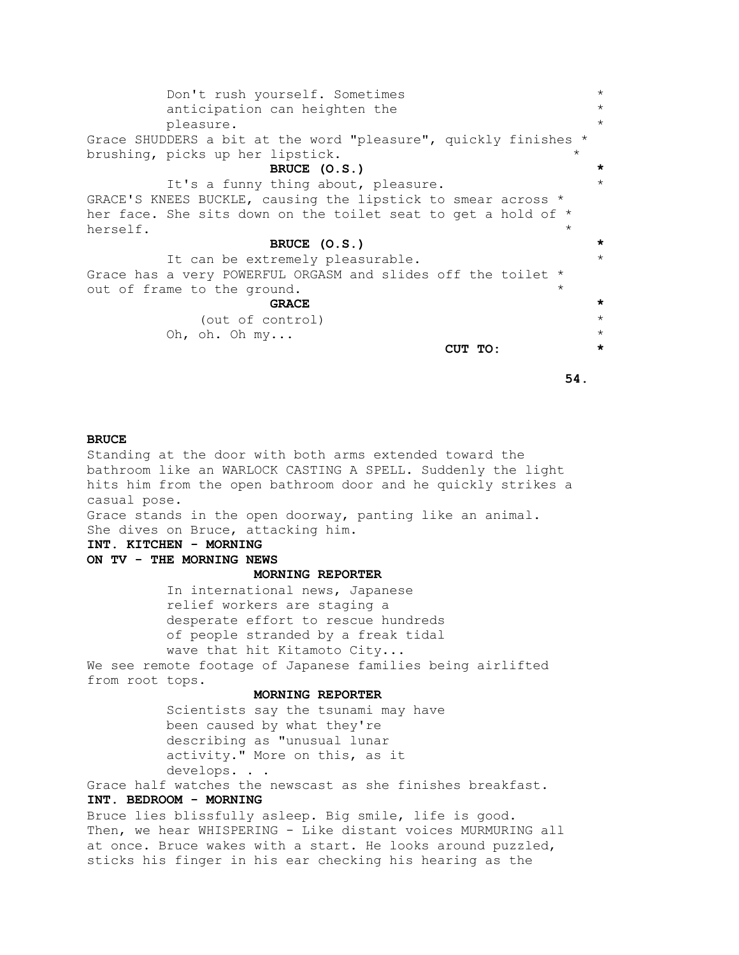Don't rush yourself. Sometimes anticipation can heighten the \* pleasure. Grace SHUDDERS a bit at the word "pleasure", quickly finishes \* brushing, picks up her lipstick. \*  **BRUCE (O.S.) \*** It's a funny thing about, pleasure. GRACE'S KNEES BUCKLE, causing the lipstick to smear across \* her face. She sits down on the toilet seat to get a hold of \* herself.  $\star$  **BRUCE (O.S.) \*** It can be extremely pleasurable. Grace has a very POWERFUL ORGASM and slides off the toilet \* out of frame to the ground.  **GRACE \*** (out of control) \* Oh, oh. Oh my...  $\star$  **CUT TO: \***

 **54.**

#### **BRUCE**

Standing at the door with both arms extended toward the bathroom like an WARLOCK CASTING A SPELL. Suddenly the light hits him from the open bathroom door and he quickly strikes a casual pose. Grace stands in the open doorway, panting like an animal. She dives on Bruce, attacking him. **INT. KITCHEN - MORNING ON TV - THE MORNING NEWS MORNING REPORTER** In international news, Japanese relief workers are staging a desperate effort to rescue hundreds of people stranded by a freak tidal wave that hit Kitamoto City... We see remote footage of Japanese families being airlifted from root tops.  **MORNING REPORTER** Scientists say the tsunami may have been caused by what they're describing as "unusual lunar activity." More on this, as it develops. . . Grace half watches the newscast as she finishes breakfast. **INT. BEDROOM - MORNING** Bruce lies blissfully asleep. Big smile, life is good. Then, we hear WHISPERING - Like distant voices MURMURING all at once. Bruce wakes with a start. He looks around puzzled, sticks his finger in his ear checking his hearing as the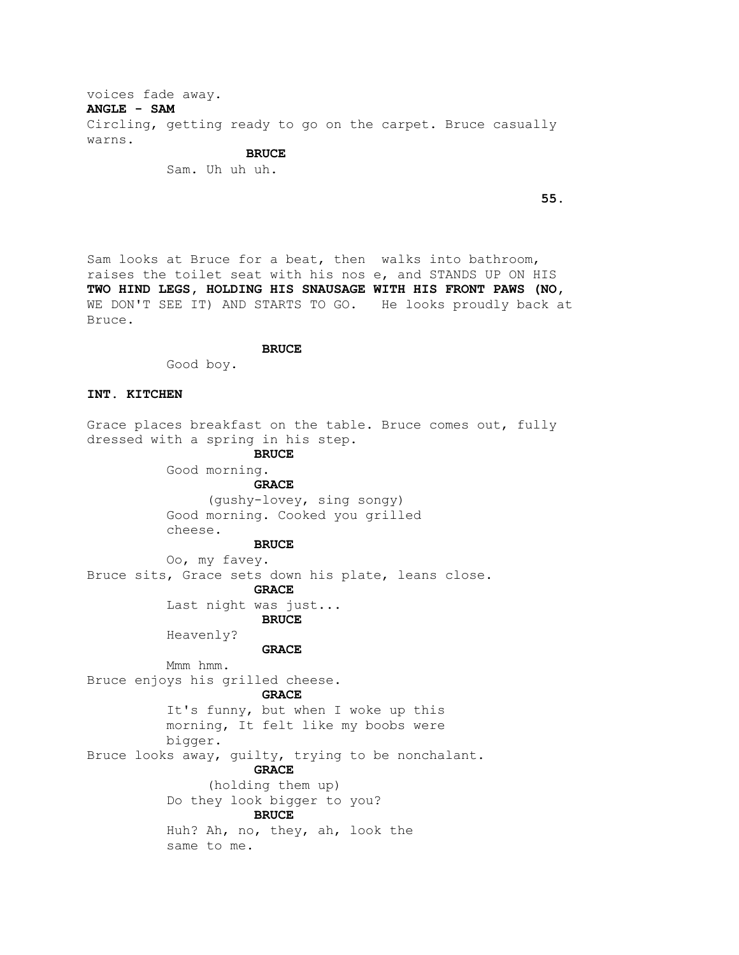voices fade away. **ANGLE - SAM** Circling, getting ready to go on the carpet. Bruce casually warns.  **BRUCE**

Sam. Uh uh uh.

 $\sim$  55.

Sam looks at Bruce for a beat, then walks into bathroom, raises the toilet seat with his nos e, and STANDS UP ON HIS **TWO HIND LEGS, HOLDING HIS SNAUSAGE WITH HIS FRONT PAWS (NO,** WE DON'T SEE IT) AND STARTS TO GO. He looks proudly back at Bruce.

## **BRUCE**

Good boy.

## **INT. KITCHEN**

Grace places breakfast on the table. Bruce comes out, fully dressed with a spring in his step.  **BRUCE** Good morning.  **GRACE** (gushy-lovey, sing songy) Good morning. Cooked you grilled cheese.  **BRUCE** Oo, my favey. Bruce sits, Grace sets down his plate, leans close.  **GRACE** Last night was just...  **BRUCE** Heavenly?  **GRACE** Mmm hmm. Bruce enjoys his grilled cheese.  **GRACE** It's funny, but when I woke up this morning, It felt like my boobs were bigger. Bruce looks away, guilty, trying to be nonchalant.  **GRACE** (holding them up) Do they look bigger to you?  **BRUCE** Huh? Ah, no, they, ah, look the same to me.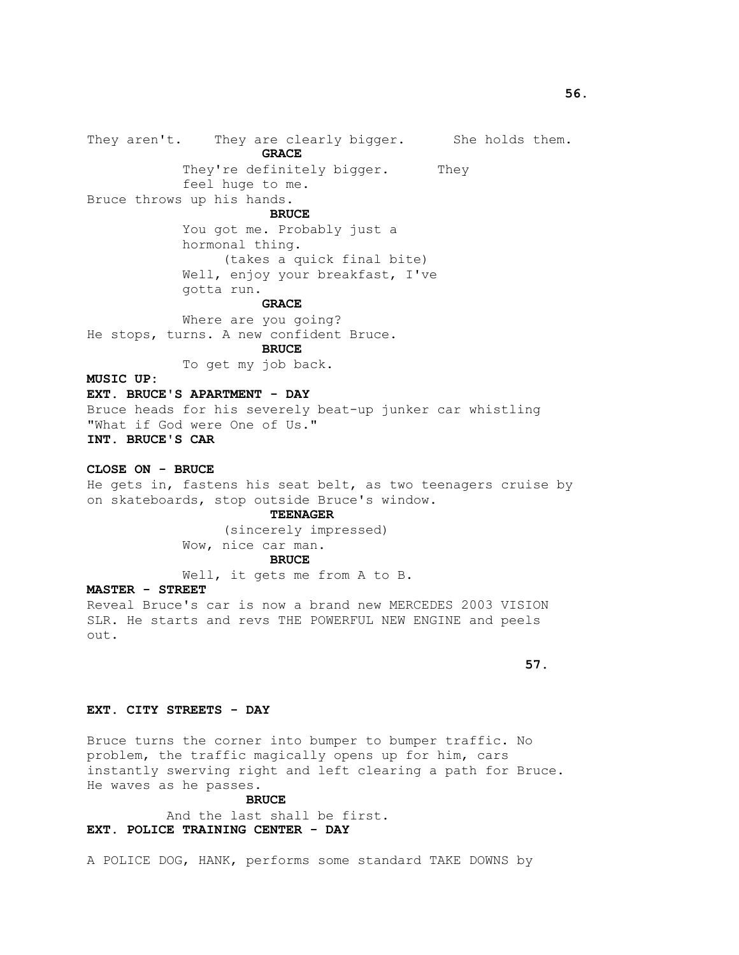They aren't. They are clearly bigger. She holds them.  **GRACE** They're definitely bigger. They feel huge to me. Bruce throws up his hands.  **BRUCE** You got me. Probably just a hormonal thing. (takes a quick final bite) Well, enjoy your breakfast, I've gotta run.  **GRACE** Where are you going? He stops, turns. A new confident Bruce.  **BRUCE** To get my job back. **MUSIC UP: EXT. BRUCE'S APARTMENT - DAY** Bruce heads for his severely beat-up junker car whistling "What if God were One of Us." **INT. BRUCE'S CAR CLOSE ON - BRUCE** He gets in, fastens his seat belt, as two teenagers cruise by on skateboards, stop outside Bruce's window.  **TEENAGER** (sincerely impressed) Wow, nice car man.  **BRUCE** Well, it gets me from A to B. **MASTER - STREET** Reveal Bruce's car is now a brand new MERCEDES 2003 VISION SLR. He starts and revs THE POWERFUL NEW ENGINE and peels out.  $\sim$  57. **EXT. CITY STREETS - DAY** Bruce turns the corner into bumper to bumper traffic. No

problem, the traffic magically opens up for him, cars instantly swerving right and left clearing a path for Bruce. He waves as he passes.

 **BRUCE**

 And the last shall be first. **EXT. POLICE TRAINING CENTER - DAY**

A POLICE DOG, HANK, performs some standard TAKE DOWNS by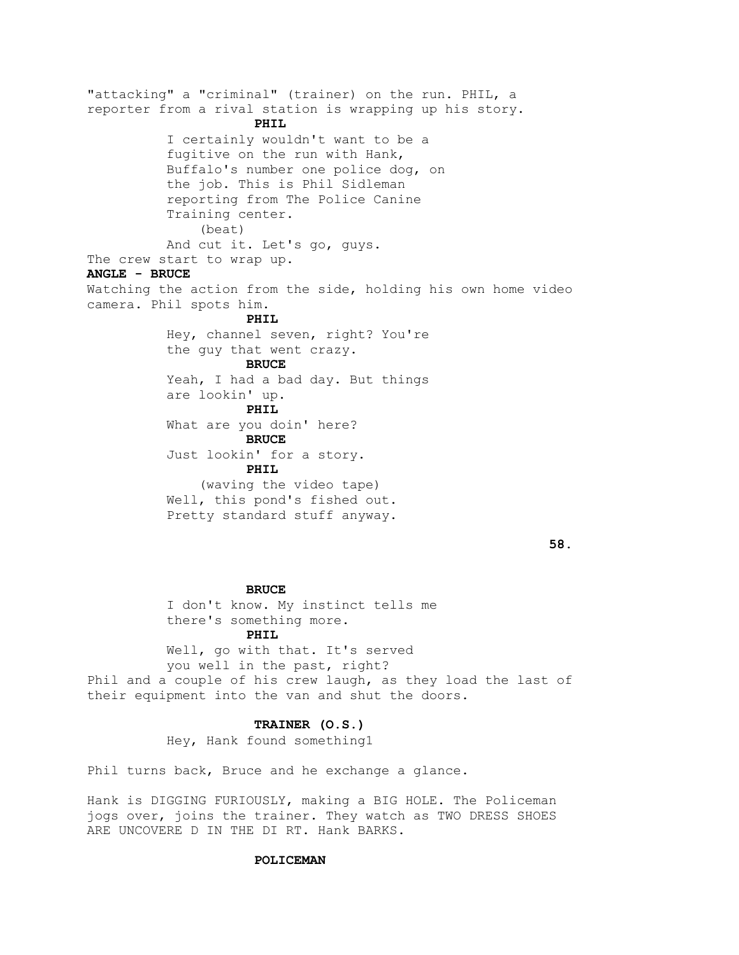"attacking" a "criminal" (trainer) on the run. PHIL, a reporter from a rival station is wrapping up his story.  **PHIL** I certainly wouldn't want to be a fugitive on the run with Hank, Buffalo's number one police dog, on the job. This is Phil Sidleman reporting from The Police Canine Training center. (beat) And cut it. Let's go, guys. The crew start to wrap up. **ANGLE - BRUCE** Watching the action from the side, holding his own home video camera. Phil spots him.  **PHIL** Hey, channel seven, right? You're the guy that went crazy.  **BRUCE** Yeah, I had a bad day. But things are lookin' up.  **PHIL** What are you doin' here?  **BRUCE** Just lookin' for a story.  **PHIL** (waving the video tape) Well, this pond's fished out. Pretty standard stuff anyway.

 $\sim$  58.

# **BRUCE**

 I don't know. My instinct tells me there's something more.  **PHIL** Well, go with that. It's served you well in the past, right?

Phil and a couple of his crew laugh, as they load the last of their equipment into the van and shut the doors.

## **TRAINER (O.S.)**

Hey, Hank found something1

Phil turns back, Bruce and he exchange a glance.

Hank is DIGGING FURIOUSLY, making a BIG HOLE. The Policeman jogs over, joins the trainer. They watch as TWO DRESS SHOES ARE UNCOVERE D IN THE DI RT. Hank BARKS.

#### **POLICEMAN**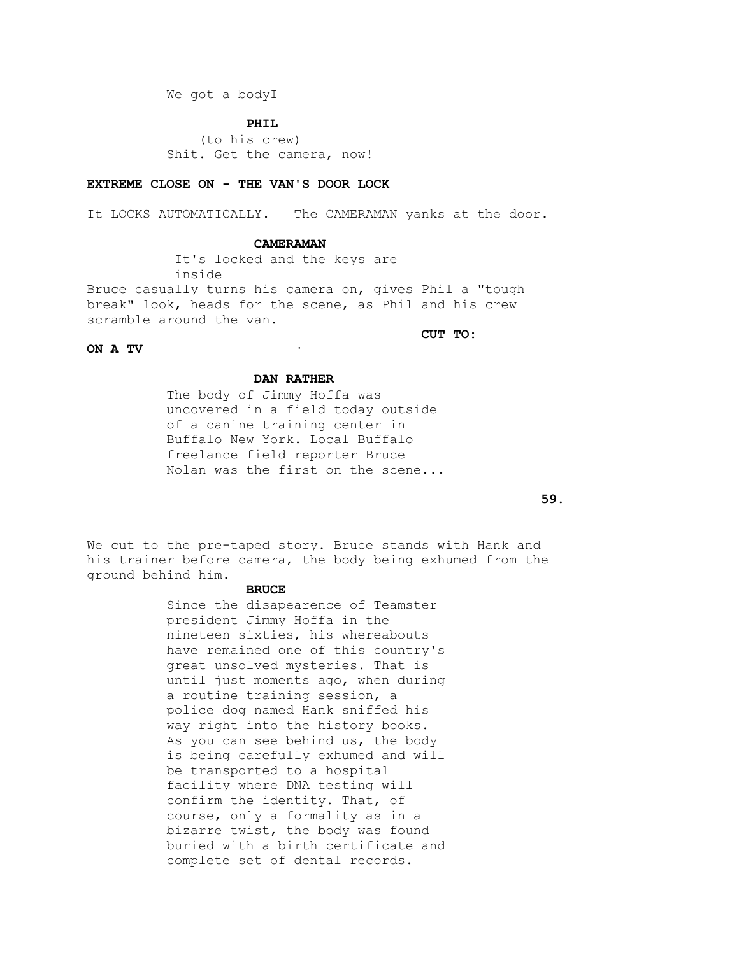We got a bodyI

 **PHIL**

 (to his crew) Shit. Get the camera, now!

#### **EXTREME CLOSE ON - THE VAN'S DOOR LOCK**

It LOCKS AUTOMATICALLY. The CAMERAMAN yanks at the door.

# **CAMERAMAN**

 It's locked and the keys are inside I Bruce casually turns his camera on, gives Phil a "tough break" look, heads for the scene, as Phil and his crew scramble around the van.

 **CUT TO:**

## **ON A TV ·**

#### **DAN RATHER**

 The body of Jimmy Hoffa was uncovered in a field today outside of a canine training center in Buffalo New York. Local Buffalo freelance field reporter Bruce Nolan was the first on the scene...

 $\sim$  59.

We cut to the pre-taped story. Bruce stands with Hank and his trainer before camera, the body being exhumed from the ground behind him.

#### **BRUCE**

 Since the disapearence of Teamster president Jimmy Hoffa in the nineteen sixties, his whereabouts have remained one of this country's great unsolved mysteries. That is until just moments ago, when during a routine training session, a police dog named Hank sniffed his way right into the history books. As you can see behind us, the body is being carefully exhumed and will be transported to a hospital facility where DNA testing will confirm the identity. That, of course, only a formality as in a bizarre twist, the body was found buried with a birth certificate and complete set of dental records.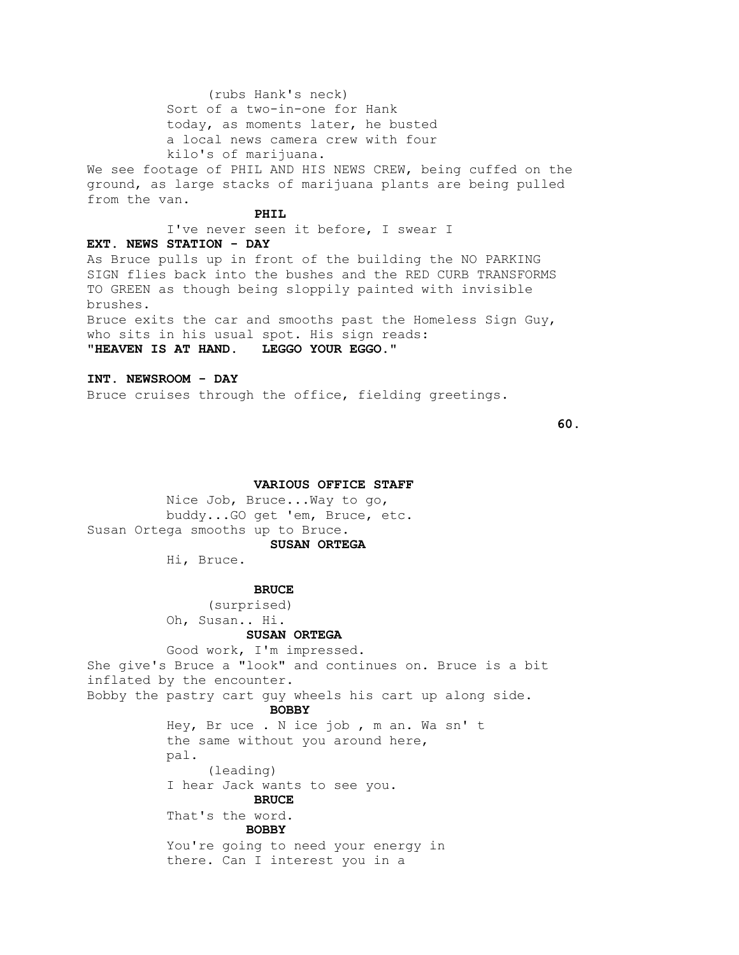(rubs Hank's neck) Sort of a two-in-one for Hank today, as moments later, he busted a local news camera crew with four kilo's of marijuana.

We see footage of PHIL AND HIS NEWS CREW, being cuffed on the ground, as large stacks of marijuana plants are being pulled from the van.

#### **PHIL**

 I've never seen it before, I swear I **EXT. NEWS STATION - DAY** As Bruce pulls up in front of the building the NO PARKING SIGN flies back into the bushes and the RED CURB TRANSFORMS TO GREEN as though being sloppily painted with invisible brushes. Bruce exits the car and smooths past the Homeless Sign Guy, who sits in his usual spot. His sign reads:

**"HEAVEN IS AT HAND. LEGGO YOUR EGGO."**

## **INT. NEWSROOM - DAY**

Bruce cruises through the office, fielding greetings.

 **60.**

#### **VARIOUS OFFICE STAFF**

 Nice Job, Bruce...Way to go, buddy...GO get 'em, Bruce, etc. Susan Ortega smooths up to Bruce.  **SUSAN ORTEGA**

Hi, Bruce.

#### **BRUCE**

 (surprised) Oh, Susan.. Hi.  **SUSAN ORTEGA** Good work, I'm impressed. She give's Bruce a "look" and continues on. Bruce is a bit inflated by the encounter. Bobby the pastry cart guy wheels his cart up along side.  **BOBBY** Hey, Br uce . N ice job , m an. Wa sn' t the same without you around here, pal. (leading) I hear Jack wants to see you.  **BRUCE** That's the word.  **BOBBY** You're going to need your energy in there. Can I interest you in a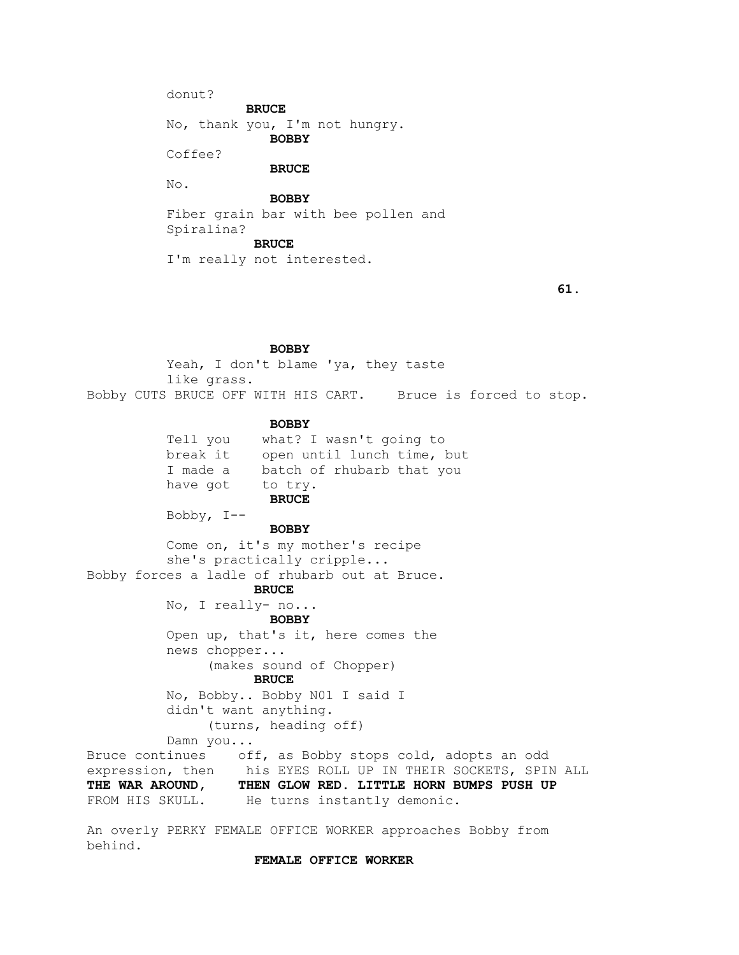donut?

 **BRUCE** No, thank you, I'm not hungry.  **BOBBY**

 **BRUCE**

Coffee?

No.

 **BOBBY** Fiber grain bar with bee pollen and Spiralina?  **BRUCE** I'm really not interested.

 **61.**

 **BOBBY**

 Yeah, I don't blame 'ya, they taste like grass. Bobby CUTS BRUCE OFF WITH HIS CART. Bruce is forced to stop.

## **BOBBY**

 Tell you what? I wasn't going to break it open until lunch time, but I made a batch of rhubarb that you have got to try.  **BRUCE** Bobby, I--  **BOBBY** Come on, it's my mother's recipe she's practically cripple... Bobby forces a ladle of rhubarb out at Bruce.  **BRUCE** No, I really- no...  **BOBBY** Open up, that's it, here comes the news chopper... (makes sound of Chopper)  **BRUCE** No, Bobby.. Bobby N01 I said I didn't want anything. (turns, heading off) Damn you... Bruce continues off, as Bobby stops cold, adopts an odd expression, then his EYES ROLL UP IN THEIR SOCKETS, SPIN ALL **THE WAR AROUND, THEN GLOW RED. LITTLE HORN BUMPS PUSH UP** FROM HIS SKULL. He turns instantly demonic.

An overly PERKY FEMALE OFFICE WORKER approaches Bobby from behind.

## **FEMALE OFFICE WORKER**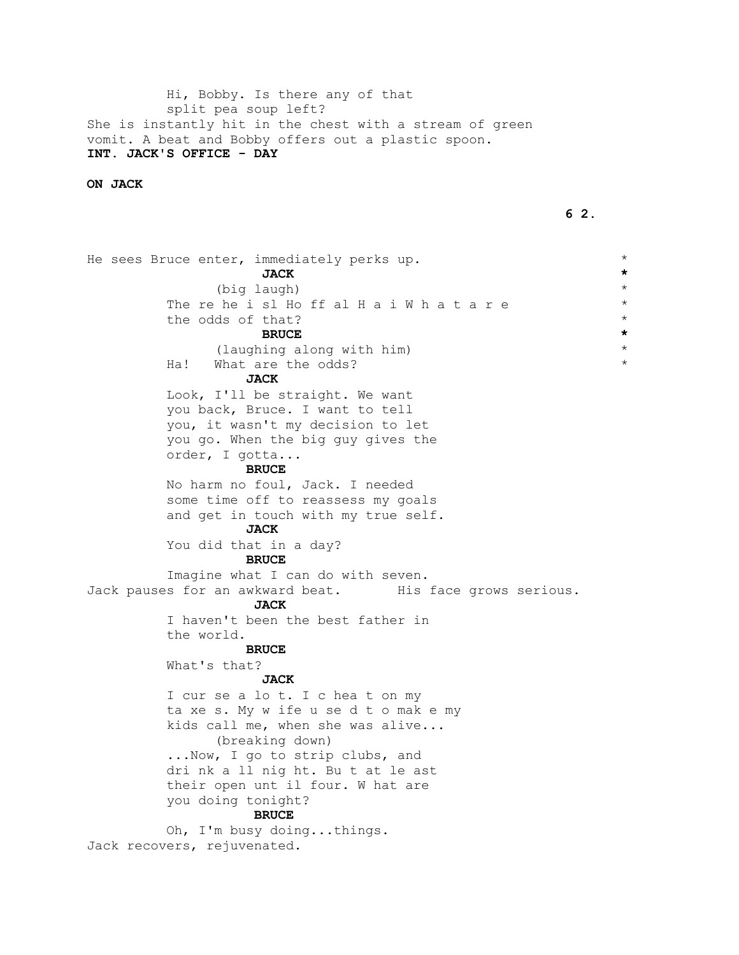Hi, Bobby. Is there any of that split pea soup left? She is instantly hit in the chest with a stream of green vomit. A beat and Bobby offers out a plastic spoon. **INT. JACK'S OFFICE - DAY**

#### **ON JACK**

|  | 6 2. |
|--|------|
|  |      |

He sees Bruce enter, immediately perks up.  **JACK \*** (big laugh) \* The re he i sl Ho ff al H a i W h a t a r e  $*$ the odds of that?  $*$ **BRUCE**  $\star$  (laughing along with him) \* Ha! What are the odds?  **JACK** Look, I'll be straight. We want you back, Bruce. I want to tell you, it wasn't my decision to let you go. When the big guy gives the order, I gotta...  **BRUCE** No harm no foul, Jack. I needed some time off to reassess my goals and get in touch with my true self.  **JACK** You did that in a day?  **BRUCE** Imagine what I can do with seven. Jack pauses for an awkward beat. His face grows serious.  **JACK** I haven't been the best father in the world.  **BRUCE** What's that?  **JACK** I cur se a lo t. I c hea t on my ta xe s. My w ife u se d t o mak e my kids call me, when she was alive... (breaking down) ...Now, I go to strip clubs, and dri nk a ll nig ht. Bu t at le ast their open unt il four. W hat are you doing tonight?  **BRUCE** Oh, I'm busy doing...things. Jack recovers, rejuvenated.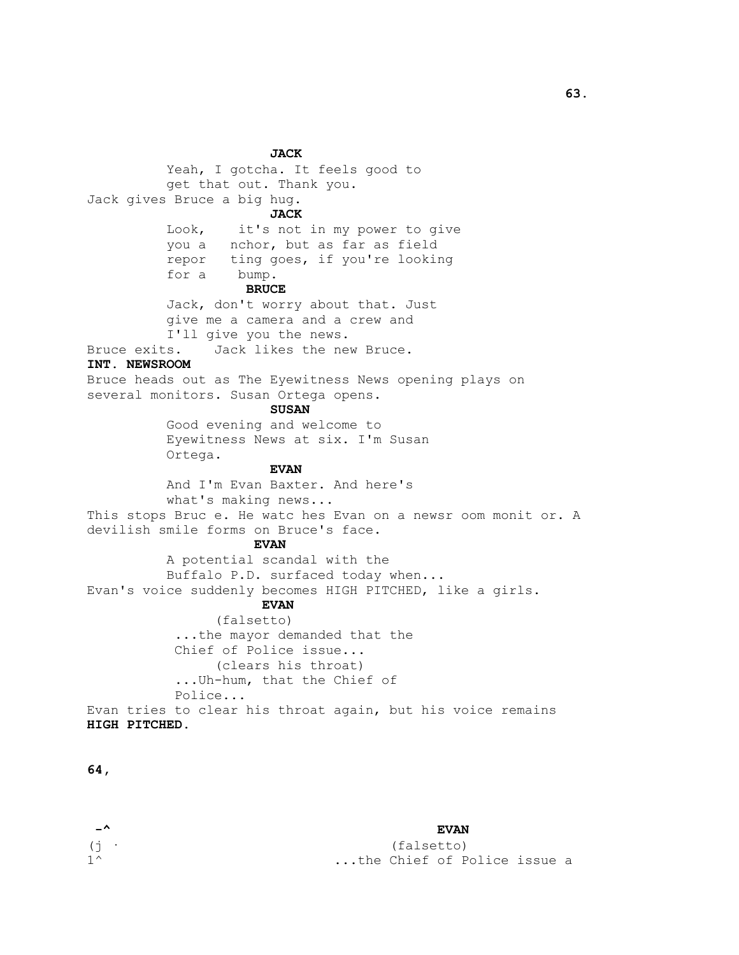**JACK** Yeah, I gotcha. It feels good to get that out. Thank you. Jack gives Bruce a big hug.  **JACK** Look, it's not in my power to give you a nchor, but as far as field repor ting goes, if you're looking for a bump.  **BRUCE** Jack, don't worry about that. Just give me a camera and a crew and I'll give you the news. Bruce exits. Jack likes the new Bruce. **INT. NEWSROOM** Bruce heads out as The Eyewitness News opening plays on several monitors. Susan Ortega opens.  **SUSAN** Good evening and welcome to Eyewitness News at six. I'm Susan Ortega.  **EVAN** And I'm Evan Baxter. And here's what's making news... This stops Bruc e. He watc hes Evan on a newsr oom monit or. A devilish smile forms on Bruce's face.  **EVAN** A potential scandal with the Buffalo P.D. surfaced today when... Evan's voice suddenly becomes HIGH PITCHED, like a girls.  **EVAN** (falsetto) ...the mayor demanded that the Chief of Police issue... (clears his throat) ...Uh-hum, that the Chief of Police... Evan tries to clear his throat again, but his voice remains **HIGH PITCHED.**

**64,**

**-^ EVAN** (j · (falsetto) 1<sup>^</sup> 1<sup>o</sup> ...the Chief of Police issue a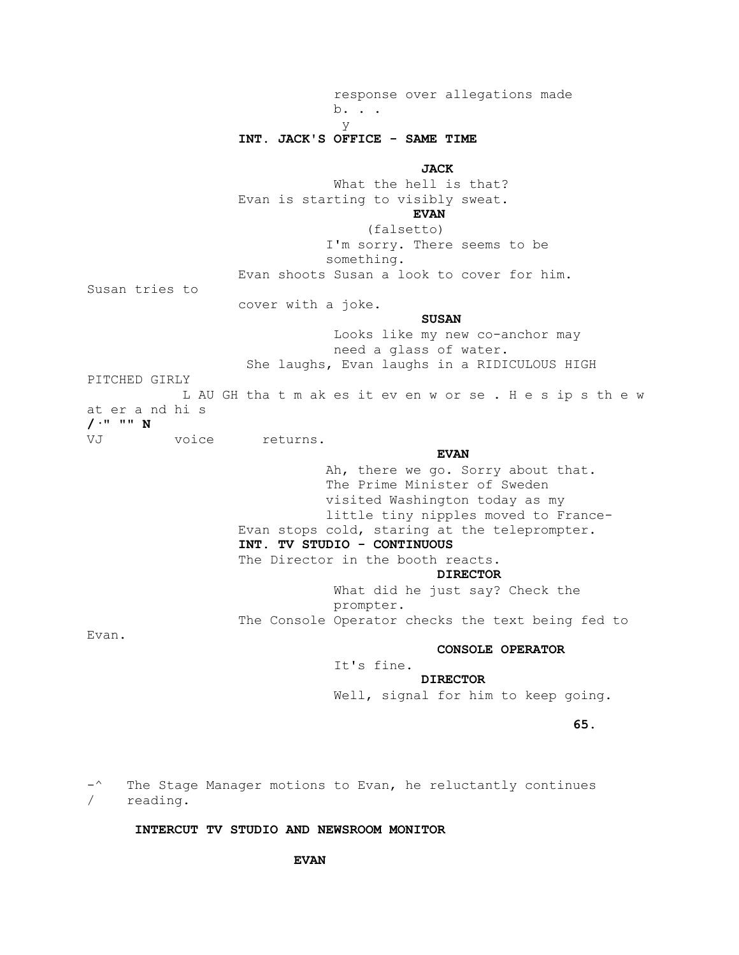response over allegations made b. . . y  **INT. JACK'S OFFICE - SAME TIME** *<u>JACK</u>*  What the hell is that? Evan is starting to visibly sweat. *EVAN*  (falsetto) I'm sorry. There seems to be something. Evan shoots Susan a look to cover for him. Susan tries to cover with a joke. **SUSAN**  Looks like my new co-anchor may need a glass of water. She laughs, Evan laughs in a RIDICULOUS HIGH PITCHED GIRLY L AU GH tha t m ak es it ev en w or se . H e s ip s th e w at er a nd hi s **/·" "" N** VJ voice returns. *EVAN*  Ah, there we go. Sorry about that. The Prime Minister of Sweden visited Washington today as my little tiny nipples moved to France- Evan stops cold, staring at the teleprompter.  **INT. TV STUDIO - CONTINUOUS** The Director in the booth reacts.  **DIRECTOR** What did he just say? Check the prompter. The Console Operator checks the text being fed to Evan.  **CONSOLE OPERATOR** It's fine.  **DIRECTOR**

Well, signal for him to keep going.

 $\overline{\phantom{a}}$  65.

-<sup>^</sup> The Stage Manager motions to Evan, he reluctantly continues / reading.

 **INTERCUT TV STUDIO AND NEWSROOM MONITOR**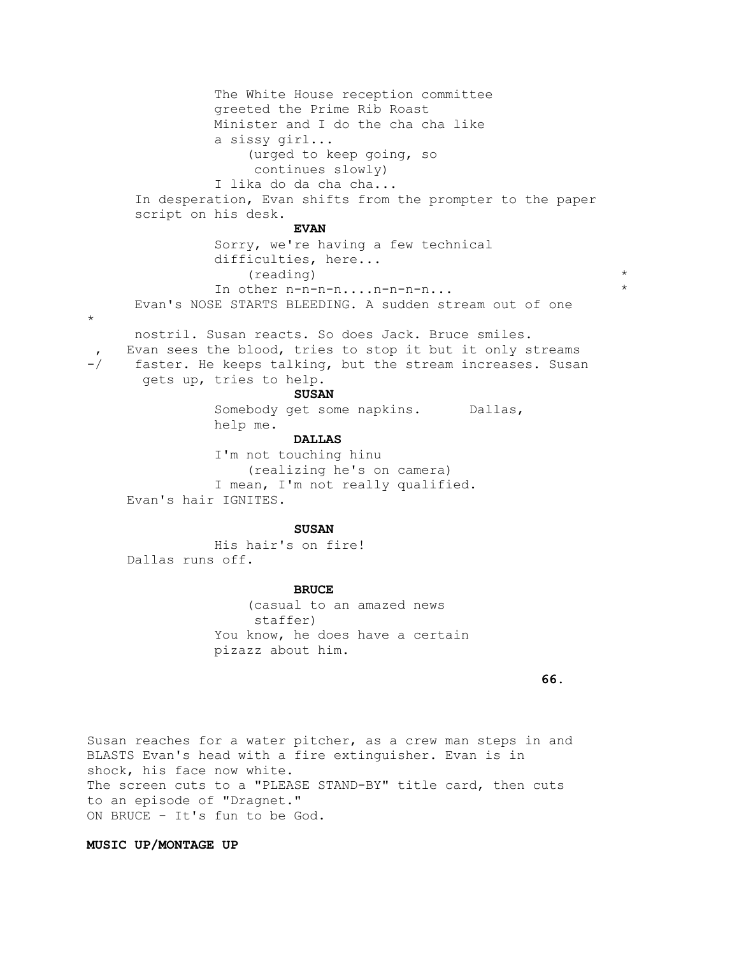The White House reception committee greeted the Prime Rib Roast Minister and I do the cha cha like a sissy girl... (urged to keep going, so continues slowly) I lika do da cha cha... In desperation, Evan shifts from the prompter to the paper script on his desk.  **EVAN** Sorry, we're having a few technical difficulties, here...  $(reading)$ In other n-n-n-n....n-n-n-n... \* Evan's NOSE STARTS BLEEDING. A sudden stream out of one \* nostril. Susan reacts. So does Jack. Bruce smiles. Evan sees the blood, tries to stop it but it only streams -/ faster. He keeps talking, but the stream increases. Susan gets up, tries to help.  **SUSAN** Somebody get some napkins. Dallas, help me.  **DALLAS** I'm not touching hinu (realizing he's on camera) I mean, I'm not really qualified. Evan's hair IGNITES.  **SUSAN** His hair's on fire! Dallas runs off.  **BRUCE** (casual to an amazed news staffer) You know, he does have a certain

**66. 66. 66. 66. 66. 66. 66. 66. 10. 10. 10. 10. 10. 10. 10. 10. 11. 11. 11. 11. 11. 11. 11. 11. 11. 11. 11. 11. 11. 11. 11. 11. 11. 11. 11. 11.** 

Susan reaches for a water pitcher, as a crew man steps in and BLASTS Evan's head with a fire extinguisher. Evan is in shock, his face now white. The screen cuts to a "PLEASE STAND-BY" title card, then cuts to an episode of "Dragnet." ON BRUCE - It's fun to be God.

pizazz about him.

**MUSIC UP/MONTAGE UP**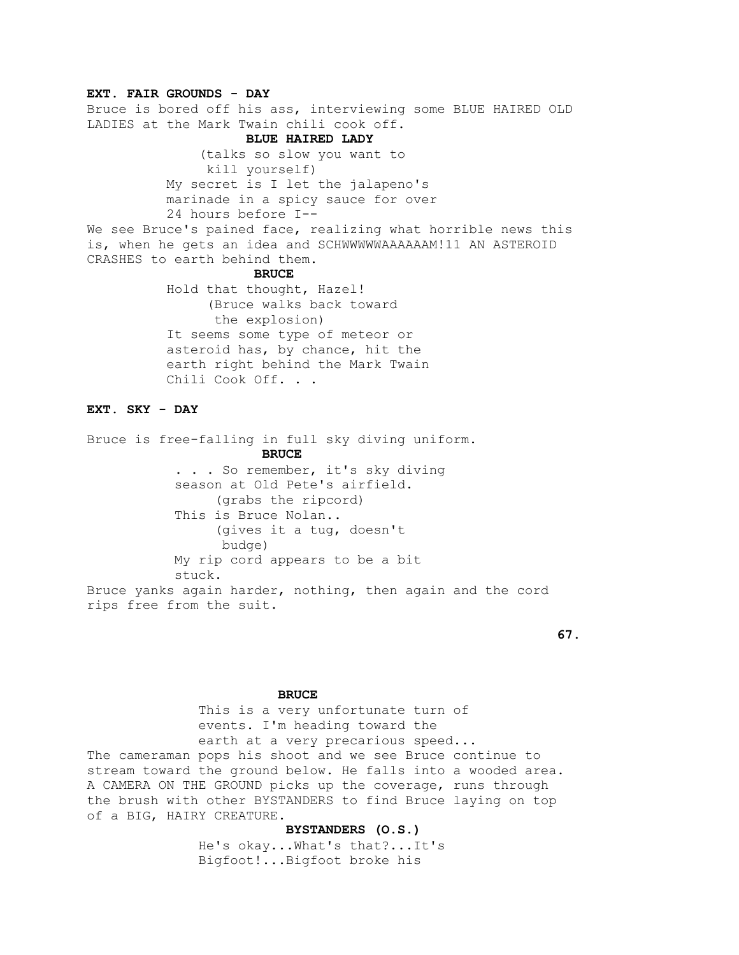**EXT. FAIR GROUNDS - DAY** Bruce is bored off his ass, interviewing some BLUE HAIRED OLD LADIES at the Mark Twain chili cook off.  **BLUE HAIRED LADY** (talks so slow you want to kill yourself) My secret is I let the jalapeno's marinade in a spicy sauce for over 24 hours before I-- We see Bruce's pained face, realizing what horrible news this is, when he gets an idea and SCHWWWWWAAAAAAM!11 AN ASTEROID CRASHES to earth behind them.  **BRUCE** Hold that thought, Hazel! (Bruce walks back toward the explosion) It seems some type of meteor or asteroid has, by chance, hit the earth right behind the Mark Twain Chili Cook Off. . . **EXT. SKY - DAY** Bruce is free-falling in full sky diving uniform.  **BRUCE** . . . So remember, it's sky diving season at Old Pete's airfield. (grabs the ripcord) This is Bruce Nolan.. (gives it a tug, doesn't budge) My rip cord appears to be a bit stuck. Bruce yanks again harder, nothing, then again and the cord rips free from the suit.  **67.**

#### **BRUCE**

 This is a very unfortunate turn of events. I'm heading toward the earth at a very precarious speed... The cameraman pops his shoot and we see Bruce continue to stream toward the ground below. He falls into a wooded area. A CAMERA ON THE GROUND picks up the coverage, runs through the brush with other BYSTANDERS to find Bruce laying on top of a BIG, HAIRY CREATURE.

#### **BYSTANDERS (O.S.)**

 He's okay...What's that?...It's Bigfoot!...Bigfoot broke his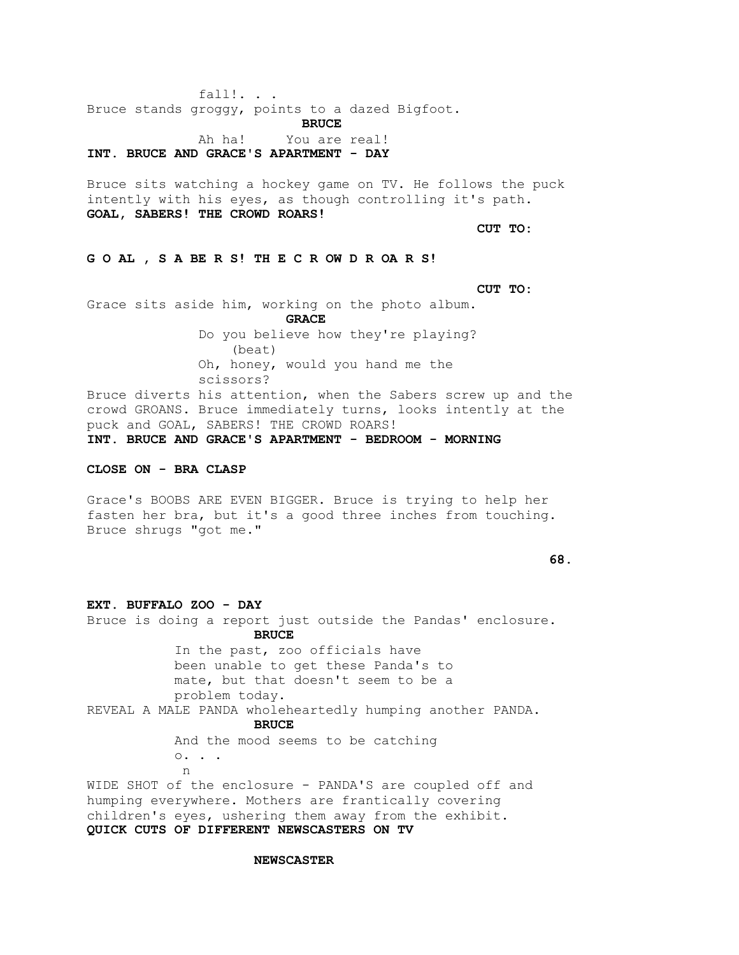fall!. . . Bruce stands groggy, points to a dazed Bigfoot.  **BRUCE** Ah ha! You are real! **INT. BRUCE AND GRACE'S APARTMENT - DAY**

Bruce sits watching a hockey game on TV. He follows the puck intently with his eyes, as though controlling it's path. **GOAL, SABERS! THE CROWD ROARS!**

 **CUT TO:**

## **G O AL , S A BE R S! TH E C R OW D R OA R S!**

 **CUT TO:**

Grace sits aside him, working on the photo album.

 **GRACE** Do you believe how they're playing? (beat) Oh, honey, would you hand me the scissors?

Bruce diverts his attention, when the Sabers screw up and the crowd GROANS. Bruce immediately turns, looks intently at the puck and GOAL, SABERS! THE CROWD ROARS! **INT. BRUCE AND GRACE'S APARTMENT - BEDROOM - MORNING**

#### **CLOSE ON - BRA CLASP**

Grace's BOOBS ARE EVEN BIGGER. Bruce is trying to help her fasten her bra, but it's a good three inches from touching. Bruce shrugs "got me."

 **68.**

**EXT. BUFFALO ZOO - DAY** Bruce is doing a report just outside the Pandas' enclosure.  **BRUCE** In the past, zoo officials have been unable to get these Panda's to mate, but that doesn't seem to be a problem today. REVEAL A MALE PANDA wholeheartedly humping another PANDA.  **BRUCE** And the mood seems to be catching o. . . n WIDE SHOT of the enclosure - PANDA'S are coupled off and humping everywhere. Mothers are frantically covering

children's eyes, ushering them away from the exhibit.

# **QUICK CUTS OF DIFFERENT NEWSCASTERS ON TV**

#### **NEWSCASTER**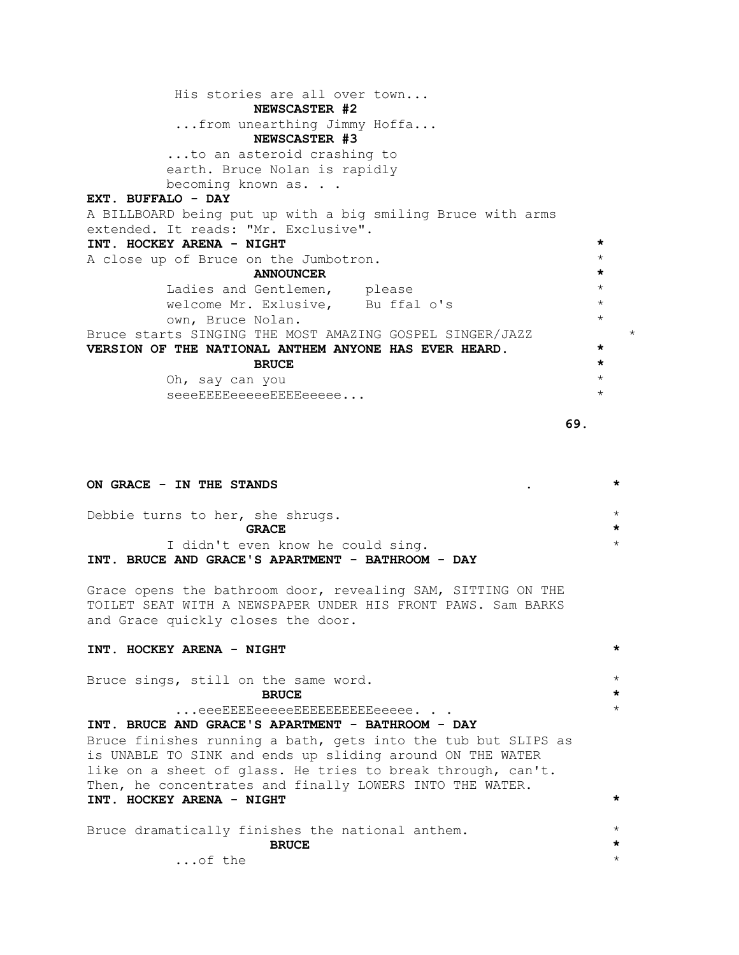His stories are all over town...  **NEWSCASTER #2** ...from unearthing Jimmy Hoffa...  **NEWSCASTER #3** ...to an asteroid crashing to earth. Bruce Nolan is rapidly becoming known as. . . **EXT. BUFFALO - DAY** A BILLBOARD being put up with a big smiling Bruce with arms extended. It reads: "Mr. Exclusive". **INT. HOCKEY ARENA - NIGHT \*** A close up of Bruce on the Jumbotron.  **ANNOUNCER \*** Ladies and Gentlemen, please  $*$ welcome Mr. Exlusive, Bu ffal o's \* own, Bruce Nolan. Bruce starts SINGING THE MOST AMAZING GOSPEL SINGER/JAZZ \* **VERSION OF THE NATIONAL ANTHEM ANYONE HAS EVER HEARD. \* BRUCE**  $\star$  Oh, say can you \* seeeEEEEeeeeEEEEEeeeee...

 **69.**

ON GRACE - IN THE STANDS Debbie turns to her, she shrugs.  **GRACE \*** I didn't even know he could sing. **INT. BRUCE AND GRACE'S APARTMENT - BATHROOM - DAY**

Grace opens the bathroom door, revealing SAM, SITTING ON THE TOILET SEAT WITH A NEWSPAPER UNDER HIS FRONT PAWS. Sam BARKS and Grace quickly closes the door.

# **INT. HOCKEY ARENA - NIGHT \***

Bruce sings, still on the same word. **BRUCE**  $\star$ 

...eeeEEEEeeeeEEEEEEEEEEEeeee. . .

**INT. BRUCE AND GRACE'S APARTMENT - BATHROOM - DAY** Bruce finishes running a bath, gets into the tub but SLIPS as is UNABLE TO SINK and ends up sliding around ON THE WATER like on a sheet of glass. He tries to break through, can't. Then, he concentrates and finally LOWERS INTO THE WATER. **INT. HOCKEY ARENA - NIGHT \***

Bruce dramatically finishes the national anthem.  $*$ 

# **BRUCE**  $\star$

...of the \*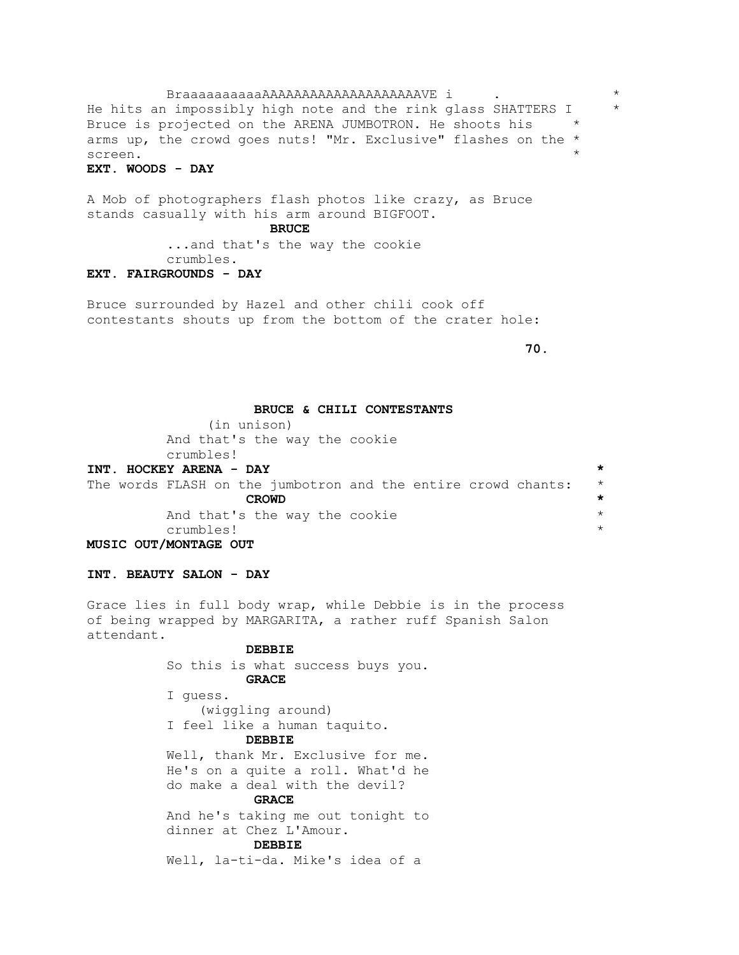BraaaaaaaaaAAAAAAAAAAAAAAAAAAAAAVE i He hits an impossibly high note and the rink glass SHATTERS I Bruce is projected on the ARENA JUMBOTRON. He shoots his \* arms up, the crowd goes nuts! "Mr. Exclusive" flashes on the \* screen.  $\star$ 

## **EXT. WOODS - DAY**

A Mob of photographers flash photos like crazy, as Bruce stands casually with his arm around BIGFOOT.

#### **BRUCE**

 ...and that's the way the cookie crumbles.

#### **EXT. FAIRGROUNDS - DAY**

Bruce surrounded by Hazel and other chili cook off contestants shouts up from the bottom of the crater hole:

 **70.**

## **BRUCE & CHILI CONTESTANTS**

```
 (in unison)
 And that's the way the cookie
 crumbles!
```
#### **INT. HOCKEY ARENA - DAY \***

The words FLASH on the jumbotron and the entire crowd chants:  **CROWD \*** And that's the way the cookie  $*$ crumbles! \*

# **MUSIC OUT/MONTAGE OUT**

# **INT. BEAUTY SALON - DAY**

Grace lies in full body wrap, while Debbie is in the process of being wrapped by MARGARITA, a rather ruff Spanish Salon attendant.

# **DEBBIE**

 So this is what success buys you.  **GRACE** I guess. (wiggling around) I feel like a human taquito.  **DEBBIE** Well, thank Mr. Exclusive for me. He's on a quite a roll. What'd he do make a deal with the devil?  **GRACE** And he's taking me out tonight to dinner at Chez L'Amour.  **DEBBIE** Well, la-ti-da. Mike's idea of a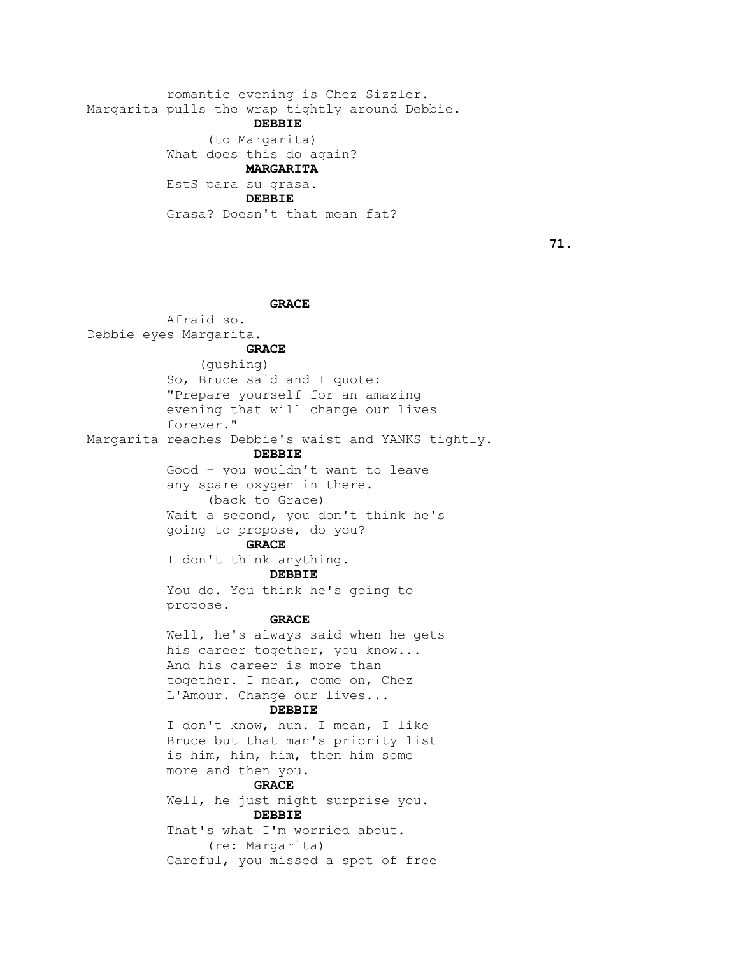romantic evening is Chez Sizzler. Margarita pulls the wrap tightly around Debbie.  **DEBBIE** (to Margarita) What does this do again?  **MARGARITA** EstS para su grasa.  **DEBBIE** Grasa? Doesn't that mean fat?

 **71.**

 **GRACE** Afraid so. Debbie eyes Margarita.  **GRACE** (gushing) So, Bruce said and I quote: "Prepare yourself for an amazing evening that will change our lives forever." Margarita reaches Debbie's waist and YANKS tightly.  **DEBBIE** Good - you wouldn't want to leave any spare oxygen in there. (back to Grace) Wait a second, you don't think he's going to propose, do you?  **GRACE** I don't think anything.  **DEBBIE** You do. You think he's going to propose.  **GRACE** Well, he's always said when he gets his career together, you know... And his career is more than together. I mean, come on, Chez L'Amour. Change our lives...  **DEBBIE** I don't know, hun. I mean, I like Bruce but that man's priority list is him, him, him, then him some more and then you.  **GRACE** Well, he just might surprise you.  **DEBBIE** That's what I'm worried about. (re: Margarita) Careful, you missed a spot of free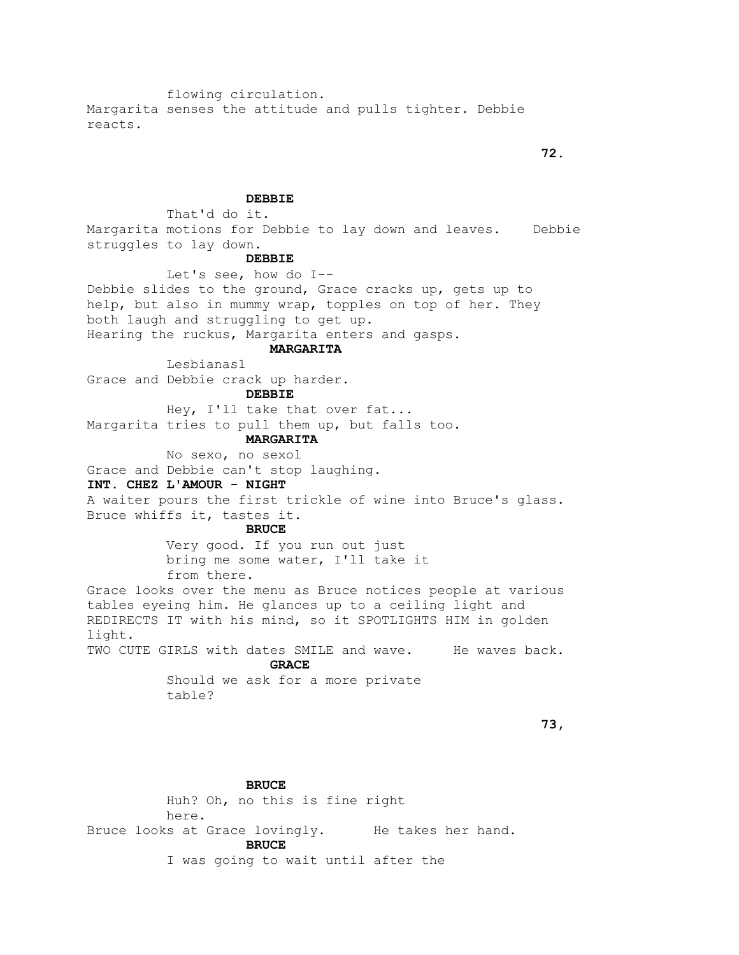flowing circulation. Margarita senses the attitude and pulls tighter. Debbie reacts.

 **72.**

# **DEBBIE** That'd do it. Margarita motions for Debbie to lay down and leaves. Debbie struggles to lay down.  **DEBBIE** Let's see, how do I-- Debbie slides to the ground, Grace cracks up, gets up to help, but also in mummy wrap, topples on top of her. They both laugh and struggling to get up. Hearing the ruckus, Margarita enters and gasps.  **MARGARITA** Lesbianas1 Grace and Debbie crack up harder.  **DEBBIE** Hey, I'll take that over fat... Margarita tries to pull them up, but falls too.  **MARGARITA** No sexo, no sexol Grace and Debbie can't stop laughing. **INT. CHEZ L'AMOUR - NIGHT** A waiter pours the first trickle of wine into Bruce's glass. Bruce whiffs it, tastes it.  **BRUCE** Very good. If you run out just bring me some water, I'll take it from there. Grace looks over the menu as Bruce notices people at various tables eyeing him. He glances up to a ceiling light and REDIRECTS IT with his mind, so it SPOTLIGHTS HIM in golden light. TWO CUTE GIRLS with dates SMILE and wave. He waves back.  **GRACE** Should we ask for a more private table?  **73,**

 **BRUCE** Huh? Oh, no this is fine right here. Bruce looks at Grace lovingly. He takes her hand.  **BRUCE** I was going to wait until after the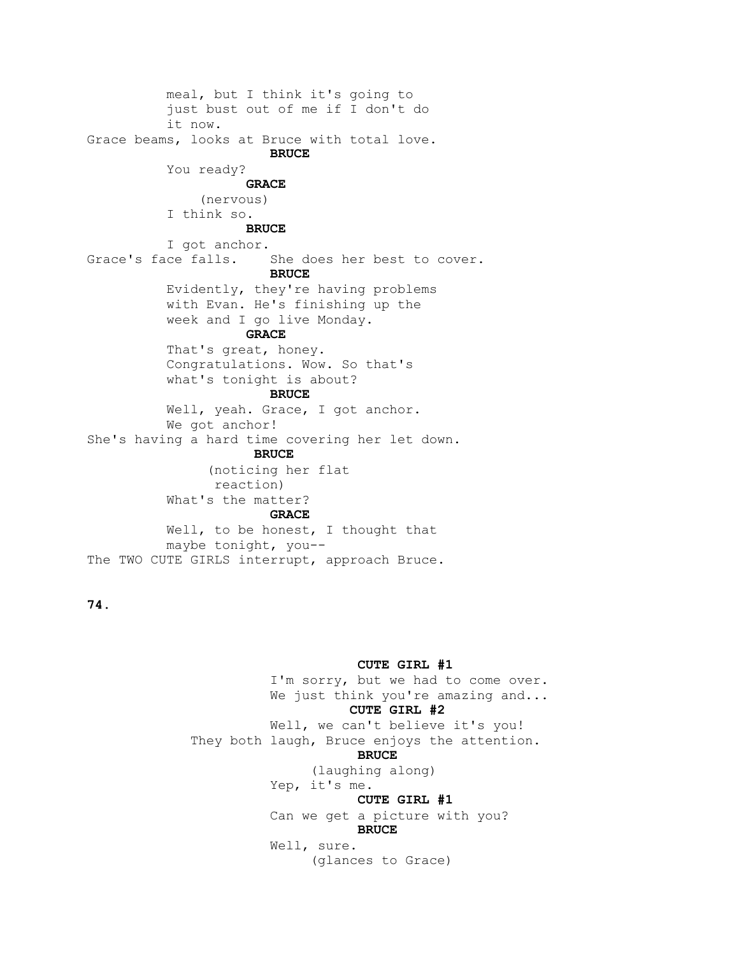meal, but I think it's going to just bust out of me if I don't do it now. Grace beams, looks at Bruce with total love.  **BRUCE** You ready?  **GRACE** (nervous) I think so.  **BRUCE** I got anchor. Grace's face falls. She does her best to cover.  **BRUCE** Evidently, they're having problems with Evan. He's finishing up the week and I go live Monday.  **GRACE** That's great, honey. Congratulations. Wow. So that's what's tonight is about?  **BRUCE** Well, yeah. Grace, I got anchor. We got anchor! She's having a hard time covering her let down.  **BRUCE** (noticing her flat reaction) What's the matter?  **GRACE** Well, to be honest, I thought that maybe tonight, you-- The TWO CUTE GIRLS interrupt, approach Bruce.

**74.**

# **CUTE GIRL #1**

 I'm sorry, but we had to come over. We just think you're amazing and...  **CUTE GIRL #2** Well, we can't believe it's you! They both laugh, Bruce enjoys the attention.  **BRUCE** (laughing along) Yep, it's me.  **CUTE GIRL #1** Can we get a picture with you?  **BRUCE** Well, sure. (glances to Grace)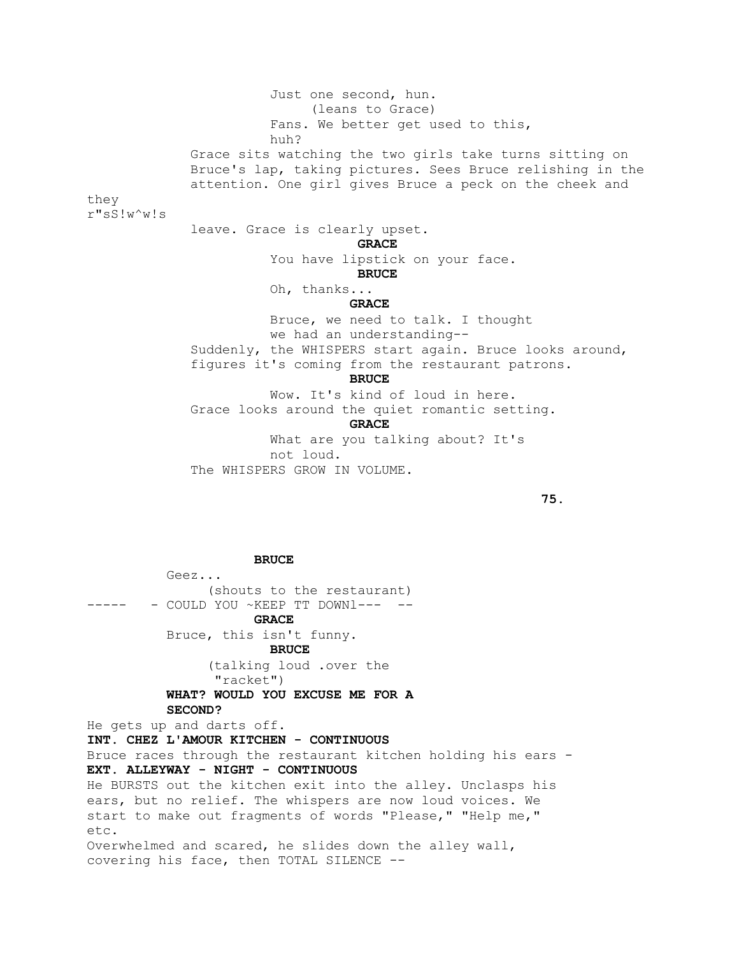Just one second, hun. (leans to Grace) Fans. We better get used to this, huh? Grace sits watching the two girls take turns sitting on Bruce's lap, taking pictures. Sees Bruce relishing in the attention. One girl gives Bruce a peck on the cheek and they r"sS!w^w!s leave. Grace is clearly upset.  **GRACE** You have lipstick on your face.  **BRUCE** Oh, thanks...  **GRACE** Bruce, we need to talk. I thought we had an understanding-- Suddenly, the WHISPERS start again. Bruce looks around, figures it's coming from the restaurant patrons.  **BRUCE** Wow. It's kind of loud in here. Grace looks around the quiet romantic setting.  **GRACE** What are you talking about? It's not loud. The WHISPERS GROW IN VOLUME.

 **75.**

 Geez... (shouts to the restaurant) ----- - COULD YOU ~KEEP TT DOWNl--- -- **GRACE** Bruce, this isn't funny.  **BRUCE** (talking loud .over the "racket")  **WHAT? WOULD YOU EXCUSE ME FOR A SECOND?** He gets up and darts off. **INT. CHEZ L'AMOUR KITCHEN - CONTINUOUS** Bruce races through the restaurant kitchen holding his ears - **EXT. ALLEYWAY - NIGHT - CONTINUOUS** He BURSTS out the kitchen exit into the alley. Unclasps his ears, but no relief. The whispers are now loud voices. We start to make out fragments of words "Please," "Help me," etc. Overwhelmed and scared, he slides down the alley wall, covering his face, then TOTAL SILENCE --

 **BRUCE**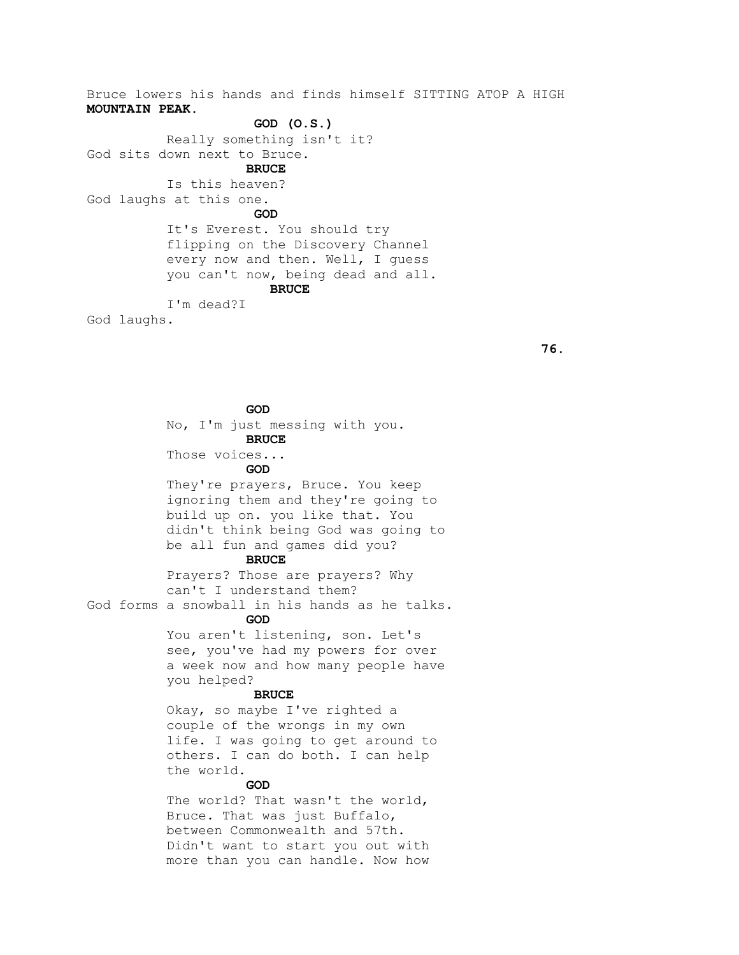Bruce lowers his hands and finds himself SITTING ATOP A HIGH **MOUNTAIN PEAK. GOD (O.S.)** Really something isn't it? God sits down next to Bruce.  **BRUCE** Is this heaven? God laughs at this one.  **GOD** It's Everest. You should try flipping on the Discovery Channel every now and then. Well, I guess you can't now, being dead and all.  **BRUCE** I'm dead?I God laughs.  **76.**

 **GOD**

 No, I'm just messing with you.  **BRUCE**

Those voices...

 **GOD**

 They're prayers, Bruce. You keep ignoring them and they're going to build up on. you like that. You didn't think being God was going to be all fun and games did you?

# **BRUCE**

 Prayers? Those are prayers? Why can't I understand them?

God forms a snowball in his hands as he talks.  **GOD** 

You aren't listening, son. Let's see, you've had my powers for over a week now and how many people have you helped?

# **BRUCE**

 Okay, so maybe I've righted a couple of the wrongs in my own life. I was going to get around to others. I can do both. I can help the world.

# **GOD**

 The world? That wasn't the world, Bruce. That was just Buffalo, between Commonwealth and 57th. Didn't want to start you out with more than you can handle. Now how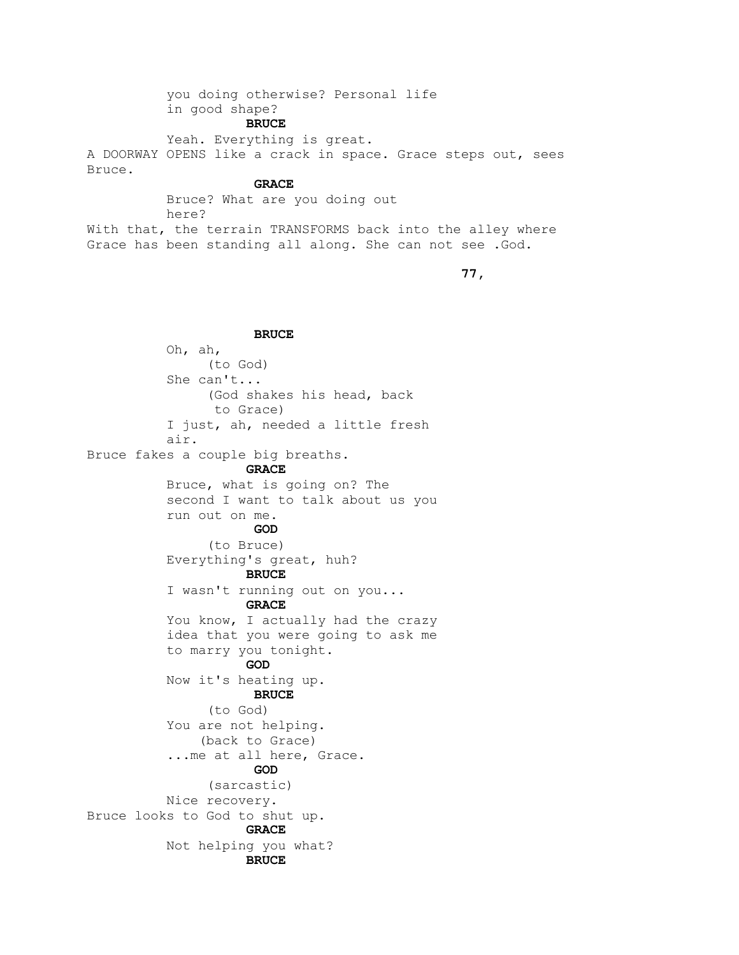you doing otherwise? Personal life

in good shape?

# **BRUCE**

 Yeah. Everything is great. A DOORWAY OPENS like a crack in space. Grace steps out, sees Bruce.

# **GRACE**

 Bruce? What are you doing out here?

With that, the terrain TRANSFORMS back into the alley where Grace has been standing all along. She can not see .God.

 **77,**

 **BRUCE** Oh, ah, (to God) She can't... (God shakes his head, back to Grace) I just, ah, needed a little fresh air. Bruce fakes a couple big breaths.  **GRACE** Bruce, what is going on? The second I want to talk about us you run out on me.  **GOD** (to Bruce) Everything's great, huh?  **BRUCE** I wasn't running out on you...  **GRACE** You know, I actually had the crazy idea that you were going to ask me to marry you tonight.  **GOD** Now it's heating up.  **BRUCE** (to God) You are not helping. (back to Grace) ...me at all here, Grace.  **GOD** (sarcastic) Nice recovery. Bruce looks to God to shut up.  **GRACE** Not helping you what?  **BRUCE**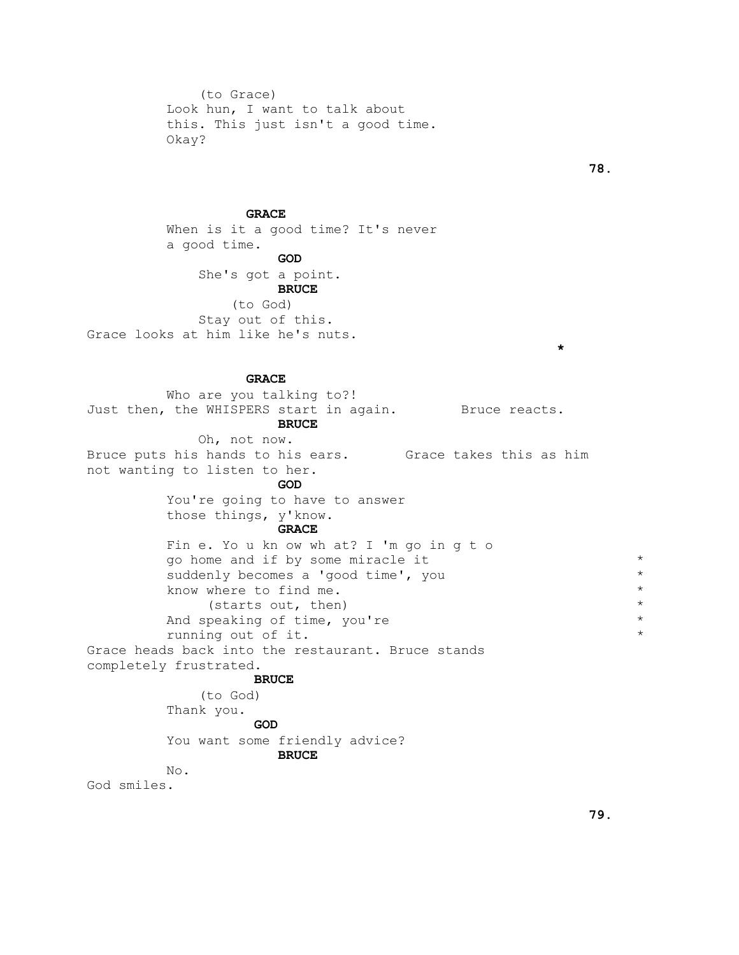(to Grace) Look hun, I want to talk about this. This just isn't a good time. Okay?

 **78.**

## **GRACE**

 When is it a good time? It's never a good time.  **GOD** She's got a point.  **BRUCE** (to God) Stay out of this. Grace looks at him like he's nuts.

# **GRACE**

 **\***

 Who are you talking to?! Just then, the WHISPERS start in again. Bruce reacts.  **BRUCE** Oh, not now. Bruce puts his hands to his ears. Grace takes this as him not wanting to listen to her.  **GOD**  You're going to have to answer those things, y'know.  **GRACE** Fin e. Yo u kn ow wh at? I 'm go in g t o go home and if by some miracle it  $*$ suddenly becomes a 'good time', you \* know where to find me.  $*$ <br>(starts out, then)  $*$ (starts out, then)  $\star$ <br>neaking of time, you're  $\star$ And speaking of time, you're running out of it.  $*$ Grace heads back into the restaurant. Bruce stands completely frustrated.  **BRUCE** (to God) Thank you.  **GOD** You want some friendly advice?  **BRUCE** No. God smiles.

 **79.**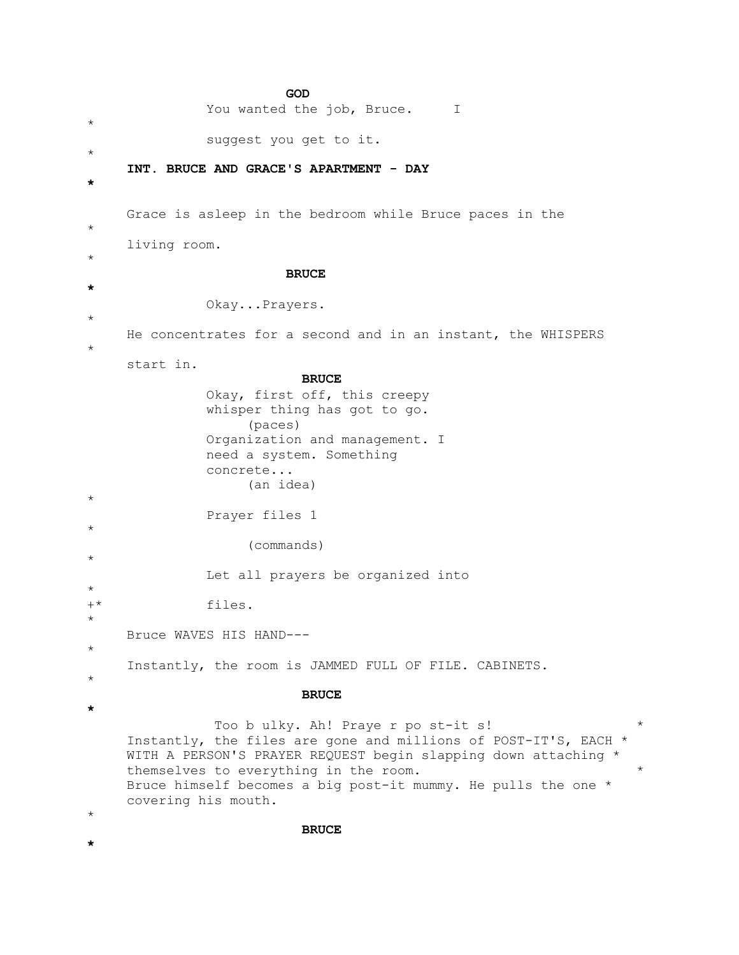*GOD* GOD You wanted the job, Bruce. I \* suggest you get to it. \*  **INT. BRUCE AND GRACE'S APARTMENT - DAY \*** Grace is asleep in the bedroom while Bruce paces in the \* living room. \*  **BRUCE \*** Okay...Prayers. \* He concentrates for a second and in an instant, the WHISPERS \* start in.  **BRUCE** Okay, first off, this creepy whisper thing has got to go. (paces) Organization and management. I need a system. Something concrete... (an idea) \* Prayer files 1 \* (commands) \* Let all prayers be organized into  $\star$ +\* files. \* Bruce WAVES HIS HAND--- \* Instantly, the room is JAMMED FULL OF FILE. CABINETS. \*  **BRUCE \*** Too b ulky. Ah! Praye r po st-it s! \* Instantly, the files are gone and millions of POST-IT'S, EACH \* WITH A PERSON'S PRAYER REQUEST begin slapping down attaching \* themselves to everything in the room. Bruce himself becomes a big post-it mummy. He pulls the one \* covering his mouth. \*  **BRUCE \***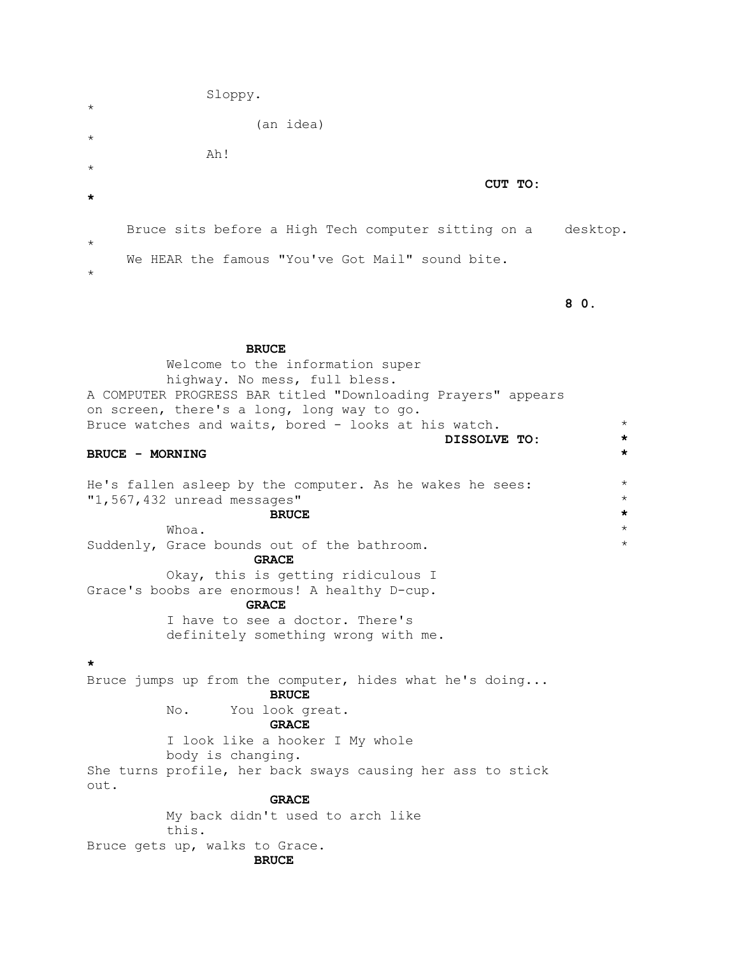| $\star$ | Sloppy.                                             |          |
|---------|-----------------------------------------------------|----------|
| $\star$ | (an idea)                                           |          |
|         | Ah!                                                 |          |
| $\star$ | CUT TO:                                             |          |
| $\star$ |                                                     |          |
| $\star$ | Bruce sits before a High Tech computer sitting on a | desktop. |
| $\star$ | We HEAR the famous "You've Got Mail" sound bite.    |          |

 **8 0.**

# **BRUCE**

 Welcome to the information super highway. No mess, full bless. A COMPUTER PROGRESS BAR titled "Downloading Prayers" appears on screen, there's a long, long way to go. Bruce watches and waits, bored - looks at his watch.  **DISSOLVE TO: \* BRUCE - MORNING \*** He's fallen asleep by the computer. As he wakes he sees: "1,567,432 unread messages" \* **BRUCE**  $\star$  $W$ hoa.  $*$ Suddenly, Grace bounds out of the bathroom.  $*$  **GRACE** Okay, this is getting ridiculous I Grace's boobs are enormous! A healthy D-cup.  **GRACE** I have to see a doctor. There's definitely something wrong with me. **\*** Bruce jumps up from the computer, hides what he's doing...  **BRUCE** No. You look great.  **GRACE** I look like a hooker I My whole body is changing. She turns profile, her back sways causing her ass to stick out.  **GRACE** My back didn't used to arch like this. Bruce gets up, walks to Grace.  **BRUCE**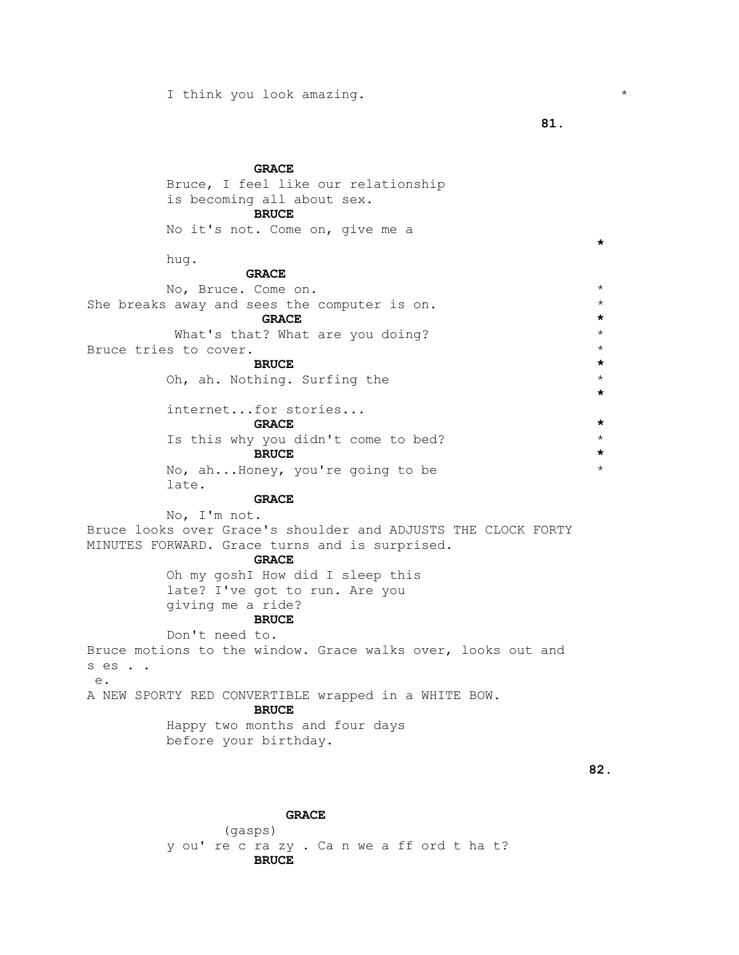I think you look amazing.

 **81.**

#### **GRACE**

 Bruce, I feel like our relationship is becoming all about sex.  **BRUCE** No it's not. Come on, give me a  **\***

hug.

 **GRACE** No, Bruce. Come on.  $\star$ She breaks away and sees the computer is on.  $*$  **GRACE \*** What's that? What are you doing?<br> $\star$  to cover  $\star$ Bruce tries to cover. **BRUCE**  $\star$ Oh, ah. Nothing. Surfing the  $\star$  **\*** internet...for stories...  **GRACE \*** Is this why you didn't come to bed? \* \* **BRUCE**  $\star$  No, ah...Honey, you're going to be \* late.  **GRACE** No, I'm not. Bruce looks over Grace's shoulder and ADJUSTS THE CLOCK FORTY MINUTES FORWARD. Grace turns and is surprised.  **GRACE**

 Oh my goshI How did I sleep this late? I've got to run. Are you giving me a ride?

 **BRUCE**

 Don't need to. Bruce motions to the window. Grace walks over, looks out and s es . . e.

A NEW SPORTY RED CONVERTIBLE wrapped in a WHITE BOW.

 **BRUCE**

 Happy two months and four days before your birthday.

 $82.$ 

 **GRACE**

 (gasps) y ou' re c ra zy . Ca n we a ff ord t ha t?  **BRUCE**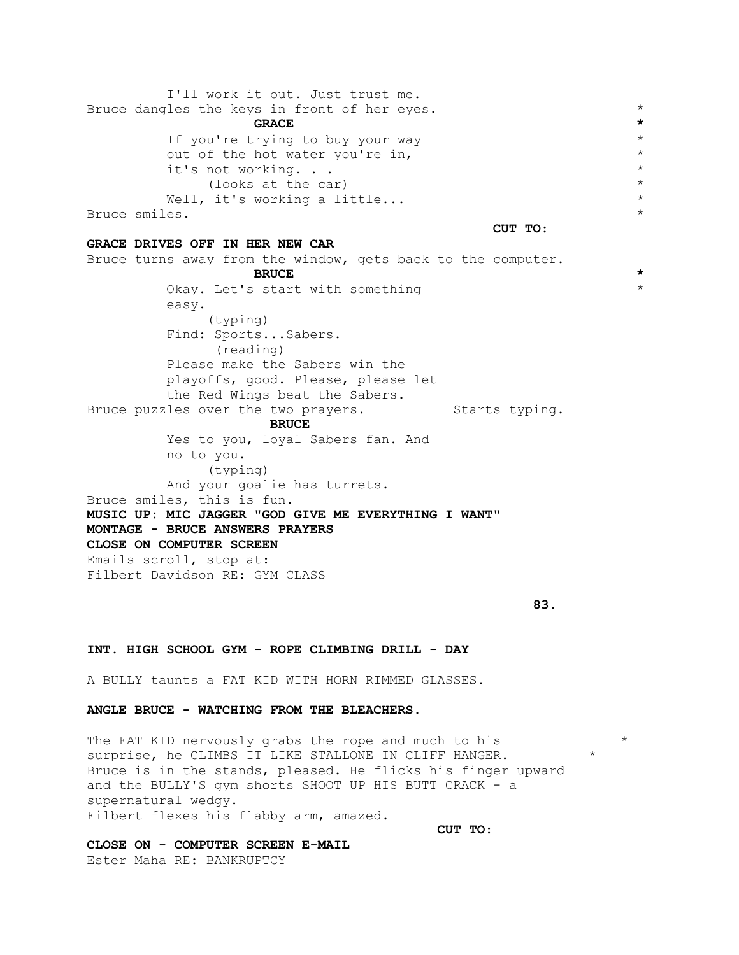I'll work it out. Just trust me. Bruce dangles the keys in front of her eyes.  $*$  **GRACE \*** If you're trying to buy your way  $*$ out of the hot water you're in,  $*$ it's not working. . .  $\star$ (looks at the car)  $*$ Well, it's working a little...  $*$ Bruce smiles. \*  **CUT TO: GRACE DRIVES OFF IN HER NEW CAR** Bruce turns away from the window, gets back to the computer. **BRUCE**  $\star$ Okay. Let's start with something easy. (typing) Find: Sports...Sabers. (reading) Please make the Sabers win the playoffs, good. Please, please let the Red Wings beat the Sabers. Bruce puzzles over the two prayers. Starts typing.  **BRUCE** Yes to you, loyal Sabers fan. And no to you. (typing) And your goalie has turrets. Bruce smiles, this is fun. **MUSIC UP: MIC JAGGER "GOD GIVE ME EVERYTHING I WANT" MONTAGE - BRUCE ANSWERS PRAYERS CLOSE ON COMPUTER SCREEN** Emails scroll, stop at: Filbert Davidson RE: GYM CLASS

 $\overline{\phantom{a}}$  83.

 **CUT TO:**

## **INT. HIGH SCHOOL GYM - ROPE CLIMBING DRILL - DAY**

A BULLY taunts a FAT KID WITH HORN RIMMED GLASSES.

#### **ANGLE BRUCE - WATCHING FROM THE BLEACHERS.**

The FAT KID nervously grabs the rope and much to his  $*$ surprise, he CLIMBS IT LIKE STALLONE IN CLIFF HANGER. Bruce is in the stands, pleased. He flicks his finger upward and the BULLY'S gym shorts SHOOT UP HIS BUTT CRACK - a supernatural wedgy. Filbert flexes his flabby arm, amazed.

## **CLOSE ON - COMPUTER SCREEN E-MAIL**

Ester Maha RE: BANKRUPTCY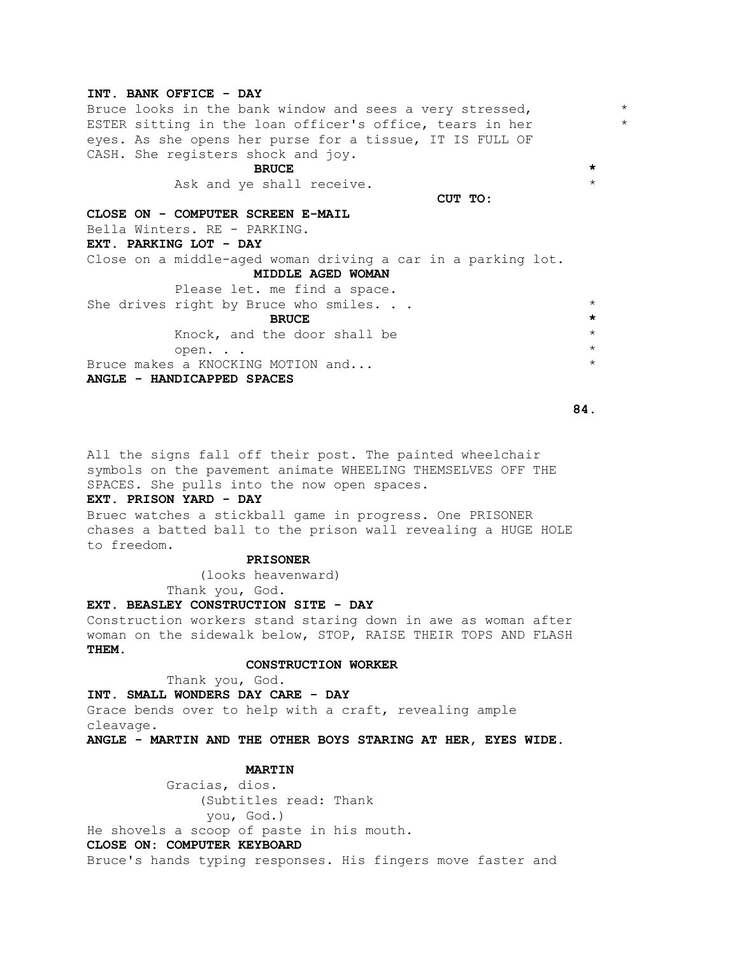## **INT. BANK OFFICE - DAY**

Bruce looks in the bank window and sees a very stressed, ESTER sitting in the loan officer's office, tears in her \* eyes. As she opens her purse for a tissue, IT IS FULL OF CASH. She registers shock and joy.

# **BRUCE**  $\star$

Ask and ye shall receive.

 **CUT TO:**

# **CLOSE ON - COMPUTER SCREEN E-MAIL**

Bella Winters. RE - PARKING.

**EXT. PARKING LOT - DAY**

Close on a middle-aged woman driving a car in a parking lot.  **MIDDLE AGED WOMAN**

# Please let. me find a space.

|  | riease let. Me linu a space.          |         |
|--|---------------------------------------|---------|
|  | She drives right by Bruce who smiles. | $\star$ |
|  | <b>BRUCE</b>                          | $\star$ |
|  | Knock, and the door shall be          | $\star$ |
|  | open.                                 | $\star$ |
|  | Bruce makes a KNOCKING MOTION and     | $\star$ |

## **ANGLE - HANDICAPPED SPACES**

# **84.**

All the signs fall off their post. The painted wheelchair symbols on the pavement animate WHEELING THEMSELVES OFF THE SPACES. She pulls into the now open spaces.

#### **EXT. PRISON YARD - DAY**

Bruec watches a stickball game in progress. One PRISONER chases a batted ball to the prison wall revealing a HUGE HOLE to freedom.

#### **PRISONER**

(looks heavenward)

Thank you, God.

#### **EXT. BEASLEY CONSTRUCTION SITE - DAY**

Construction workers stand staring down in awe as woman after woman on the sidewalk below, STOP, RAISE THEIR TOPS AND FLASH **THEM.**

## **CONSTRUCTION WORKER**

Thank you, God.

## **INT. SMALL WONDERS DAY CARE - DAY**

Grace bends over to help with a craft, revealing ample cleavage.

**ANGLE - MARTIN AND THE OTHER BOYS STARING AT HER, EYES WIDE.**

#### **MARTIN**

 Gracias, dios. (Subtitles read: Thank you, God.)

He shovels a scoop of paste in his mouth.

# **CLOSE ON: COMPUTER KEYBOARD**

Bruce's hands typing responses. His fingers move faster and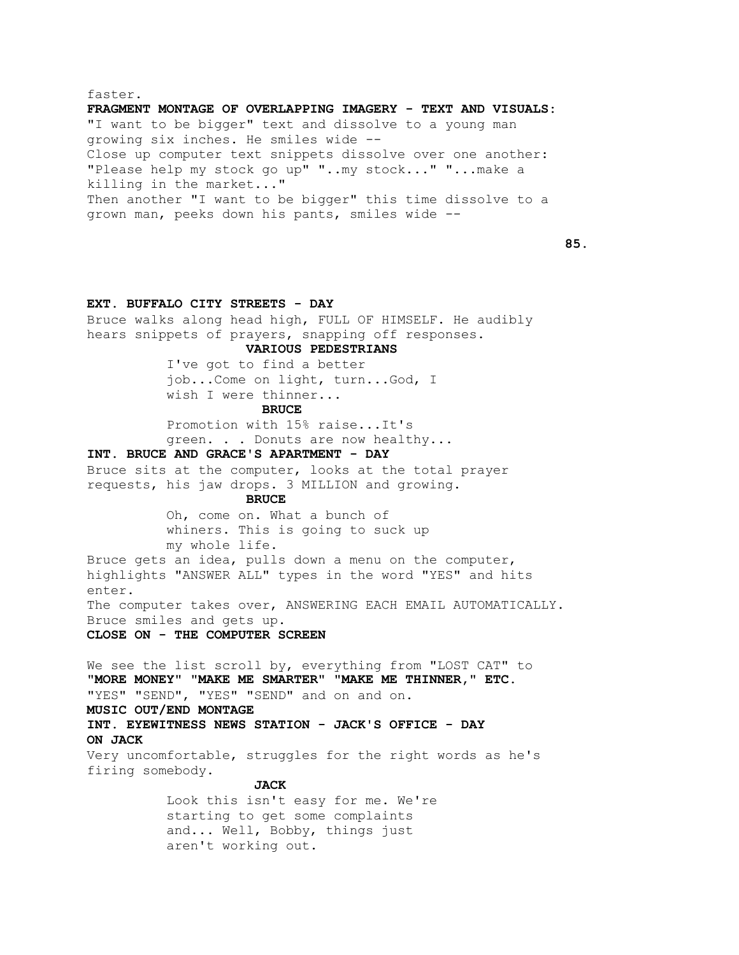faster. **FRAGMENT MONTAGE OF OVERLAPPING IMAGERY - TEXT AND VISUALS:** "I want to be bigger" text and dissolve to a young man growing six inches. He smiles wide -- Close up computer text snippets dissolve over one another: "Please help my stock go up" "..my stock..." "...make a killing in the market..." Then another "I want to be bigger" this time dissolve to a grown man, peeks down his pants, smiles wide --  $85.$ **EXT. BUFFALO CITY STREETS - DAY** Bruce walks along head high, FULL OF HIMSELF. He audibly hears snippets of prayers, snapping off responses.  **VARIOUS PEDESTRIANS** I've got to find a better job...Come on light, turn...God, I wish I were thinner...  **BRUCE** Promotion with 15% raise...It's green. . . Donuts are now healthy... **INT. BRUCE AND GRACE'S APARTMENT - DAY** Bruce sits at the computer, looks at the total prayer requests, his jaw drops. 3 MILLION and growing.  **BRUCE** Oh, come on. What a bunch of whiners. This is going to suck up my whole life. Bruce gets an idea, pulls down a menu on the computer, highlights "ANSWER ALL" types in the word "YES" and hits enter. The computer takes over, ANSWERING EACH EMAIL AUTOMATICALLY. Bruce smiles and gets up. **CLOSE ON - THE COMPUTER SCREEN** We see the list scroll by, everything from "LOST CAT" to **"MORE MONEY" "MAKE ME SMARTER" "MAKE ME THINNER," ETC.** "YES" "SEND", "YES" "SEND" and on and on. **MUSIC OUT/END MONTAGE INT. EYEWITNESS NEWS STATION - JACK'S OFFICE - DAY ON JACK** Very uncomfortable, struggles for the right words as he's firing somebody.  **JACK** Look this isn't easy for me. We're starting to get some complaints and... Well, Bobby, things just

aren't working out.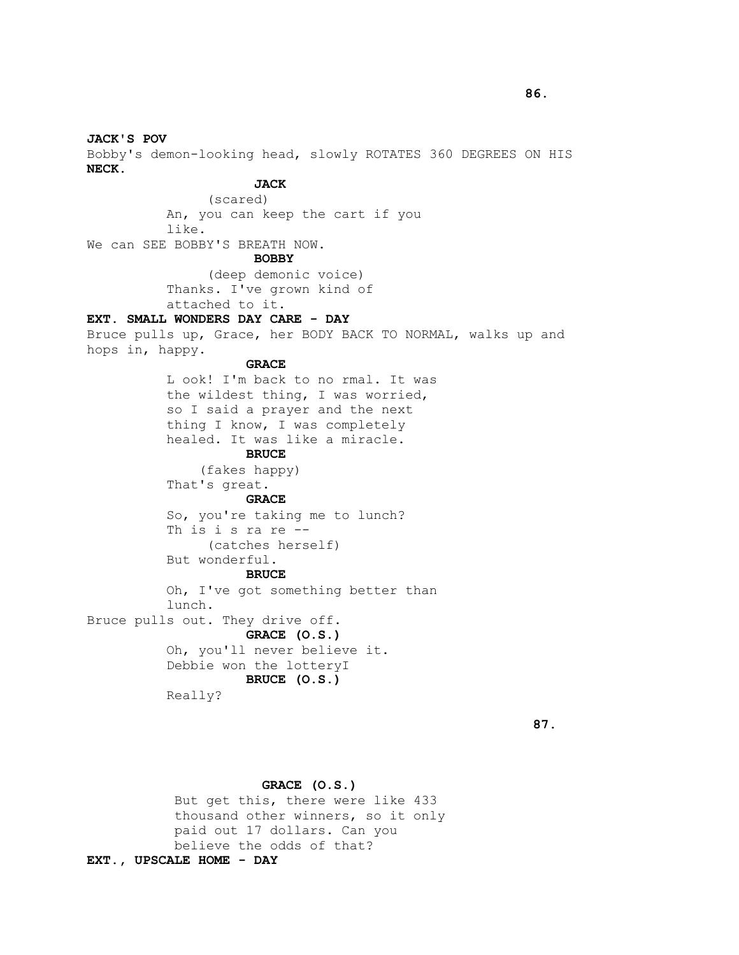**JACK'S POV** Bobby's demon-looking head, slowly ROTATES 360 DEGREES ON HIS **NECK. JACK** (scared) An, you can keep the cart if you like. We can SEE BOBBY'S BREATH NOW.  **BOBBY** (deep demonic voice) Thanks. I've grown kind of attached to it. **EXT. SMALL WONDERS DAY CARE - DAY** Bruce pulls up, Grace, her BODY BACK TO NORMAL, walks up and hops in, happy.  **GRACE** L ook! I'm back to no rmal. It was the wildest thing, I was worried, so I said a prayer and the next thing I know, I was completely healed. It was like a miracle.  **BRUCE** (fakes happy) That's great.  **GRACE** So, you're taking me to lunch? Th is i s ra re -- (catches herself) But wonderful.  **BRUCE** Oh, I've got something better than lunch. Bruce pulls out. They drive off.  **GRACE (O.S.)** Oh, you'll never believe it. Debbie won the lotteryI  **BRUCE (O.S.)** Really?

 $87.$ 

 **GRACE (O.S.)** But get this, there were like 433 thousand other winners, so it only paid out 17 dollars. Can you believe the odds of that? **EXT., UPSCALE HOME - DAY**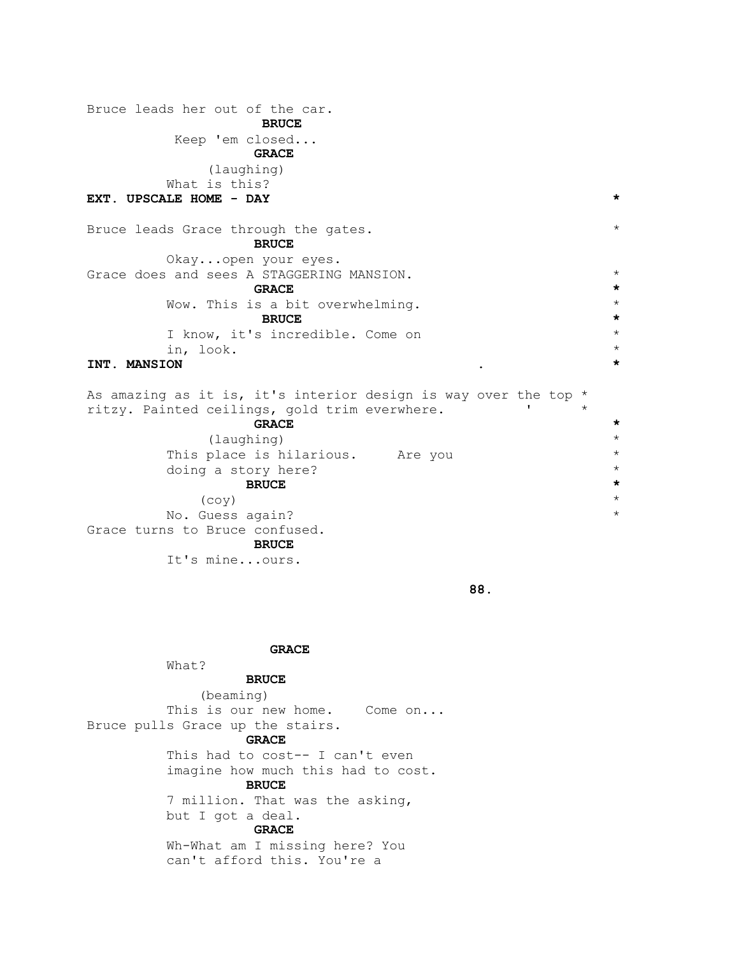Bruce leads her out of the car.  **BRUCE** Keep 'em closed...  **GRACE** (laughing) What is this? **EXT. UPSCALE HOME - DAY \*** Bruce leads Grace through the gates.  **BRUCE** Okay...open your eyes. Grace does and sees A STAGGERING MANSION.  **GRACE \*** Wow. This is a bit overwhelming. **BRUCE**  $\star$ I know, it's incredible. Come on  $*$  in, look. \* **INT. MANSION . \*** As amazing as it is, it's interior design is way over the top  $*$ ritzy. Painted ceilings, gold trim everwhere.  **GRACE \*** (laughing) \* This place is hilarious. Are you \* doing a story here?  $*$ **BRUCE**  $\star$  $(\text{coy})$   $*$ No. Guess again?  $*$ Grace turns to Bruce confused.  **BRUCE** It's mine...ours.  $\overline{\phantom{a}}$  88.  **GRACE** What?  **BRUCE** (beaming) This is our new home. Come on... Bruce pulls Grace up the stairs.  **GRACE** This had to cost-- I can't even imagine how much this had to cost.  **BRUCE**

 7 million. That was the asking, but I got a deal.

# **GRACE**

 Wh-What am I missing here? You can't afford this. You're a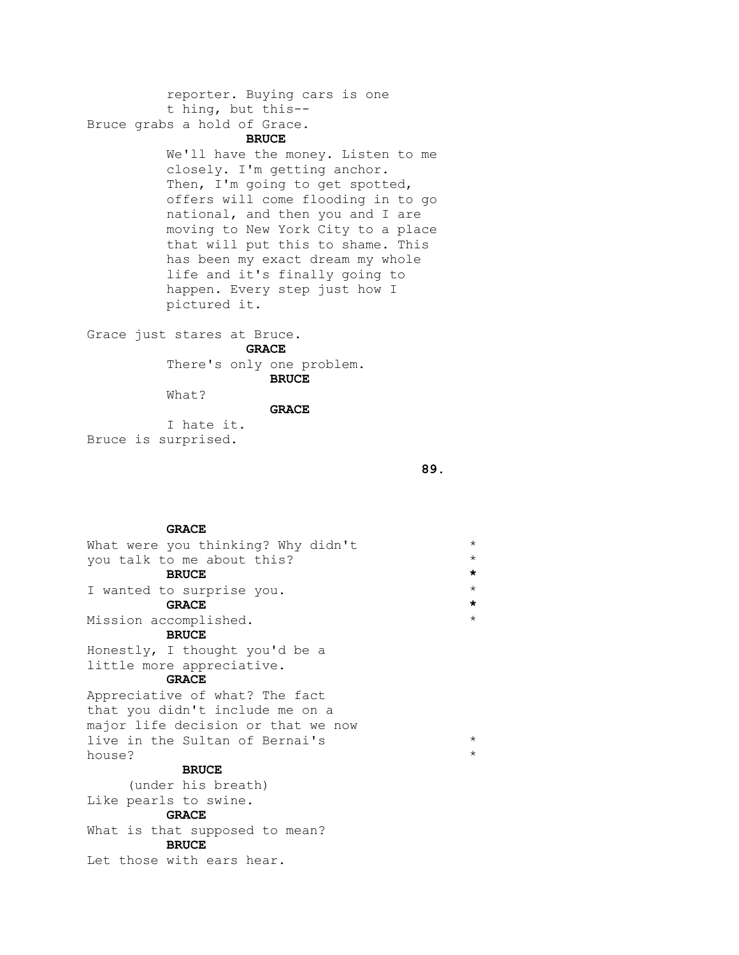reporter. Buying cars is one t hing, but this--

Bruce grabs a hold of Grace.

# **BRUCE**

 We'll have the money. Listen to me closely. I'm getting anchor. Then, I'm going to get spotted, offers will come flooding in to go national, and then you and I are moving to New York City to a place that will put this to shame. This has been my exact dream my whole life and it's finally going to happen. Every step just how I pictured it.

Grace just stares at Bruce.

## **GRACE**

There's only one problem.

 **BRUCE**

What?

### **GRACE**

 I hate it. Bruce is surprised.

 $89.$ 

### **GRACE**

| What were you thinking? Why didn't | $\star$  |
|------------------------------------|----------|
| you talk to me about this?         | $^\star$ |
| <b>BRUCE</b>                       | $\star$  |
| I wanted to surprise you.          | $\star$  |
| <b>GRACE</b>                       | $\star$  |
| Mission accomplished.              | $^\star$ |
| <b>BRUCE</b>                       |          |
| Honestly, I thought you'd be a     |          |
| little more appreciative.          |          |
| <b>GRACE</b>                       |          |
| Appreciative of what? The fact     |          |
| that you didn't include me on a    |          |
| major life decision or that we now |          |
| live in the Sultan of Bernai's     | $\star$  |
| house?                             | $^\star$ |
| <b>BRUCE</b>                       |          |
| (under his breath)                 |          |
| Like pearls to swine.              |          |
| <b>GRACE</b>                       |          |
| What is that supposed to mean?     |          |
| <b>BRUCE</b>                       |          |
| Let those with ears hear.          |          |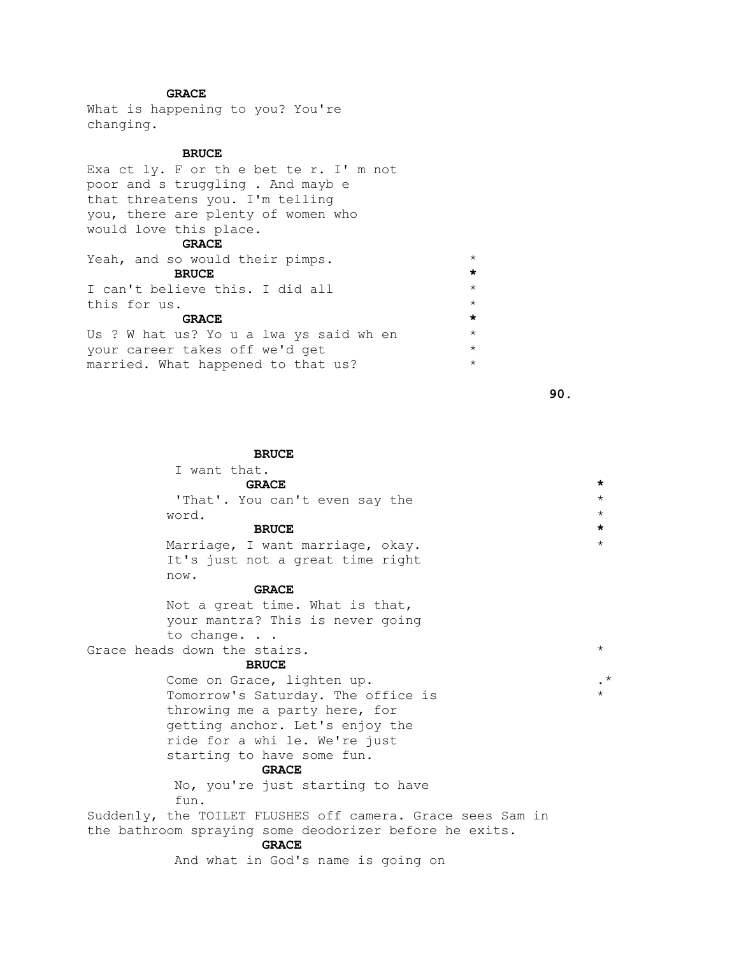## **GRACE**

What is happening to you? You're changing.

## **BRUCE**

| Exa ct ly. F or the bet te r. I'm not   |         |
|-----------------------------------------|---------|
| poor and s truggling. And mayb e        |         |
| that threatens you. I'm telling         |         |
| you, there are plenty of women who      |         |
| would love this place.                  |         |
| <b>GRACE</b>                            |         |
| Yeah, and so would their pimps.         | $\star$ |
| <b>BRUCE</b>                            | $\star$ |
| I can't believe this. I did all         | $\star$ |
| this for us.                            | $\star$ |
| <b>GRACE</b>                            | $\star$ |
| Us ? W hat us? Yo u a lwa ys said wh en | $\star$ |
| your career takes off we'd get          | $\star$ |
| married. What happened to that us?      | $\star$ |

 **90.**

### **BRUCE**

 I want that.  **GRACE \*** 'That'. You can't even say the \* word.  $\star$ **BRUCE**  $\star$ Marriage, I want marriage, okay. It's just not a great time right now.  **GRACE** Not a great time. What is that, your mantra? This is never going to change. . . Grace heads down the stairs.  **BRUCE** Come on Grace, lighten up.  $\cdot$  .\* Tomorrow's Saturday. The office is \* throwing me a party here, for getting anchor. Let's enjoy the ride for a whi le. We're just starting to have some fun.  **GRACE** No, you're just starting to have fun. Suddenly, the TOILET FLUSHES off camera. Grace sees Sam in the bathroom spraying some deodorizer before he exits.  **GRACE** And what in God's name is going on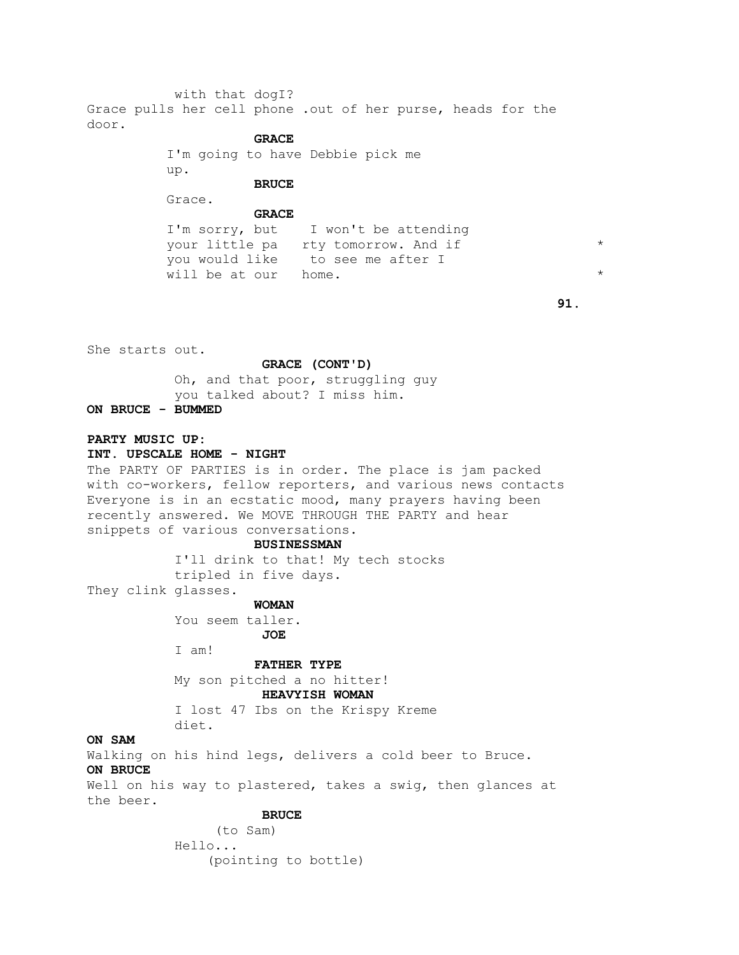with that dogI? Grace pulls her cell phone .out of her purse, heads for the door.  **GRACE** I'm going to have Debbie pick me up.  **BRUCE** Grace.  **GRACE** I'm sorry, but I won't be attending your little pa rty tomorrow. And if  $*$  you would like to see me after I will be at our home.  **91.** She starts out.  **GRACE (CONT'D)** Oh, and that poor, struggling guy you talked about? I miss him. **ON BRUCE - BUMMED PARTY MUSIC UP: INT. UPSCALE HOME - NIGHT** The PARTY OF PARTIES is in order. The place is jam packed with co-workers, fellow reporters, and various news contacts Everyone is in an ecstatic mood, many prayers having been recently answered. We MOVE THROUGH THE PARTY and hear snippets of various conversations.  **BUSINESSMAN** I'll drink to that! My tech stocks tripled in five days. They clink glasses.  **WOMAN** You seem taller.  **JOE** I am!  **FATHER TYPE** My son pitched a no hitter!  **HEAVYISH WOMAN** I lost 47 Ibs on the Krispy Kreme diet.

### **ON SAM**

the beer.

Walking on his hind legs, delivers a cold beer to Bruce. **ON BRUCE** Well on his way to plastered, takes a swig, then glances at

 **BRUCE**

 (to Sam) Hello... (pointing to bottle)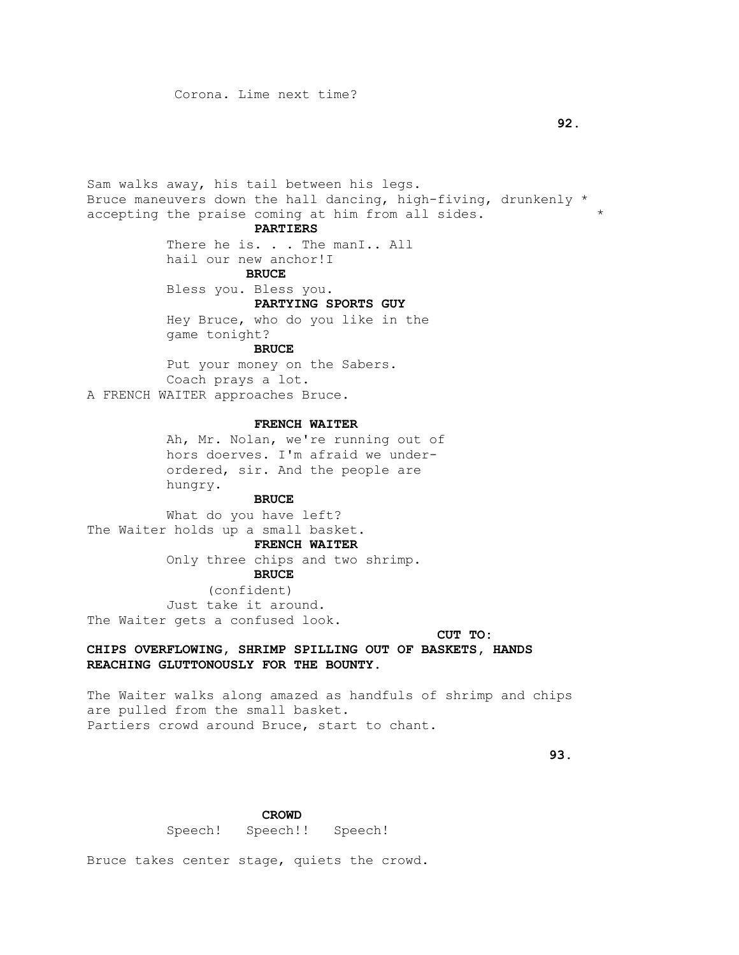Sam walks away, his tail between his legs. Bruce maneuvers down the hall dancing, high-fiving, drunkenly \* accepting the praise coming at him from all sides.  **PARTIERS** There he is. . . The manI.. All hail our new anchor!I  **BRUCE** Bless you. Bless you.  **PARTYING SPORTS GUY** Hey Bruce, who do you like in the game tonight?  **BRUCE** Put your money on the Sabers. Coach prays a lot. A FRENCH WAITER approaches Bruce.  **FRENCH WAITER** Ah, Mr. Nolan, we're running out of hors doerves. I'm afraid we under ordered, sir. And the people are hungry.  **BRUCE** What do you have left? The Waiter holds up a small basket.  **FRENCH WAITER** Only three chips and two shrimp.  **BRUCE** (confident) Just take it around. The Waiter gets a confused look.  **CUT TO: CHIPS OVERFLOWING, SHRIMP SPILLING OUT OF BASKETS, HANDS REACHING GLUTTONOUSLY FOR THE BOUNTY.**

The Waiter walks along amazed as handfuls of shrimp and chips are pulled from the small basket. Partiers crowd around Bruce, start to chant.

 **93.**

 **CROWD** Speech! Speech!! Speech!

Bruce takes center stage, quiets the crowd.

 $\overline{\phantom{a}}$  92.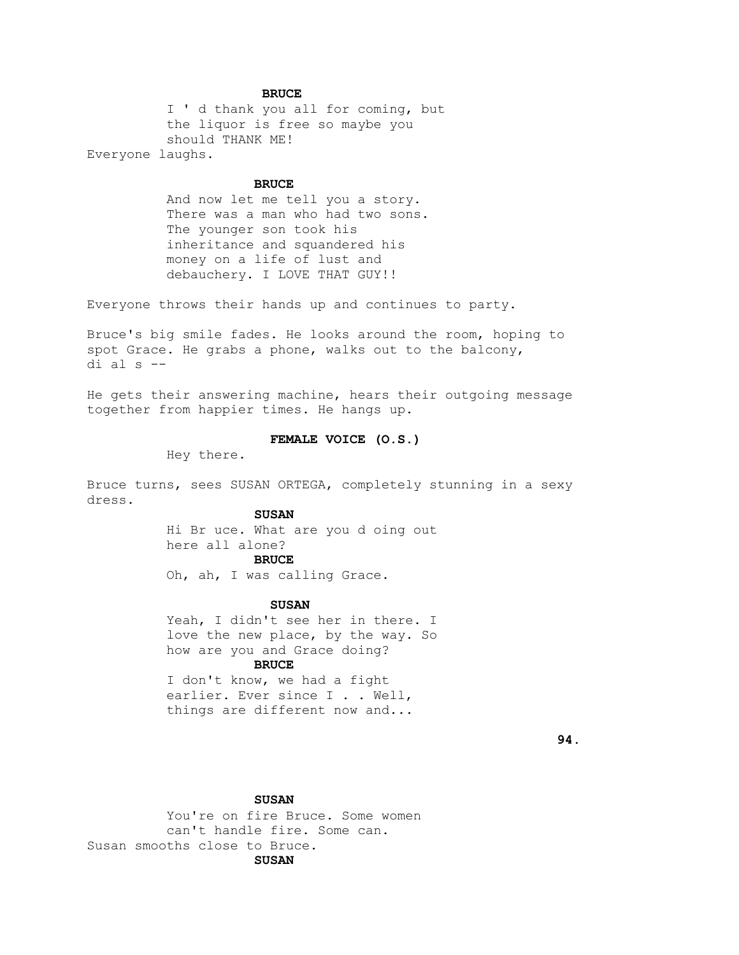## **BRUCE**

I' d thank you all for coming, but the liquor is free so maybe you should THANK ME! Everyone laughs.

### **BRUCE**

 And now let me tell you a story. There was a man who had two sons. The younger son took his inheritance and squandered his money on a life of lust and debauchery. I LOVE THAT GUY!!

Everyone throws their hands up and continues to party.

Bruce's big smile fades. He looks around the room, hoping to spot Grace. He grabs a phone, walks out to the balcony, di al s --

He gets their answering machine, hears their outgoing message together from happier times. He hangs up.

### **FEMALE VOICE (O.S.)**

Hey there.

Bruce turns, sees SUSAN ORTEGA, completely stunning in a sexy dress.

## **SUSAN**

 Hi Br uce. What are you d oing out here all alone?  **BRUCE**

Oh, ah, I was calling Grace.

### **SUSAN**

 Yeah, I didn't see her in there. I love the new place, by the way. So how are you and Grace doing?  **BRUCE** I don't know, we had a fight

earlier. Ever since I . . Well, things are different now and...

 **94.**

#### **SUSAN**

 You're on fire Bruce. Some women can't handle fire. Some can. Susan smooths close to Bruce.  **SUSAN**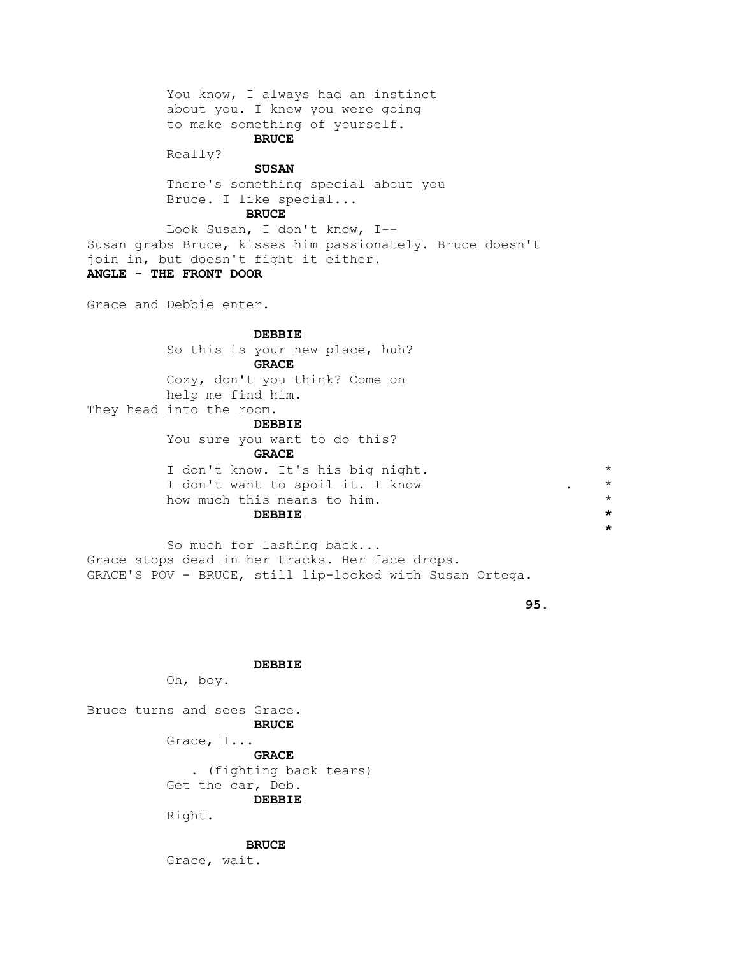You know, I always had an instinct about you. I knew you were going to make something of yourself.  **BRUCE** Really?  **SUSAN** There's something special about you Bruce. I like special...  **BRUCE** Look Susan, I don't know, I-- Susan grabs Bruce, kisses him passionately. Bruce doesn't join in, but doesn't fight it either. **ANGLE - THE FRONT DOOR** Grace and Debbie enter.  **DEBBIE** So this is your new place, huh?  **GRACE** Cozy, don't you think? Come on help me find him. They head into the room.  **DEBBIE** You sure you want to do this?  **GRACE** I don't know. It's his big night. \* \* I don't want to spoil it. I know  $\cdot$   $*$ how much this means to him.  $\star$  **DEBBIE \* \*** So much for lashing back... Grace stops dead in her tracks. Her face drops. GRACE'S POV - BRUCE, still lip-locked with Susan Ortega.

 $\sim$  95.

### **DEBBIE**

Oh, boy.

Bruce turns and sees Grace.  **BRUCE** Grace, I...  **GRACE** . (fighting back tears) Get the car, Deb.  **DEBBIE** Right.

# **BRUCE**

Grace, wait.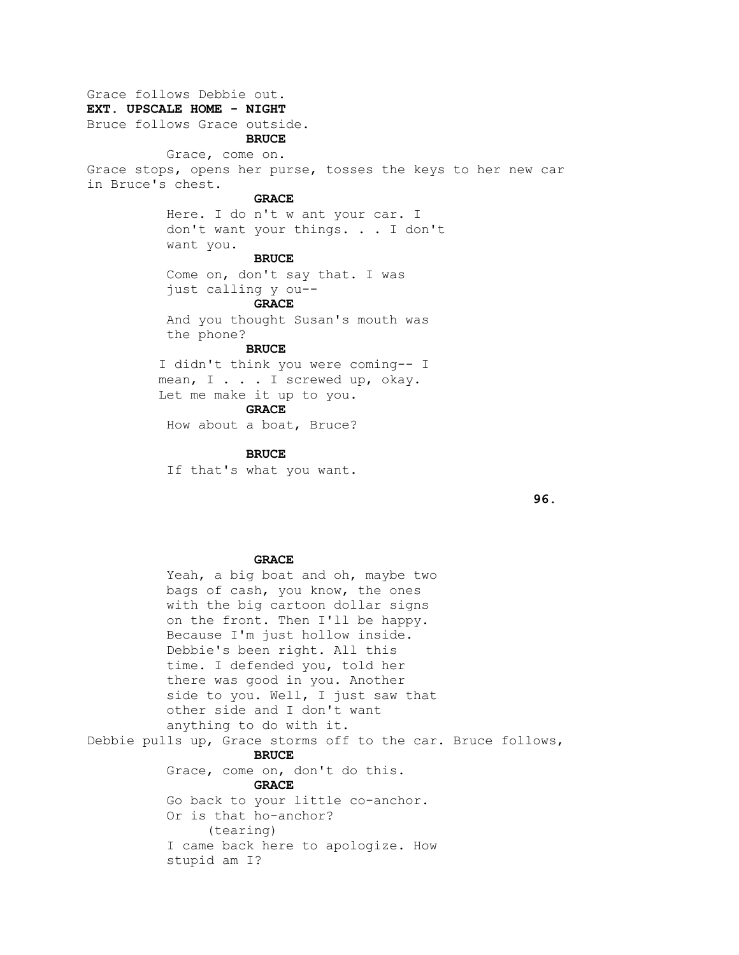Grace follows Debbie out. **EXT. UPSCALE HOME - NIGHT** Bruce follows Grace outside.  **BRUCE** Grace, come on. Grace stops, opens her purse, tosses the keys to her new car in Bruce's chest.  **GRACE** Here. I do n't w ant your car. I don't want your things. . . I don't want you.  **BRUCE** Come on, don't say that. I was just calling y ou--  **GRACE** And you thought Susan's mouth was the phone?  **BRUCE** I didn't think you were coming-- I mean, I . . . I screwed up, okay. Let me make it up to you.  **GRACE** How about a boat, Bruce?  **BRUCE** If that's what you want.

 **96.**

#### **GRACE**

 Yeah, a big boat and oh, maybe two bags of cash, you know, the ones with the big cartoon dollar signs on the front. Then I'll be happy. Because I'm just hollow inside. Debbie's been right. All this time. I defended you, told her there was good in you. Another side to you. Well, I just saw that other side and I don't want anything to do with it. Debbie pulls up, Grace storms off to the car. Bruce follows,  **BRUCE** Grace, come on, don't do this.  **GRACE** Go back to your little co-anchor. Or is that ho-anchor? (tearing) I came back here to apologize. How stupid am I?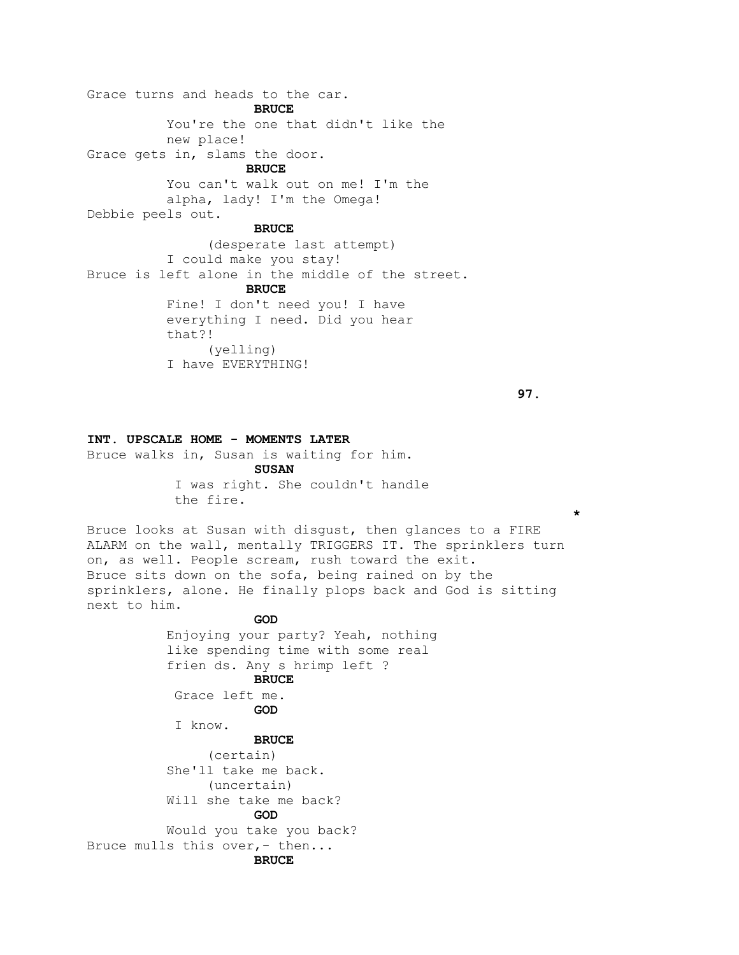Grace turns and heads to the car.  **BRUCE** You're the one that didn't like the new place! Grace gets in, slams the door.  **BRUCE** You can't walk out on me! I'm the alpha, lady! I'm the Omega! Debbie peels out.  **BRUCE** (desperate last attempt) I could make you stay! Bruce is left alone in the middle of the street.  **BRUCE** Fine! I don't need you! I have everything I need. Did you hear that?! (yelling) I have EVERYTHING!

 **97.**

### **INT. UPSCALE HOME - MOMENTS LATER**

Bruce walks in, Susan is waiting for him.  **SUSAN** I was right. She couldn't handle the fire.

 **GOD**

Bruce looks at Susan with disgust, then glances to a FIRE ALARM on the wall, mentally TRIGGERS IT. The sprinklers turn on, as well. People scream, rush toward the exit. Bruce sits down on the sofa, being rained on by the sprinklers, alone. He finally plops back and God is sitting next to him.

 **\***

 Enjoying your party? Yeah, nothing like spending time with some real frien ds. Any s hrimp left ?  **BRUCE** Grace left me.  **GOD** I know.  **BRUCE** (certain) She'll take me back. (uncertain) Will she take me back?  **GOD** Would you take you back? Bruce mulls this over, - then...  **BRUCE**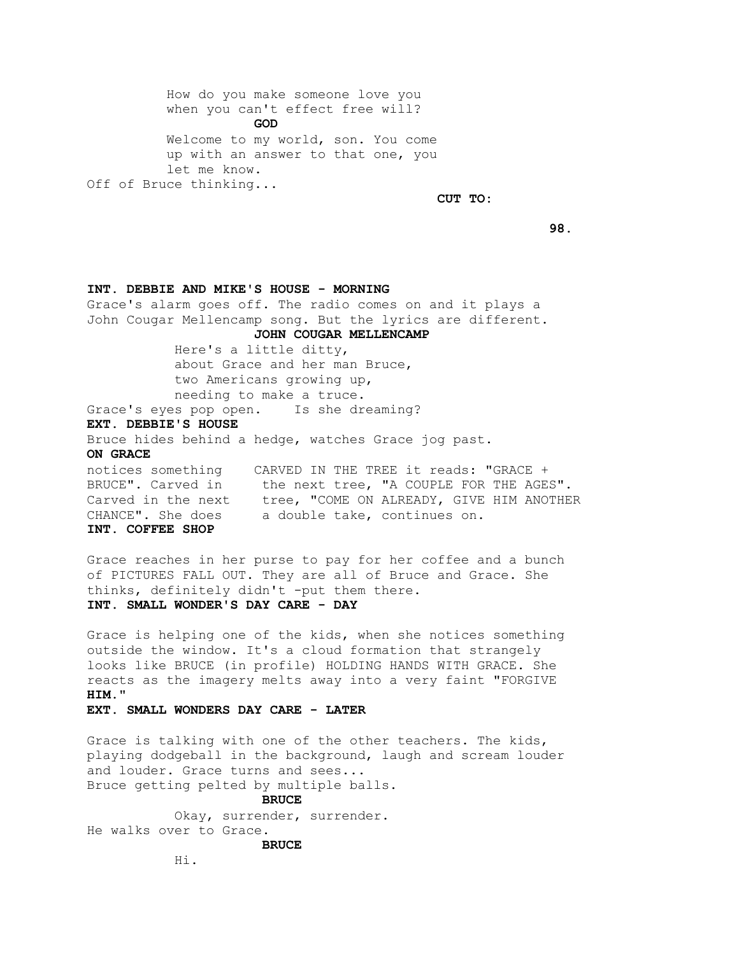How do you make someone love you when you can't effect free will?  **GOD** Welcome to my world, son. You come up with an answer to that one, you let me know. Off of Bruce thinking...

 **CUT TO:**

 **98.**

# **INT. DEBBIE AND MIKE'S HOUSE - MORNING** Grace's alarm goes off. The radio comes on and it plays a John Cougar Mellencamp song. But the lyrics are different.  **JOHN COUGAR MELLENCAMP** Here's a little ditty, about Grace and her man Bruce, two Americans growing up, needing to make a truce. Grace's eyes pop open. Is she dreaming? **EXT. DEBBIE'S HOUSE** Bruce hides behind a hedge, watches Grace jog past. **ON GRACE** notices something CARVED IN THE TREE it reads: "GRACE + BRUCE". Carved in the next tree, "A COUPLE FOR THE AGES". Carved in the next tree, "COME ON ALREADY, GIVE HIM ANOTHER CHANCE". She does a double take, continues on. **INT. COFFEE SHOP**

Grace reaches in her purse to pay for her coffee and a bunch of PICTURES FALL OUT. They are all of Bruce and Grace. She thinks, definitely didn't -put them there. **INT. SMALL WONDER'S DAY CARE - DAY**

Grace is helping one of the kids, when she notices something outside the window. It's a cloud formation that strangely looks like BRUCE (in profile) HOLDING HANDS WITH GRACE. She reacts as the imagery melts away into a very faint "FORGIVE **HIM."**

# **EXT. SMALL WONDERS DAY CARE - LATER**

Grace is talking with one of the other teachers. The kids, playing dodgeball in the background, laugh and scream louder and louder. Grace turns and sees... Bruce getting pelted by multiple balls.

 **BRUCE**

Okay, surrender, surrender.

## He walks over to Grace.

 **BRUCE**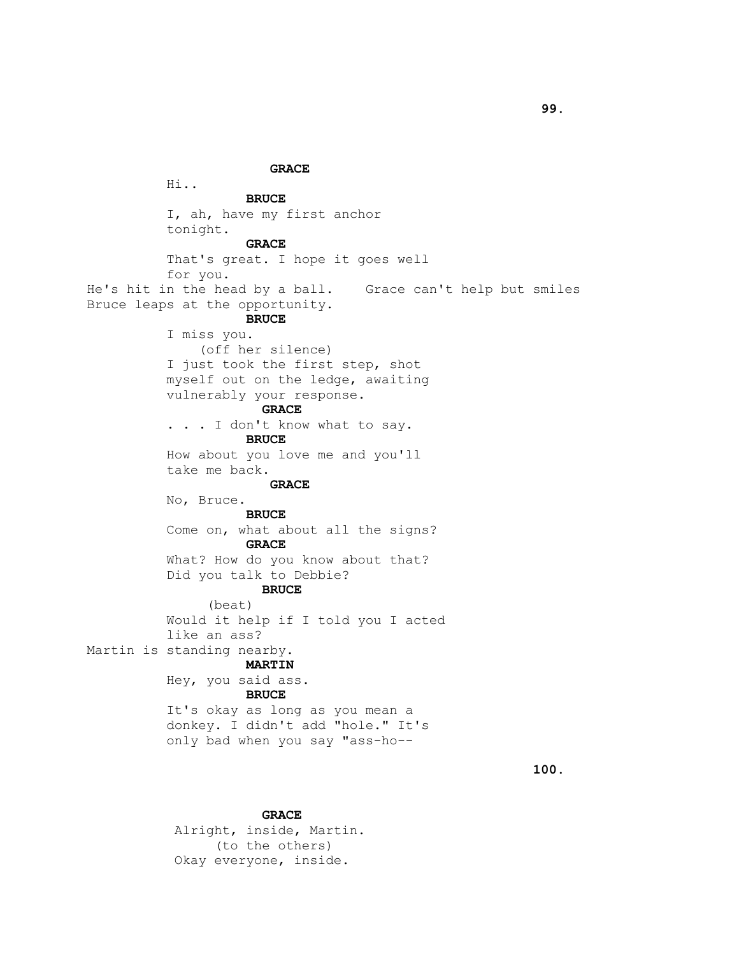**GRACE** Hi..  **BRUCE** I, ah, have my first anchor tonight.  **GRACE** That's great. I hope it goes well for you. He's hit in the head by a ball. Grace can't help but smiles Bruce leaps at the opportunity.  **BRUCE** I miss you. (off her silence) I just took the first step, shot myself out on the ledge, awaiting vulnerably your response.  **GRACE** . . . I don't know what to say.  **BRUCE** How about you love me and you'll take me back.  **GRACE** No, Bruce.  **BRUCE** Come on, what about all the signs?  **GRACE** What? How do you know about that? Did you talk to Debbie?  **BRUCE** (beat) Would it help if I told you I acted like an ass? Martin is standing nearby.  **MARTIN** Hey, you said ass.  **BRUCE** It's okay as long as you mean a donkey. I didn't add "hole." It's only bad when you say "ass-ho--

 **100.**

#### **GRACE**

 Alright, inside, Martin. (to the others) Okay everyone, inside.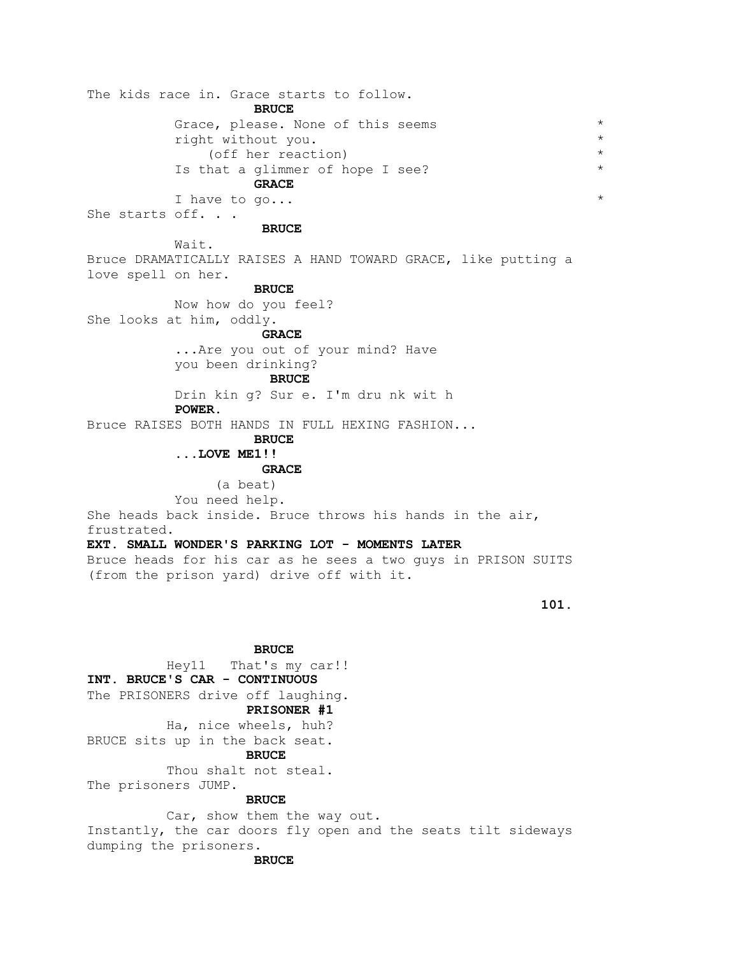The kids race in. Grace starts to follow.  **BRUCE** Grace, please. None of this seems  $*$ right without you. (off her reaction) \* Is that a glimmer of hope I see? \*  **GRACE** I have to go... She starts off. . .  **BRUCE** Wait. Bruce DRAMATICALLY RAISES A HAND TOWARD GRACE, like putting a love spell on her.  **BRUCE** Now how do you feel? She looks at him, oddly.  **GRACE** ...Are you out of your mind? Have you been drinking?  **BRUCE** Drin kin g? Sur e. I'm dru nk wit h  **POWER.** Bruce RAISES BOTH HANDS IN FULL HEXING FASHION...  **BRUCE ...LOVE ME1!! GRACE** (a beat) You need help. She heads back inside. Bruce throws his hands in the air, frustrated. **EXT. SMALL WONDER'S PARKING LOT - MOMENTS LATER** Bruce heads for his car as he sees a two guys in PRISON SUITS (from the prison yard) drive off with it.  **101.**

 **BRUCE**

 **BRUCE**

dumping the prisoners.

 Hey11 That's my car!! **INT. BRUCE'S CAR - CONTINUOUS** The PRISONERS drive off laughing.  **PRISONER #1** Ha, nice wheels, huh? BRUCE sits up in the back seat.  **BRUCE** Thou shalt not steal. The prisoners JUMP.  **BRUCE** Car, show them the way out. Instantly, the car doors fly open and the seats tilt sideways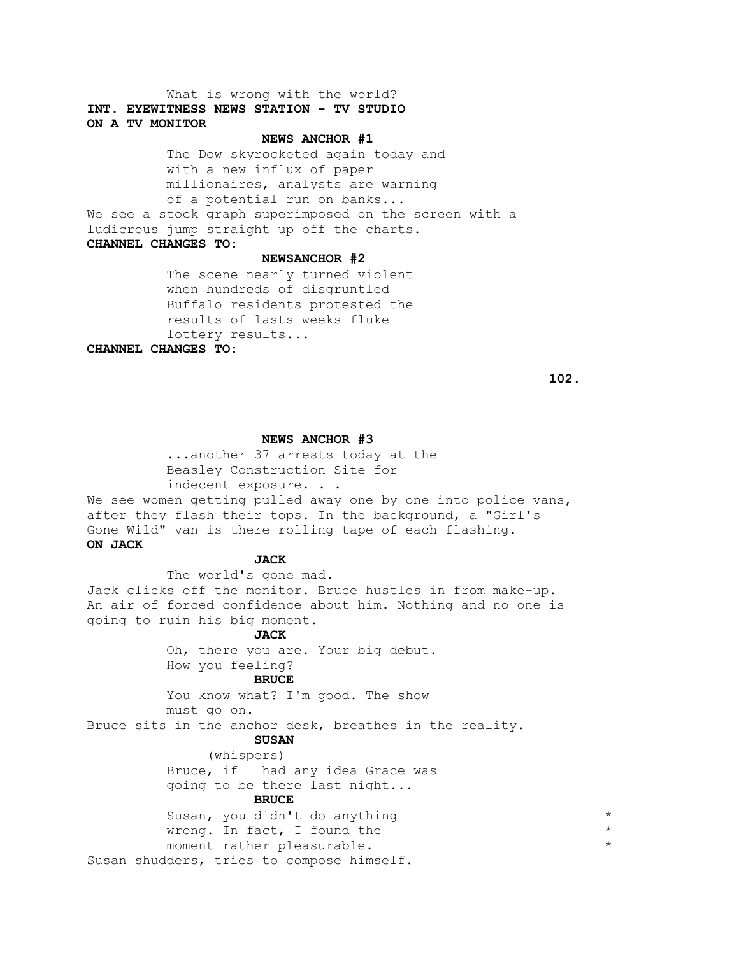# What is wrong with the world? **INT. EYEWITNESS NEWS STATION - TV STUDIO ON A TV MONITOR**

# **NEWS ANCHOR #1**

 The Dow skyrocketed again today and with a new influx of paper millionaires, analysts are warning of a potential run on banks... We see a stock graph superimposed on the screen with a ludicrous jump straight up off the charts. **CHANNEL CHANGES TO:**

### **NEWSANCHOR #2**

 The scene nearly turned violent when hundreds of disgruntled Buffalo residents protested the results of lasts weeks fluke lottery results...

**CHANNEL CHANGES TO:**

 **102.**

### **NEWS ANCHOR #3**

 ...another 37 arrests today at the Beasley Construction Site for indecent exposure. . . We see women getting pulled away one by one into police vans, after they flash their tops. In the background, a "Girl's Gone Wild" van is there rolling tape of each flashing. **ON JACK**

#### **JACK**

 The world's gone mad. Jack clicks off the monitor. Bruce hustles in from make-up. An air of forced confidence about him. Nothing and no one is going to ruin his big moment.

#### **JACK**

 Oh, there you are. Your big debut. How you feeling?  **BRUCE**

You know what? I'm good. The show

#### must go on.

Bruce sits in the anchor desk, breathes in the reality.

### **SUSAN**

 (whispers) Bruce, if I had any idea Grace was

going to be there last night...

### **BRUCE**

Susan, you didn't do anything wrong. In fact, I found the  $*$ moment rather pleasurable. Susan shudders, tries to compose himself.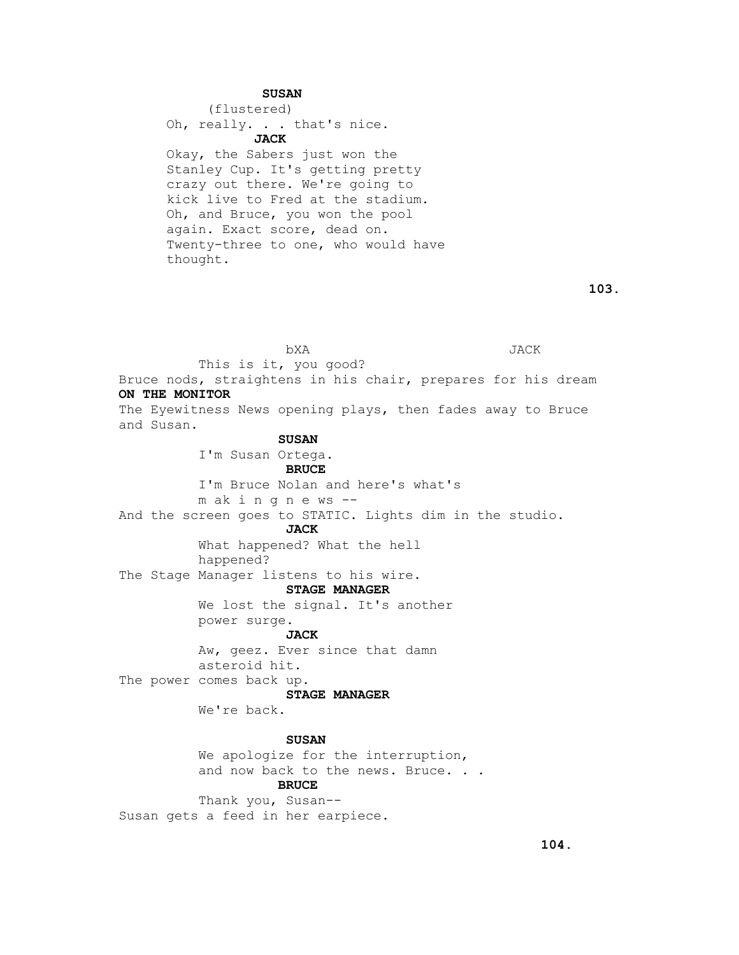### **SUSAN**

 (flustered) Oh, really. . . that's nice.  **JACK** Okay, the Sabers just won the Stanley Cup. It's getting pretty crazy out there. We're going to kick live to Fred at the stadium. Oh, and Bruce, you won the pool again. Exact score, dead on. Twenty-three to one, who would have thought.

 **103.**

 bXA JACK This is it, you good? Bruce nods, straightens in his chair, prepares for his dream  **ON THE MONITOR** The Eyewitness News opening plays, then fades away to Bruce and Susan.  **SUSAN** I'm Susan Ortega.  **BRUCE** I'm Bruce Nolan and here's what's m ak i n g n e ws -- And the screen goes to STATIC. Lights dim in the studio.  **JACK** What happened? What the hell happened? The Stage Manager listens to his wire.  **STAGE MANAGER** We lost the signal. It's another power surge.  **JACK** Aw, geez. Ever since that damn asteroid hit. The power comes back up.  **STAGE MANAGER** We're back.  **SUSAN** We apologize for the interruption, and now back to the news. Bruce. . .  **BRUCE** Thank you, Susan-- Susan gets a feed in her earpiece.

 **104.**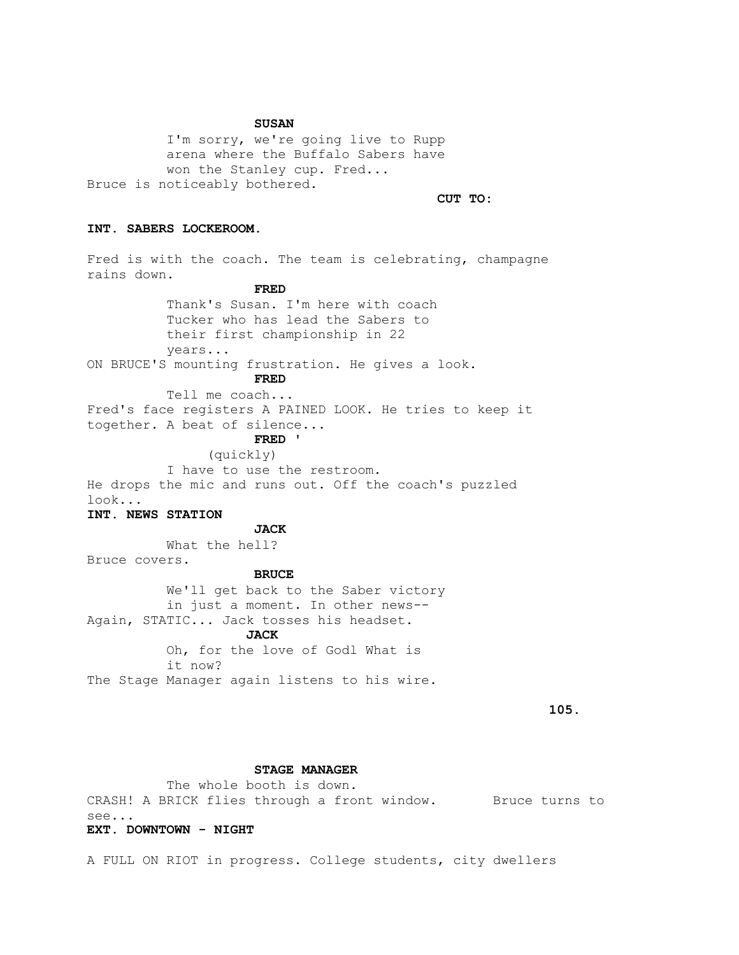#### **SUSAN**

 I'm sorry, we're going live to Rupp arena where the Buffalo Sabers have won the Stanley cup. Fred... Bruce is noticeably bothered.

 **CUT TO:**

#### **INT. SABERS LOCKEROOM.**

Fred is with the coach. The team is celebrating, champagne rains down.

### **FRED**

 Thank's Susan. I'm here with coach Tucker who has lead the Sabers to their first championship in 22 years... ON BRUCE'S mounting frustration. He gives a look.

 **FRED**

Tell me coach...

Fred's face registers A PAINED LOOK. He tries to keep it together. A beat of silence...

 **FRED '** (quickly)

 I have to use the restroom. He drops the mic and runs out. Off the coach's puzzled look...

### **INT. NEWS STATION**

 **JACK**

What the hell?

Bruce covers.

## **BRUCE**

 We'll get back to the Saber victory in just a moment. In other news-- Again, STATIC... Jack tosses his headset.  **JACK** Oh, for the love of Godl What is it now? The Stage Manager again listens to his wire.

 **105.**

### **STAGE MANAGER**

 The whole booth is down. CRASH! A BRICK flies through a front window. Bruce turns to see... **EXT. DOWNTOWN - NIGHT**

A FULL ON RIOT in progress. College students, city dwellers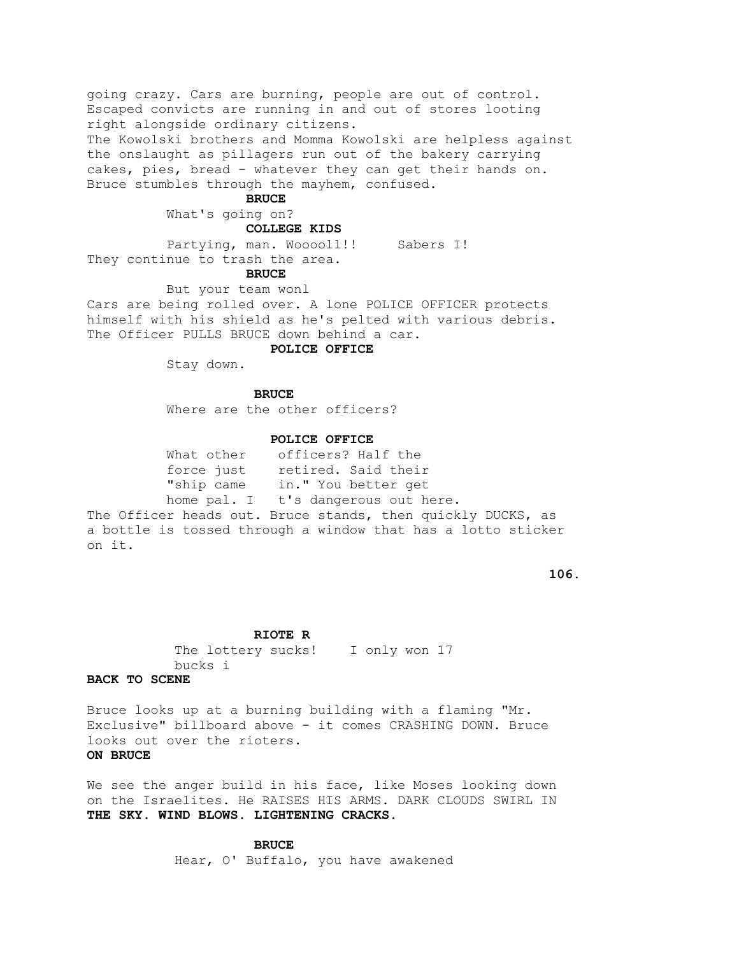going crazy. Cars are burning, people are out of control. Escaped convicts are running in and out of stores looting right alongside ordinary citizens. The Kowolski brothers and Momma Kowolski are helpless against

the onslaught as pillagers run out of the bakery carrying cakes, pies, bread - whatever they can get their hands on. Bruce stumbles through the mayhem, confused.

 **BRUCE**

What's going on?

#### **COLLEGE KIDS**

Partying, man. Wooooll!! Sabers I! They continue to trash the area.

 **BRUCE**

But your team wonl

Cars are being rolled over. A lone POLICE OFFICER protects himself with his shield as he's pelted with various debris. The Officer PULLS BRUCE down behind a car.

# **POLICE OFFICE**

Stay down.

#### **BRUCE**

Where are the other officers?

#### **POLICE OFFICE**

| What other | officers? Half the                                          |
|------------|-------------------------------------------------------------|
| force just | retired. Said their                                         |
| "ship came | in." You better get                                         |
|            | home pal. I t's dangerous out here.                         |
|            | The Officer heads out. Bruce stands, then quickly DUCKS, as |
|            |                                                             |

a bottle is tossed through a window that has a lotto sticker on it.

 **106.**

 **RIOTE R**

The lottery sucks! I only won 17 bucks i

# **BACK TO SCENE**

Bruce looks up at a burning building with a flaming "Mr. Exclusive" billboard above - it comes CRASHING DOWN. Bruce looks out over the rioters. **ON BRUCE**

We see the anger build in his face, like Moses looking down on the Israelites. He RAISES HIS ARMS. DARK CLOUDS SWIRL IN **THE SKY. WIND BLOWS. LIGHTENING CRACKS.**

> **BRUCE** Hear, O' Buffalo, you have awakened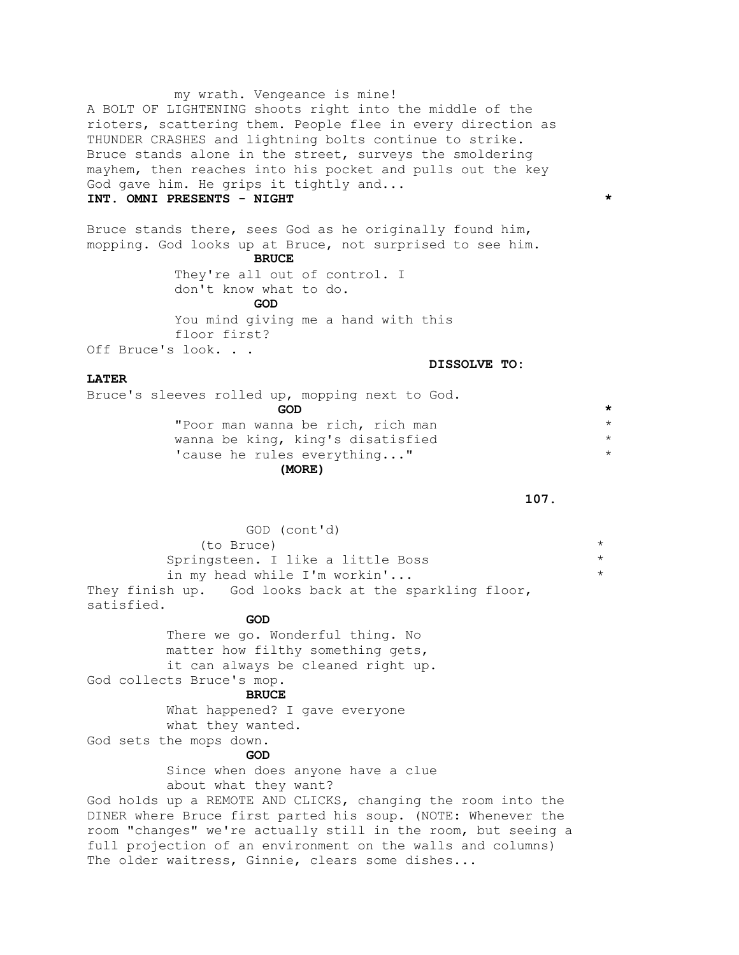my wrath. Vengeance is mine! A BOLT OF LIGHTENING shoots right into the middle of the rioters, scattering them. People flee in every direction as THUNDER CRASHES and lightning bolts continue to strike. Bruce stands alone in the street, surveys the smoldering mayhem, then reaches into his pocket and pulls out the key God gave him. He grips it tightly and... **INT. OMNI PRESENTS - NIGHT \***

Bruce stands there, sees God as he originally found him, mopping. God looks up at Bruce, not surprised to see him.  **BRUCE** They're all out of control. I don't know what to do.  **GOD** You mind giving me a hand with this floor first? Off Bruce's look. . .  **DISSOLVE TO:**

#### **LATER**

Bruce's sleeves rolled up, mopping next to God.  **GOD \*** "Poor man wanna be rich, rich man \* wanna be king, king's disatisfied \* 'cause he rules everything..."  **(MORE)**

 **107.**

| GOD (cont'd)                                                         |         |
|----------------------------------------------------------------------|---------|
| (to Bruce)                                                           | $\star$ |
| Springsteen. I like a little Boss                                    | $\star$ |
| in my head while I'm workin'                                         | $\star$ |
| They finish up. God looks back at the sparkling floor,<br>satisfied. |         |

 **GOD**

 There we go. Wonderful thing. No matter how filthy something gets, it can always be cleaned right up. God collects Bruce's mop.

## **BRUCE**

 What happened? I gave everyone what they wanted.

God sets the mops down.

#### **GOD**

 Since when does anyone have a clue about what they want?

God holds up a REMOTE AND CLICKS, changing the room into the DINER where Bruce first parted his soup. (NOTE: Whenever the room "changes" we're actually still in the room, but seeing a full projection of an environment on the walls and columns) The older waitress, Ginnie, clears some dishes...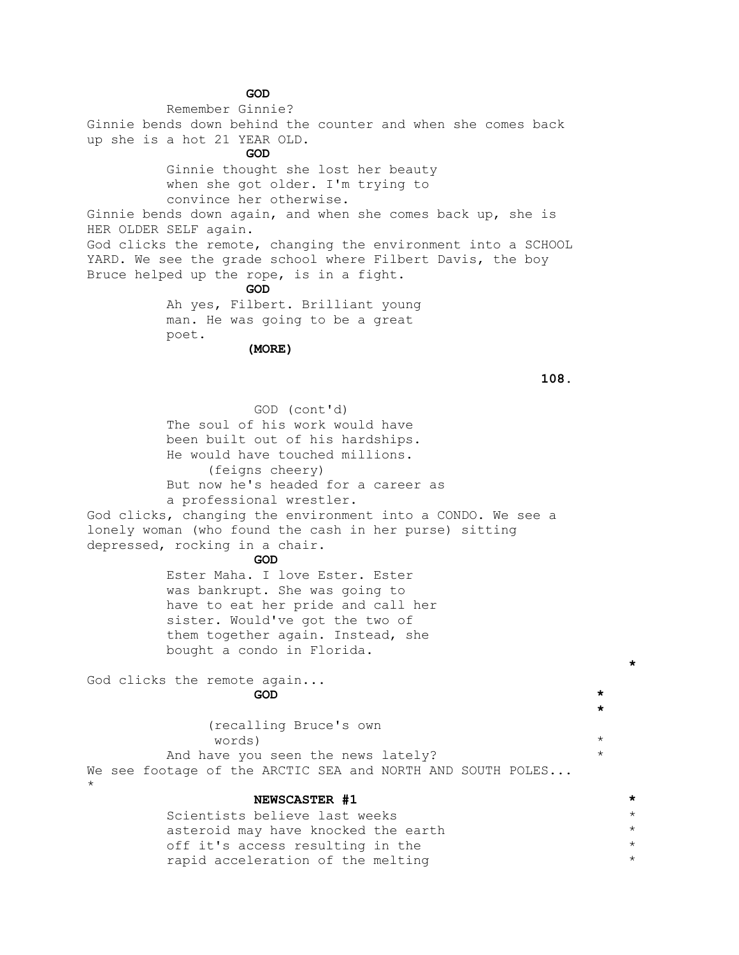**GOD** Remember Ginnie? Ginnie bends down behind the counter and when she comes back up she is a hot 21 YEAR OLD.  **GOD** Ginnie thought she lost her beauty when she got older. I'm trying to convince her otherwise. Ginnie bends down again, and when she comes back up, she is HER OLDER SELF again. God clicks the remote, changing the environment into a SCHOOL YARD. We see the grade school where Filbert Davis, the boy Bruce helped up the rope, is in a fight.  **GOD** Ah yes, Filbert. Brilliant young man. He was going to be a great poet.  **(MORE) 108.** GOD (cont'd) The soul of his work would have been built out of his hardships. He would have touched millions. (feigns cheery) But now he's headed for a career as a professional wrestler. God clicks, changing the environment into a CONDO. We see a lonely woman (who found the cash in her purse) sitting depressed, rocking in a chair.  **GOD** Ester Maha. I love Ester. Ester was bankrupt. She was going to have to eat her pride and call her sister. Would've got the two of them together again. Instead, she bought a condo in Florida.  **\*** God clicks the remote again...  **GOD \* \*** (recalling Bruce's own  $words)$  \* And have you seen the news lately? We see footage of the ARCTIC SEA and NORTH AND SOUTH POLES... \*  **NEWSCASTER #1 \*** Scientists believe last weeks asteroid may have knocked the earth  $*$  off it's access resulting in the \* rapid acceleration of the melting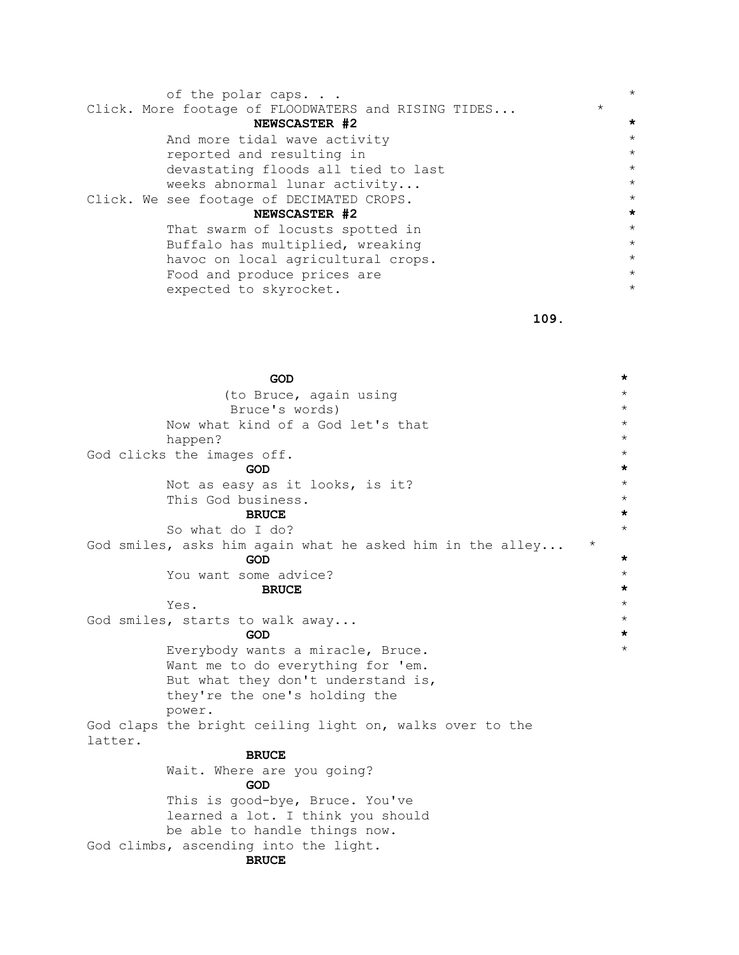| of the polar caps                                   | $\star$ |
|-----------------------------------------------------|---------|
| Click. More footage of FLOODWATERS and RISING TIDES | $\star$ |
| NEWSCASTER #2                                       | $\star$ |
| And more tidal wave activity                        | $\star$ |
| reported and resulting in                           | $\star$ |
| devastating floods all tied to last                 | $\star$ |
| weeks abnormal lunar activity                       | $\star$ |
| Click. We see footage of DECIMATED CROPS.           | $\star$ |
| NEWSCASTER #2                                       | $\star$ |
| That swarm of locusts spotted in                    | $\star$ |
| Buffalo has multiplied, wreaking                    | $\star$ |
| havoc on local agricultural crops.                  | $\star$ |
| Food and produce prices are                         | $\star$ |
| expected to skyrocket.                              | $\star$ |

 **109.**

# **GOD \*** (to Bruce, again using  $*$ Bruce's words)  $\star$ Now what kind of a God let's that happen?  $\star$ <br>s the images off God clicks the images off.  **GOD \*** Not as easy as it looks, is it?<br>This God business This God business. **BRUCE**  $\star$ So what do I do?  $*$ God smiles, asks him again what he asked him in the alley...  $*$  **GOD \*** You want some advice?  $*$ **BRUCE**  $\star$  $Yes.$  \* God smiles, starts to walk away...  **GOD \*** Everybody wants a miracle, Bruce. Want me to do everything for 'em. But what they don't understand is, they're the one's holding the power. God claps the bright ceiling light on, walks over to the latter.  **BRUCE** Wait. Where are you going?  **GOD** This is good-bye, Bruce. You've learned a lot. I think you should be able to handle things now. God climbs, ascending into the light.  **BRUCE**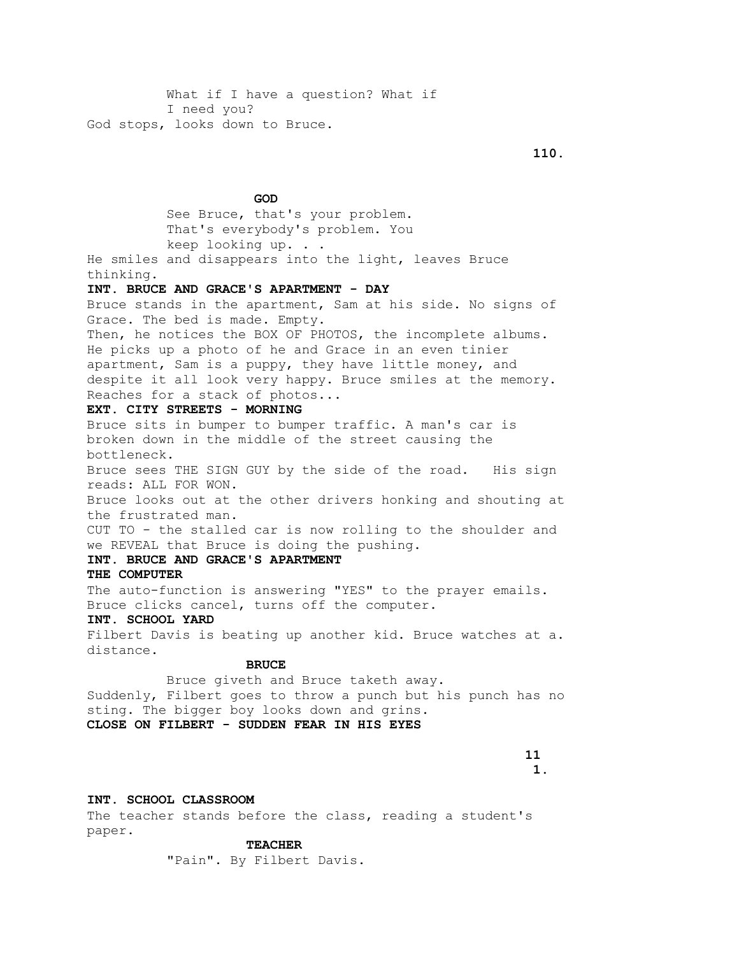What if I have a question? What if I need you? God stops, looks down to Bruce.

 **110.**

# **GOD**

 See Bruce, that's your problem. That's everybody's problem. You keep looking up. . . He smiles and disappears into the light, leaves Bruce thinking. **INT. BRUCE AND GRACE'S APARTMENT - DAY** Bruce stands in the apartment, Sam at his side. No signs of Grace. The bed is made. Empty. Then, he notices the BOX OF PHOTOS, the incomplete albums. He picks up a photo of he and Grace in an even tinier apartment, Sam is a puppy, they have little money, and despite it all look very happy. Bruce smiles at the memory. Reaches for a stack of photos... **EXT. CITY STREETS - MORNING** Bruce sits in bumper to bumper traffic. A man's car is broken down in the middle of the street causing the bottleneck. Bruce sees THE SIGN GUY by the side of the road. His sign reads: ALL FOR WON. Bruce looks out at the other drivers honking and shouting at the frustrated man. CUT TO - the stalled car is now rolling to the shoulder and we REVEAL that Bruce is doing the pushing. **INT. BRUCE AND GRACE'S APARTMENT THE COMPUTER** The auto-function is answering "YES" to the prayer emails.

Bruce clicks cancel, turns off the computer.

# **INT. SCHOOL YARD**

Filbert Davis is beating up another kid. Bruce watches at a. distance.

# **BRUCE**

 Bruce giveth and Bruce taketh away. Suddenly, Filbert goes to throw a punch but his punch has no sting. The bigger boy looks down and grins. **CLOSE ON FILBERT - SUDDEN FEAR IN HIS EYES**

 **11**  $\mathbf{1.}$ 

### **INT. SCHOOL CLASSROOM**

The teacher stands before the class, reading a student's paper.

#### **TEACHER**

"Pain". By Filbert Davis.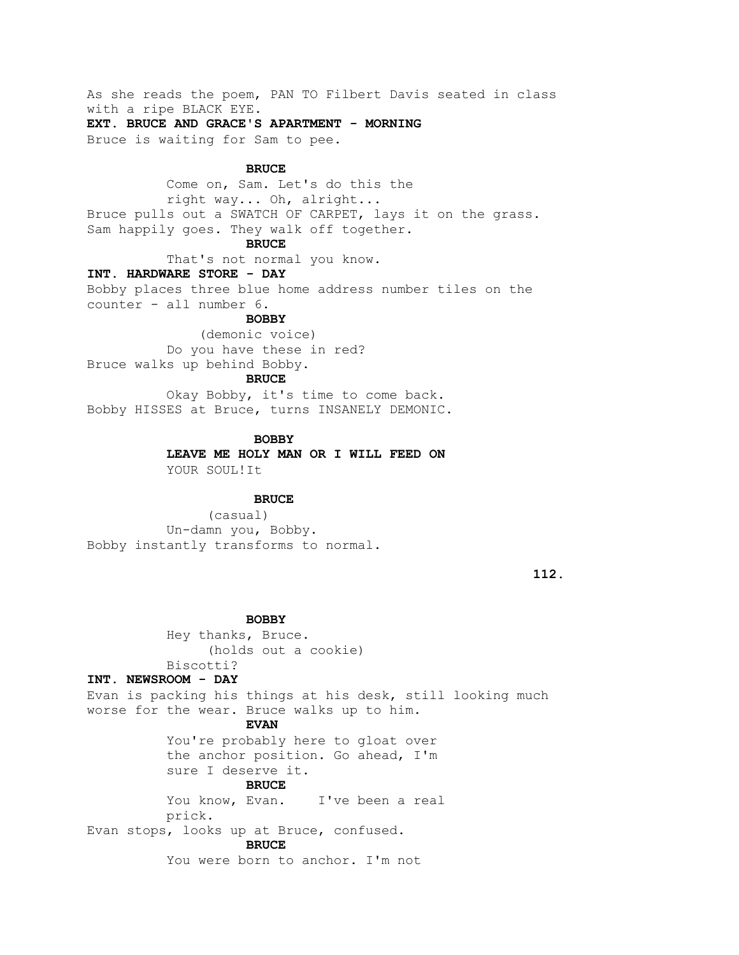As she reads the poem, PAN TO Filbert Davis seated in class with a ripe BLACK EYE. **EXT. BRUCE AND GRACE'S APARTMENT - MORNING** Bruce is waiting for Sam to pee.

#### **BRUCE**

 Come on, Sam. Let's do this the right way... Oh, alright... Bruce pulls out a SWATCH OF CARPET, lays it on the grass. Sam happily goes. They walk off together.

 **BRUCE**

That's not normal you know.

**INT. HARDWARE STORE - DAY**

Bobby places three blue home address number tiles on the counter - all number 6.

### **BOBBY**

(demonic voice)

Do you have these in red?

Bruce walks up behind Bobby.

 **BRUCE**

 Okay Bobby, it's time to come back. Bobby HISSES at Bruce, turns INSANELY DEMONIC.

> **BOBBY LEAVE ME HOLY MAN OR I WILL FEED ON** YOUR SOUL!It

### **BRUCE**

 (casual) Un-damn you, Bobby. Bobby instantly transforms to normal.

 **112.**

#### **BOBBY**

 Hey thanks, Bruce. (holds out a cookie) Biscotti?

### **INT. NEWSROOM - DAY**

Evan is packing his things at his desk, still looking much worse for the wear. Bruce walks up to him.

 **EVAN**

 You're probably here to gloat over the anchor position. Go ahead, I'm sure I deserve it.

### **BRUCE**

You know, Evan. I've been a real prick.

Evan stops, looks up at Bruce, confused.

 **BRUCE**

You were born to anchor. I'm not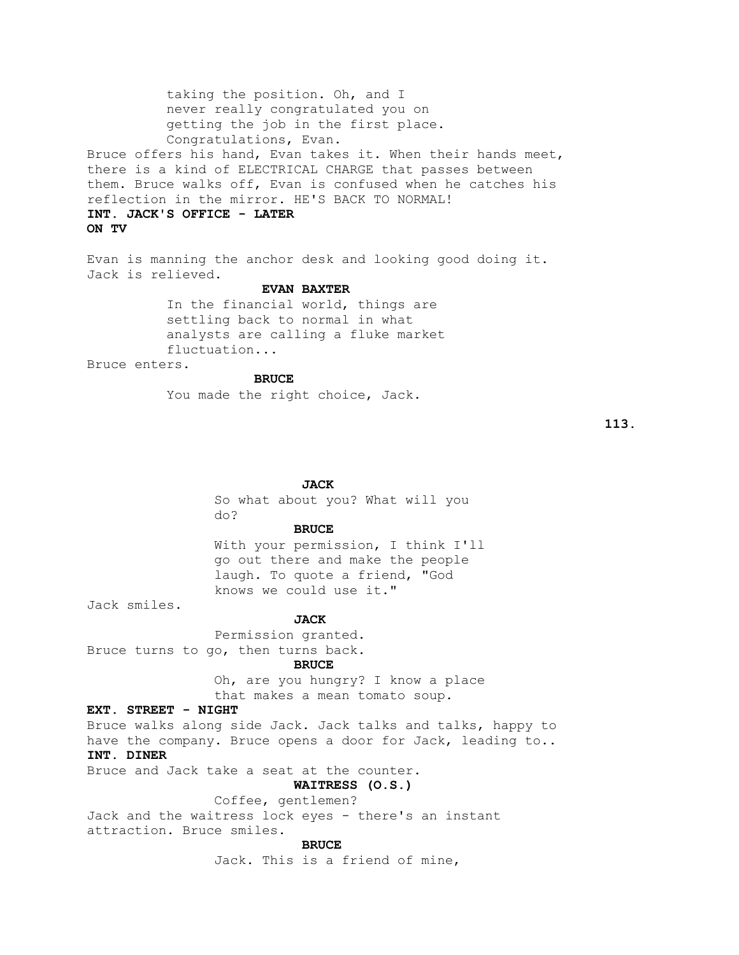taking the position. Oh, and I never really congratulated you on getting the job in the first place. Congratulations, Evan. Bruce offers his hand, Evan takes it. When their hands meet, there is a kind of ELECTRICAL CHARGE that passes between them. Bruce walks off, Evan is confused when he catches his reflection in the mirror. HE'S BACK TO NORMAL! **INT. JACK'S OFFICE - LATER ON TV**

Evan is manning the anchor desk and looking good doing it. Jack is relieved.

### **EVAN BAXTER**

 In the financial world, things are settling back to normal in what analysts are calling a fluke market fluctuation...

Bruce enters.

 **BRUCE**

You made the right choice, Jack.

 **113.**

### **JACK**

 So what about you? What will you do?

## **BRUCE**

 With your permission, I think I'll go out there and make the people laugh. To quote a friend, "God knows we could use it."

Jack smiles.

# *<u>JACK</u>*

 Permission granted. Bruce turns to go, then turns back.

 **BRUCE**

 Oh, are you hungry? I know a place that makes a mean tomato soup.

**EXT. STREET - NIGHT**

Bruce walks along side Jack. Jack talks and talks, happy to have the company. Bruce opens a door for Jack, leading to.. **INT. DINER**

Bruce and Jack take a seat at the counter.

### **WAITRESS (O.S.)**

 Coffee, gentlemen? Jack and the waitress lock eyes - there's an instant attraction. Bruce smiles.

 **BRUCE**

Jack. This is a friend of mine,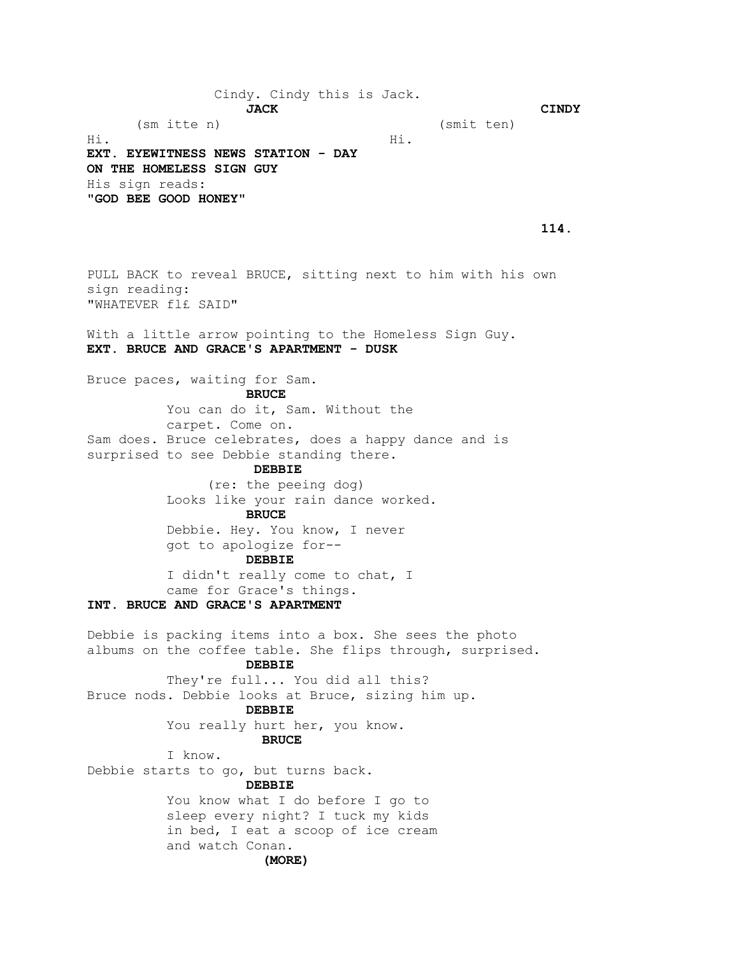Cindy. Cindy this is Jack. **JACK CINDY**  (sm itte n) (smit ten) Hi. Hi. **EXT. EYEWITNESS NEWS STATION - DAY ON THE HOMELESS SIGN GUY** His sign reads: **"GOD BEE GOOD HONEY" 114.** PULL BACK to reveal BRUCE, sitting next to him with his own sign reading: "WHATEVER fl£ SAID" With a little arrow pointing to the Homeless Sign Guy. **EXT. BRUCE AND GRACE'S APARTMENT - DUSK** Bruce paces, waiting for Sam.  **BRUCE** You can do it, Sam. Without the carpet. Come on. Sam does. Bruce celebrates, does a happy dance and is surprised to see Debbie standing there.  **DEBBIE** (re: the peeing dog) Looks like your rain dance worked.  **BRUCE** Debbie. Hey. You know, I never got to apologize for--  **DEBBIE** I didn't really come to chat, I came for Grace's things. **INT. BRUCE AND GRACE'S APARTMENT** Debbie is packing items into a box. She sees the photo albums on the coffee table. She flips through, surprised.  **DEBBIE** They're full... You did all this? Bruce nods. Debbie looks at Bruce, sizing him up.  **DEBBIE** You really hurt her, you know.  **BRUCE** I know. Debbie starts to go, but turns back.  **DEBBIE** You know what I do before I go to sleep every night? I tuck my kids in bed, I eat a scoop of ice cream and watch Conan.  **(MORE)**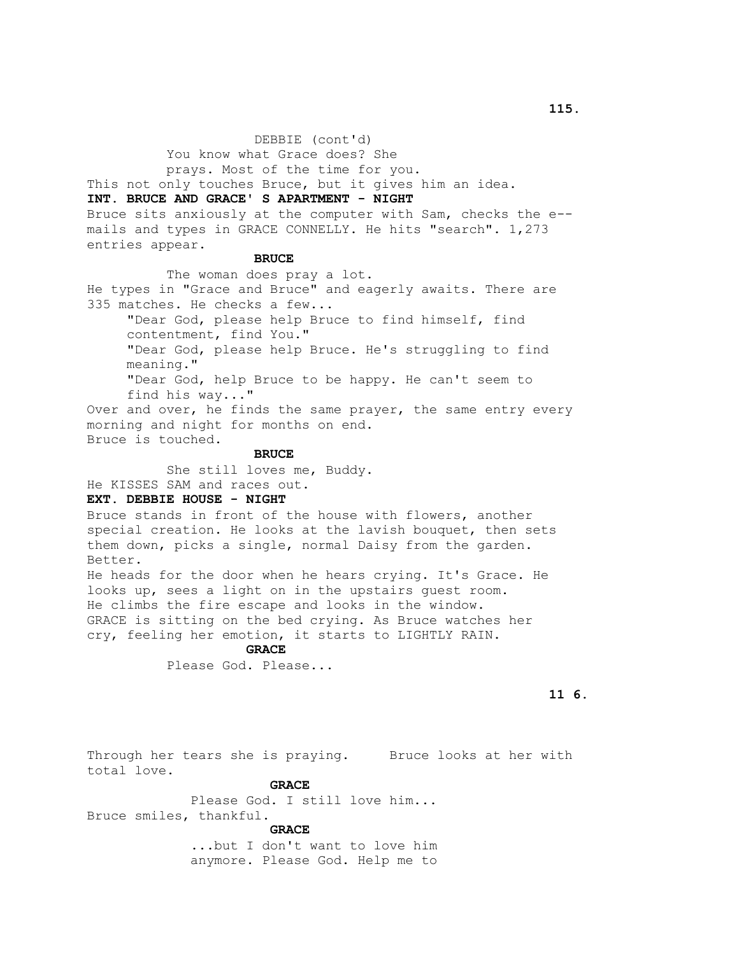DEBBIE (cont'd) You know what Grace does? She prays. Most of the time for you. This not only touches Bruce, but it gives him an idea. **INT. BRUCE AND GRACE' S APARTMENT - NIGHT** Bruce sits anxiously at the computer with Sam, checks the e- mails and types in GRACE CONNELLY. He hits "search". 1,273 entries appear.  **BRUCE** The woman does pray a lot. He types in "Grace and Bruce" and eagerly awaits. There are 335 matches. He checks a few... "Dear God, please help Bruce to find himself, find contentment, find You." "Dear God, please help Bruce. He's struggling to find meaning." "Dear God, help Bruce to be happy. He can't seem to find his way..." Over and over, he finds the same prayer, the same entry every morning and night for months on end. Bruce is touched.  **BRUCE** She still loves me, Buddy. He KISSES SAM and races out. **EXT. DEBBIE HOUSE - NIGHT** Bruce stands in front of the house with flowers, another special creation. He looks at the lavish bouquet, then sets them down, picks a single, normal Daisy from the garden. Better. He heads for the door when he hears crying. It's Grace. He looks up, sees a light on in the upstairs guest room. He climbs the fire escape and looks in the window. GRACE is sitting on the bed crying. As Bruce watches her

cry, feeling her emotion, it starts to LIGHTLY RAIN.

### **GRACE**

Please God. Please...

# **11 6.**

Through her tears she is praying. Bruce looks at her with total love.

## **GRACE**

Please God. I still love him...

### Bruce smiles, thankful.  **GRACE**

 ...but I don't want to love him anymore. Please God. Help me to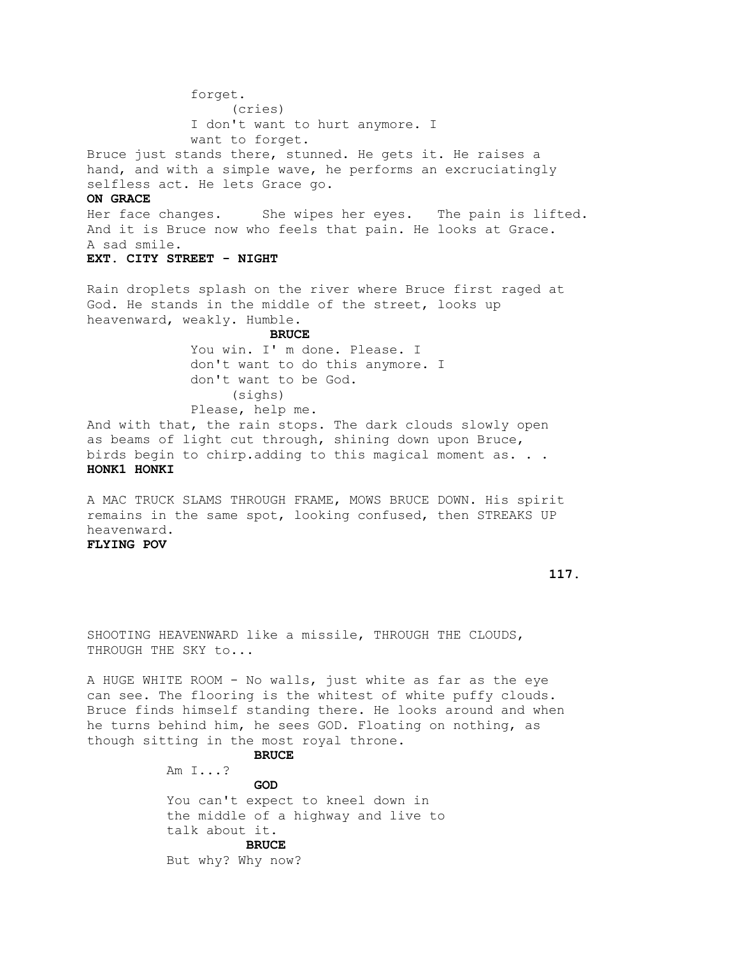forget. (cries) I don't want to hurt anymore. I want to forget. Bruce just stands there, stunned. He gets it. He raises a hand, and with a simple wave, he performs an excruciatingly selfless act. He lets Grace go. **ON GRACE** Her face changes. She wipes her eyes. The pain is lifted. And it is Bruce now who feels that pain. He looks at Grace. A sad smile. **EXT. CITY STREET - NIGHT** Rain droplets splash on the river where Bruce first raged at God. He stands in the middle of the street, looks up heavenward, weakly. Humble.  **BRUCE** You win. I' m done. Please. I don't want to do this anymore. I don't want to be God. (sighs) Please, help me. And with that, the rain stops. The dark clouds slowly open as beams of light cut through, shining down upon Bruce, birds begin to chirp.adding to this magical moment as. . . **HONK1 HONKI** A MAC TRUCK SLAMS THROUGH FRAME, MOWS BRUCE DOWN. His spirit remains in the same spot, looking confused, then STREAKS UP heavenward. **FLYING POV 117.** SHOOTING HEAVENWARD like a missile, THROUGH THE CLOUDS, THROUGH THE SKY to... A HUGE WHITE ROOM - No walls, just white as far as the eye can see. The flooring is the whitest of white puffy clouds. Bruce finds himself standing there. He looks around and when he turns behind him, he sees GOD. Floating on nothing, as though sitting in the most royal throne.  **BRUCE** Am I...?

 **GOD**  You can't expect to kneel down in the middle of a highway and live to talk about it.  **BRUCE**

But why? Why now?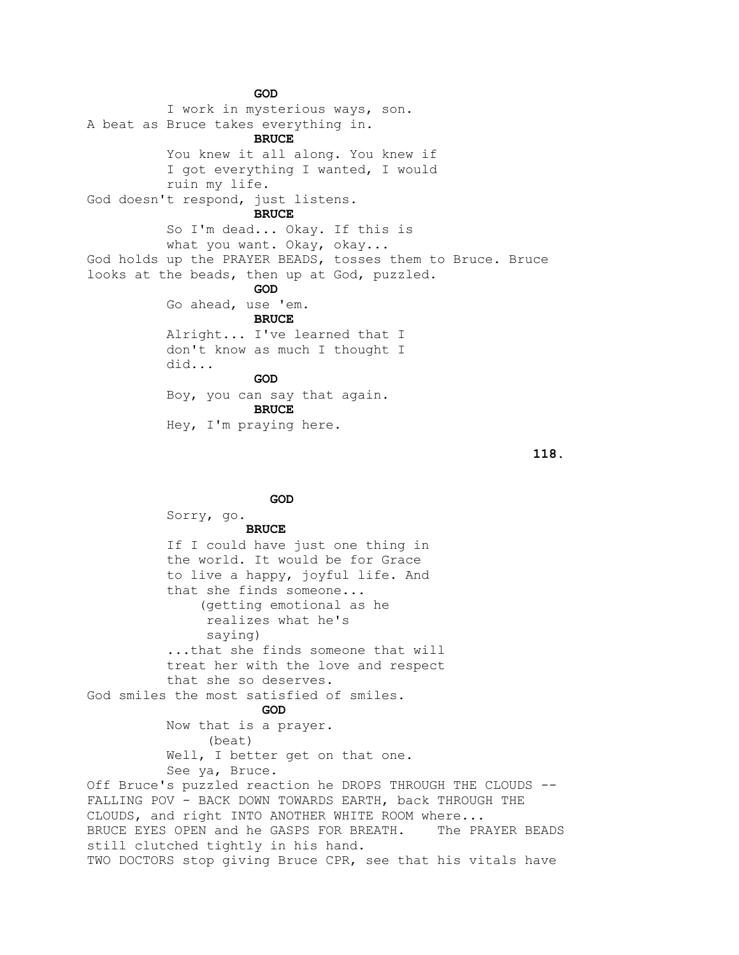**GOD** I work in mysterious ways, son. A beat as Bruce takes everything in.  **BRUCE** You knew it all along. You knew if I got everything I wanted, I would ruin my life. God doesn't respond, just listens.  **BRUCE** So I'm dead... Okay. If this is what you want. Okay, okay... God holds up the PRAYER BEADS, tosses them to Bruce. Bruce looks at the beads, then up at God, puzzled.  **GOD** Go ahead, use 'em.  **BRUCE** Alright... I've learned that I don't know as much I thought I did...  **GOD** Boy, you can say that again.  **BRUCE** Hey, I'm praying here.

 **118.**

 **GOD** 

 Sorry, go.  **BRUCE** If I could have just one thing in the world. It would be for Grace to live a happy, joyful life. And that she finds someone... (getting emotional as he realizes what he's saying) ...that she finds someone that will treat her with the love and respect that she so deserves. God smiles the most satisfied of smiles.  **GOD** Now that is a prayer. (beat) Well, I better get on that one. See ya, Bruce. Off Bruce's puzzled reaction he DROPS THROUGH THE CLOUDS -- FALLING POV - BACK DOWN TOWARDS EARTH, back THROUGH THE CLOUDS, and right INTO ANOTHER WHITE ROOM where... BRUCE EYES OPEN and he GASPS FOR BREATH. The PRAYER BEADS still clutched tightly in his hand. TWO DOCTORS stop giving Bruce CPR, see that his vitals have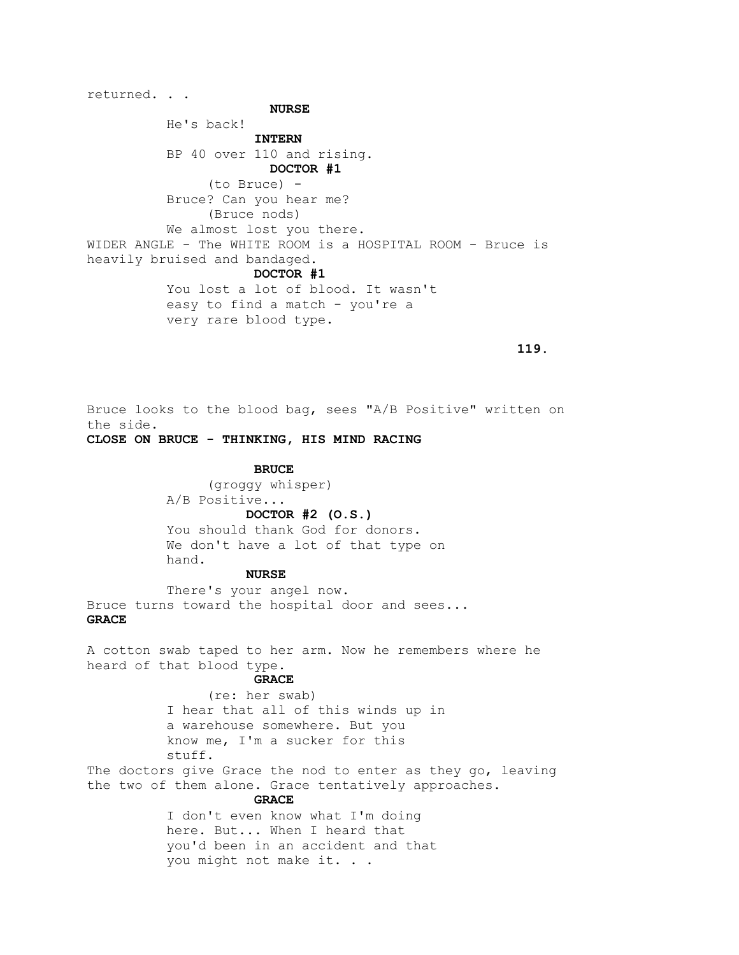returned. . .  **NURSE** He's back!  **INTERN** BP 40 over 110 and rising.  **DOCTOR #1** (to Bruce) - Bruce? Can you hear me? (Bruce nods) We almost lost you there. WIDER ANGLE - The WHITE ROOM is a HOSPITAL ROOM - Bruce is heavily bruised and bandaged.  **DOCTOR #1** You lost a lot of blood. It wasn't easy to find a match - you're a very rare blood type.  **119.** Bruce looks to the blood bag, sees "A/B Positive" written on the side. **CLOSE ON BRUCE - THINKING, HIS MIND RACING BRUCE** (groggy whisper) A/B Positive...  **DOCTOR #2 (O.S.)** You should thank God for donors. We don't have a lot of that type on hand.  **NURSE** There's your angel now. Bruce turns toward the hospital door and sees... **GRACE** A cotton swab taped to her arm. Now he remembers where he heard of that blood type.  **GRACE** (re: her swab) I hear that all of this winds up in a warehouse somewhere. But you know me, I'm a sucker for this stuff. The doctors give Grace the nod to enter as they go, leaving the two of them alone. Grace tentatively approaches.  **GRACE** I don't even know what I'm doing

 here. But... When I heard that you'd been in an accident and that you might not make it. . .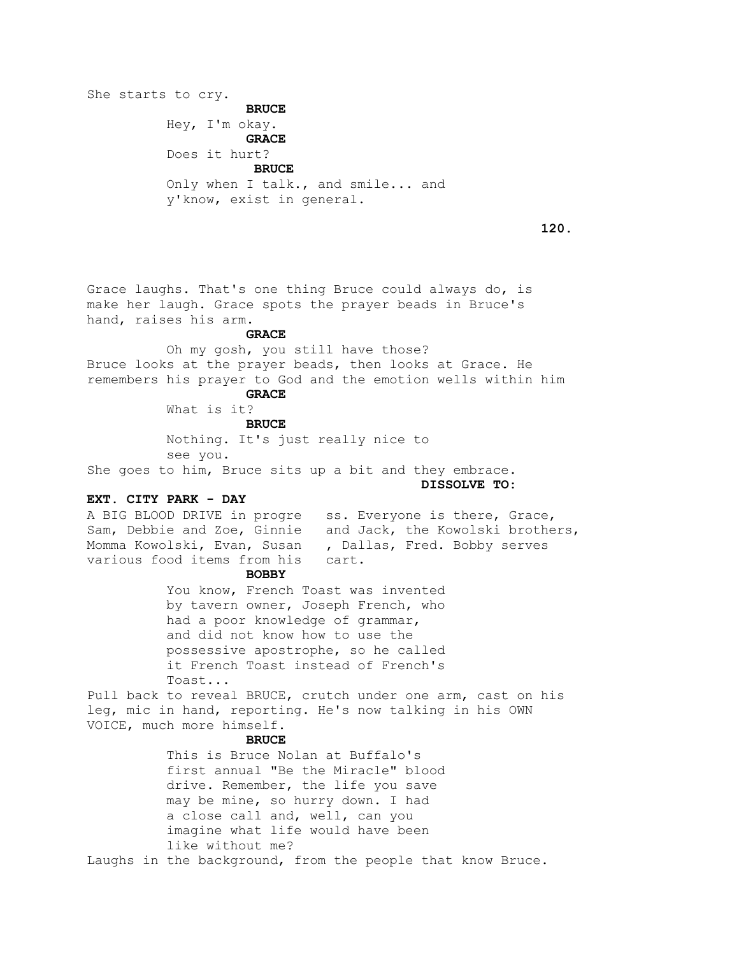She starts to cry.

 **BRUCE** Hey, I'm okay.  **GRACE** Does it hurt?  **BRUCE** Only when I talk., and smile... and y'know, exist in general.

 **120.**

Grace laughs. That's one thing Bruce could always do, is make her laugh. Grace spots the prayer beads in Bruce's hand, raises his arm.

#### **GRACE**

 Oh my gosh, you still have those? Bruce looks at the prayer beads, then looks at Grace. He remembers his prayer to God and the emotion wells within him

### **GRACE**

What is it?

# **BRUCE**

 Nothing. It's just really nice to see you. She goes to him, Bruce sits up a bit and they embrace.

#### **DISSOLVE TO:**

#### **EXT. CITY PARK - DAY**

A BIG BLOOD DRIVE in progre ss. Everyone is there, Grace, Sam, Debbie and Zoe, Ginnie and Jack, the Kowolski brothers, Momma Kowolski, Evan, Susan , Dallas, Fred. Bobby serves various food items from his cart.  **BOBBY** You know, French Toast was invented by tavern owner, Joseph French, who had a poor knowledge of grammar,

 and did not know how to use the possessive apostrophe, so he called it French Toast instead of French's Toast...

Pull back to reveal BRUCE, crutch under one arm, cast on his leg, mic in hand, reporting. He's now talking in his OWN VOICE, much more himself.

#### **BRUCE**

 This is Bruce Nolan at Buffalo's first annual "Be the Miracle" blood drive. Remember, the life you save may be mine, so hurry down. I had a close call and, well, can you imagine what life would have been like without me?

Laughs in the background, from the people that know Bruce.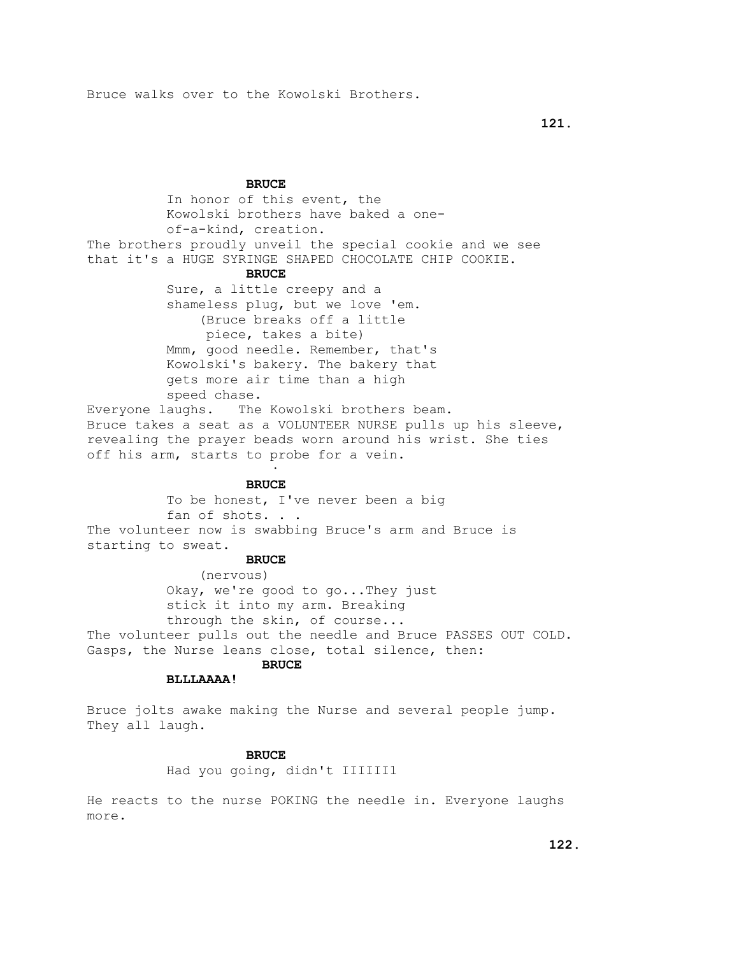Bruce walks over to the Kowolski Brothers.

 **121.**

 **BRUCE** In honor of this event, the Kowolski brothers have baked a one of-a-kind, creation. The brothers proudly unveil the special cookie and we see that it's a HUGE SYRINGE SHAPED CHOCOLATE CHIP COOKIE.  **BRUCE** Sure, a little creepy and a shameless plug, but we love 'em. (Bruce breaks off a little piece, takes a bite) Mmm, good needle. Remember, that's Kowolski's bakery. The bakery that gets more air time than a high speed chase. Everyone laughs. The Kowolski brothers beam. Bruce takes a seat as a VOLUNTEER NURSE pulls up his sleeve, revealing the prayer beads worn around his wrist. She ties off his arm, starts to probe for a vein. *<b>• • • • • • • • • • • • • • • • •* **• BRUCE**

 To be honest, I've never been a big fan of shots. . . The volunteer now is swabbing Bruce's arm and Bruce is starting to sweat.

 **BRUCE** (nervous) Okay, we're good to go...They just stick it into my arm. Breaking through the skin, of course... The volunteer pulls out the needle and Bruce PASSES OUT COLD.

Gasps, the Nurse leans close, total silence, then:  **BRUCE**

#### **BLLLAAAA!**

Bruce jolts awake making the Nurse and several people jump. They all laugh.

## **BRUCE**

Had you going, didn't IIIIII1

He reacts to the nurse POKING the needle in. Everyone laughs more.